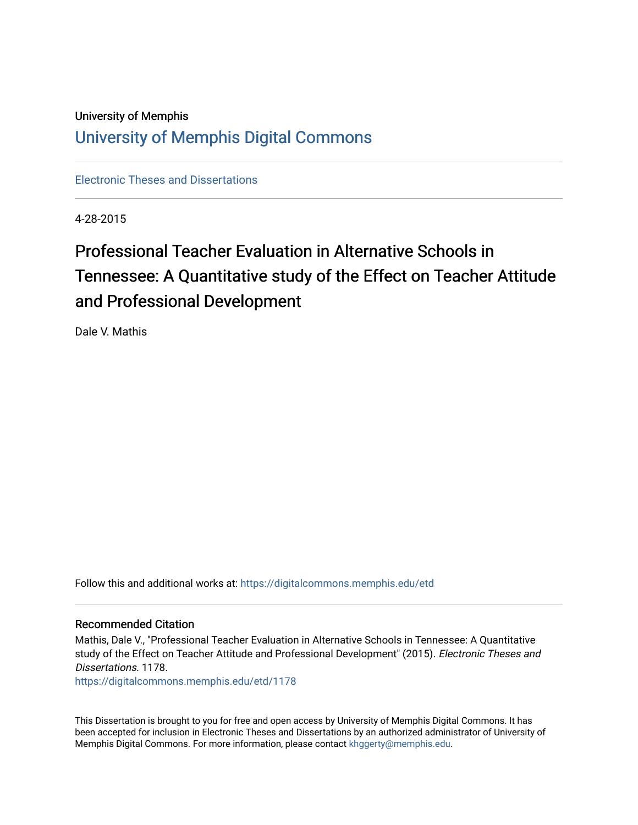## University of Memphis [University of Memphis Digital Commons](https://digitalcommons.memphis.edu/)

[Electronic Theses and Dissertations](https://digitalcommons.memphis.edu/etd)

4-28-2015

# Professional Teacher Evaluation in Alternative Schools in Tennessee: A Quantitative study of the Effect on Teacher Attitude and Professional Development

Dale V. Mathis

Follow this and additional works at: [https://digitalcommons.memphis.edu/etd](https://digitalcommons.memphis.edu/etd?utm_source=digitalcommons.memphis.edu%2Fetd%2F1178&utm_medium=PDF&utm_campaign=PDFCoverPages) 

#### Recommended Citation

Mathis, Dale V., "Professional Teacher Evaluation in Alternative Schools in Tennessee: A Quantitative study of the Effect on Teacher Attitude and Professional Development" (2015). Electronic Theses and Dissertations. 1178.

[https://digitalcommons.memphis.edu/etd/1178](https://digitalcommons.memphis.edu/etd/1178?utm_source=digitalcommons.memphis.edu%2Fetd%2F1178&utm_medium=PDF&utm_campaign=PDFCoverPages) 

This Dissertation is brought to you for free and open access by University of Memphis Digital Commons. It has been accepted for inclusion in Electronic Theses and Dissertations by an authorized administrator of University of Memphis Digital Commons. For more information, please contact [khggerty@memphis.edu.](mailto:khggerty@memphis.edu)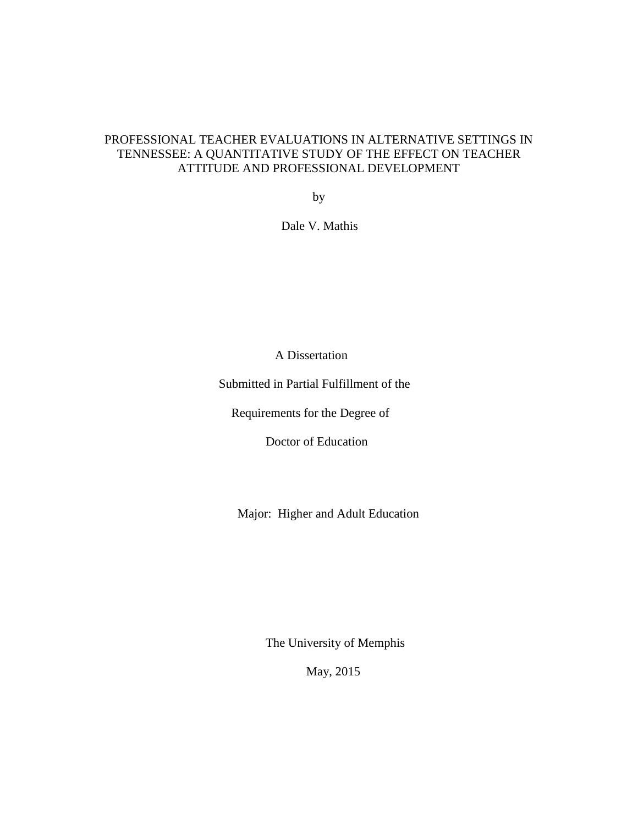### PROFESSIONAL TEACHER EVALUATIONS IN ALTERNATIVE SETTINGS IN TENNESSEE: A QUANTITATIVE STUDY OF THE EFFECT ON TEACHER ATTITUDE AND PROFESSIONAL DEVELOPMENT

by

Dale V. Mathis

A Dissertation

Submitted in Partial Fulfillment of the

Requirements for the Degree of

Doctor of Education

Major: Higher and Adult Education

The University of Memphis

May, 2015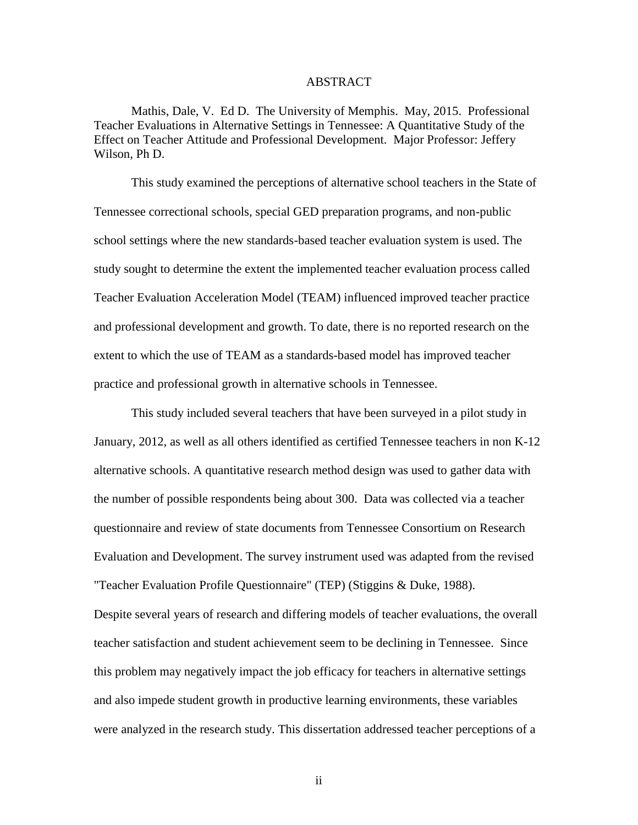#### ABSTRACT

Mathis, Dale, V. Ed D. The University of Memphis. May, 2015. Professional Teacher Evaluations in Alternative Settings in Tennessee: A Quantitative Study of the Effect on Teacher Attitude and Professional Development. Major Professor: Jeffery Wilson, Ph D.

This study examined the perceptions of alternative school teachers in the State of Tennessee correctional schools, special GED preparation programs, and non-public school settings where the new standards-based teacher evaluation system is used. The study sought to determine the extent the implemented teacher evaluation process called Teacher Evaluation Acceleration Model (TEAM) influenced improved teacher practice and professional development and growth. To date, there is no reported research on the extent to which the use of TEAM as a standards-based model has improved teacher practice and professional growth in alternative schools in Tennessee.

This study included several teachers that have been surveyed in a pilot study in January, 2012, as well as all others identified as certified Tennessee teachers in non K-12 alternative schools. A quantitative research method design was used to gather data with the number of possible respondents being about 300. Data was collected via a teacher questionnaire and review of state documents from Tennessee Consortium on Research Evaluation and Development. The survey instrument used was adapted from the revised "Teacher Evaluation Profile Questionnaire" (TEP) (Stiggins & Duke, 1988).

Despite several years of research and differing models of teacher evaluations, the overall teacher satisfaction and student achievement seem to be declining in Tennessee. Since this problem may negatively impact the job efficacy for teachers in alternative settings and also impede student growth in productive learning environments, these variables were analyzed in the research study. This dissertation addressed teacher perceptions of a

ii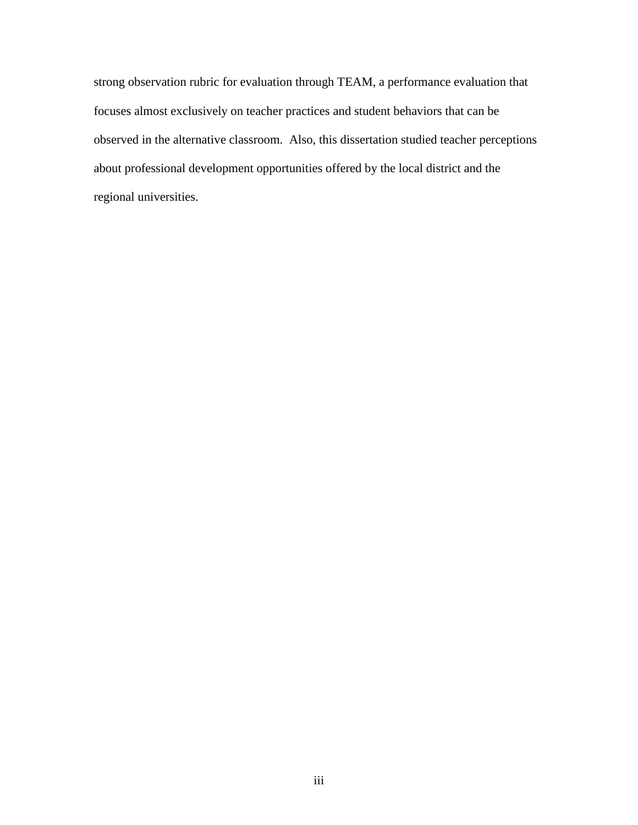strong observation rubric for evaluation through TEAM, a performance evaluation that focuses almost exclusively on teacher practices and student behaviors that can be observed in the alternative classroom. Also, this dissertation studied teacher perceptions about professional development opportunities offered by the local district and the regional universities.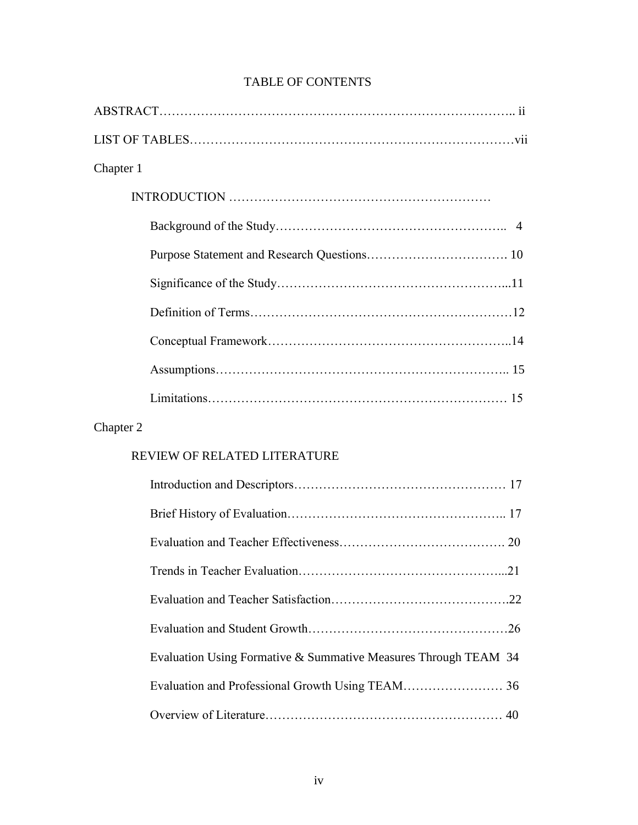## TABLE OF CONTENTS

## Chapter 2

## REVIEW OF RELATED LITERATURE

| Evaluation Using Formative & Summative Measures Through TEAM 34 |  |
|-----------------------------------------------------------------|--|
|                                                                 |  |
|                                                                 |  |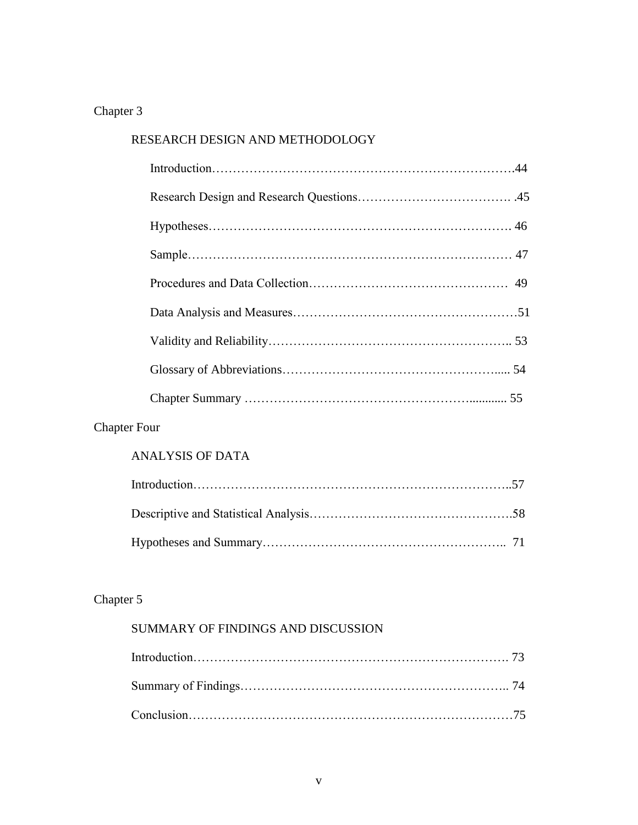## Chapter 3

| RESEARCH DESIGN AND METHODOLOGY |  |  |  |  |
|---------------------------------|--|--|--|--|
|                                 |  |  |  |  |
|                                 |  |  |  |  |
|                                 |  |  |  |  |
|                                 |  |  |  |  |
|                                 |  |  |  |  |
|                                 |  |  |  |  |
|                                 |  |  |  |  |
|                                 |  |  |  |  |
|                                 |  |  |  |  |
| r Four-                         |  |  |  |  |

## Chapter Four

### ANALYSIS OF DATA

## Chapter 5

## SUMMARY OF FINDINGS AND DISCUSSION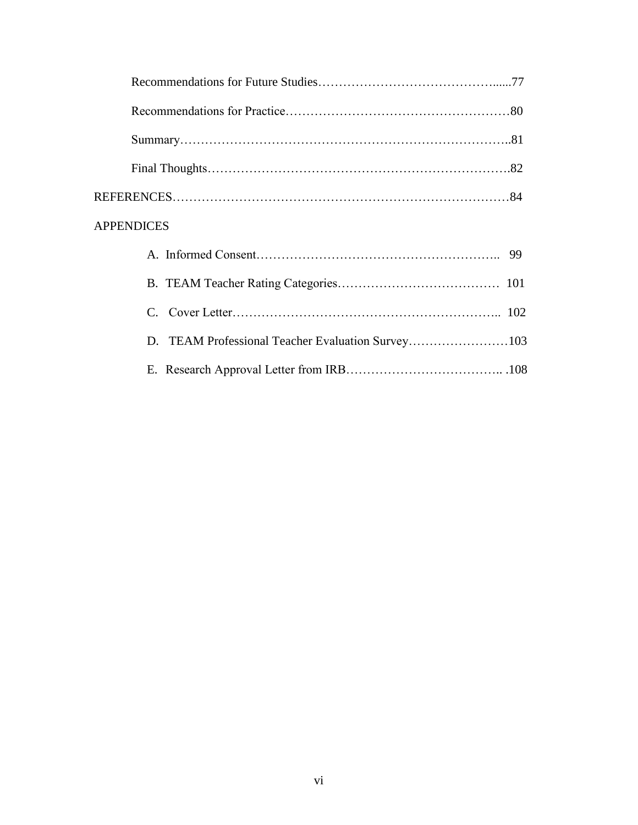| <b>APPENDICES</b>                                 |
|---------------------------------------------------|
|                                                   |
|                                                   |
|                                                   |
| D. TEAM Professional Teacher Evaluation Survey103 |
|                                                   |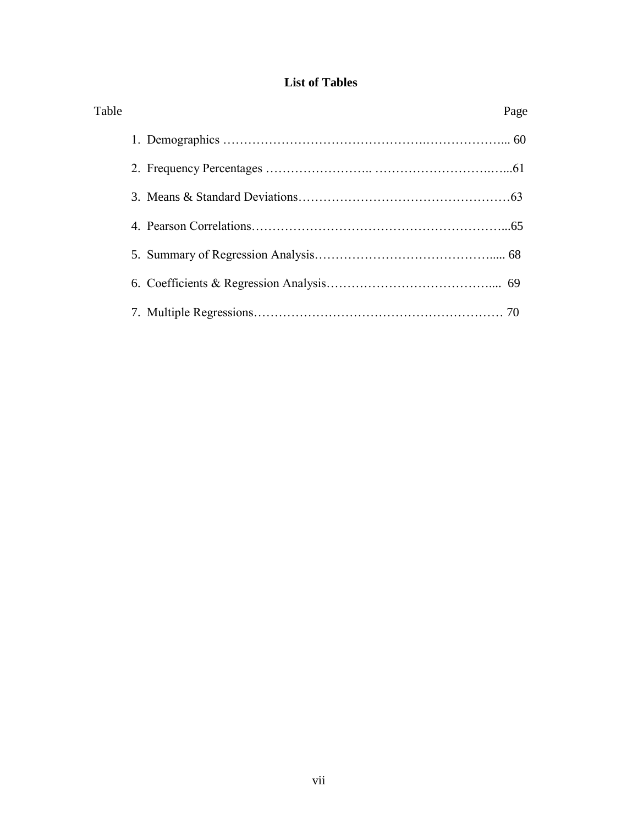### **List of Tables**

| Table | Page |
|-------|------|
|       |      |
|       |      |
|       |      |
|       |      |
|       |      |
|       |      |
|       |      |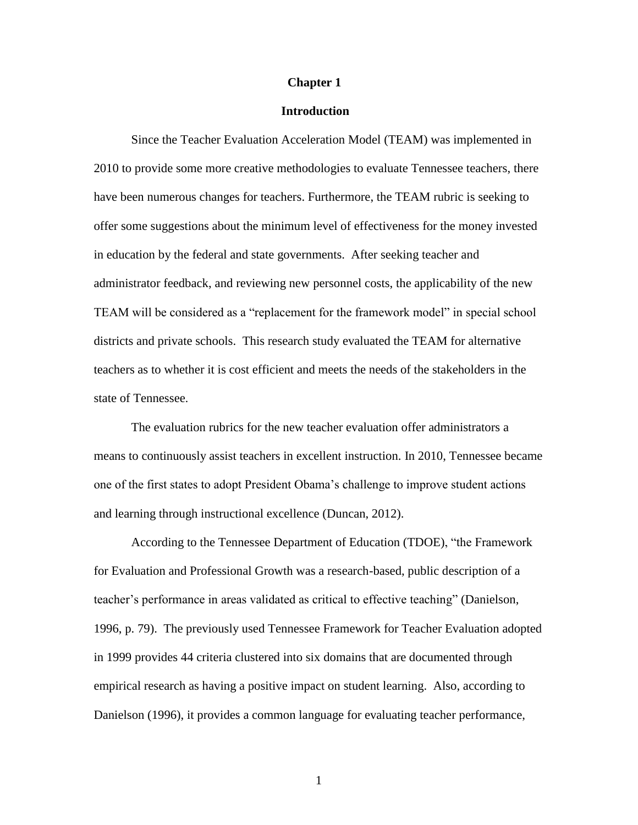#### **Chapter 1**

#### **Introduction**

Since the Teacher Evaluation Acceleration Model (TEAM) was implemented in 2010 to provide some more creative methodologies to evaluate Tennessee teachers, there have been numerous changes for teachers. Furthermore, the TEAM rubric is seeking to offer some suggestions about the minimum level of effectiveness for the money invested in education by the federal and state governments. After seeking teacher and administrator feedback, and reviewing new personnel costs, the applicability of the new TEAM will be considered as a "replacement for the framework model" in special school districts and private schools. This research study evaluated the TEAM for alternative teachers as to whether it is cost efficient and meets the needs of the stakeholders in the state of Tennessee.

The evaluation rubrics for the new teacher evaluation offer administrators a means to continuously assist teachers in excellent instruction. In 2010, Tennessee became one of the first states to adopt President Obama"s challenge to improve student actions and learning through instructional excellence (Duncan, 2012).

According to the Tennessee Department of Education (TDOE), "the Framework for Evaluation and Professional Growth was a research-based, public description of a teacher"s performance in areas validated as critical to effective teaching" (Danielson, 1996, p. 79). The previously used Tennessee Framework for Teacher Evaluation adopted in 1999 provides 44 criteria clustered into six domains that are documented through empirical research as having a positive impact on student learning. Also, according to Danielson (1996), it provides a common language for evaluating teacher performance,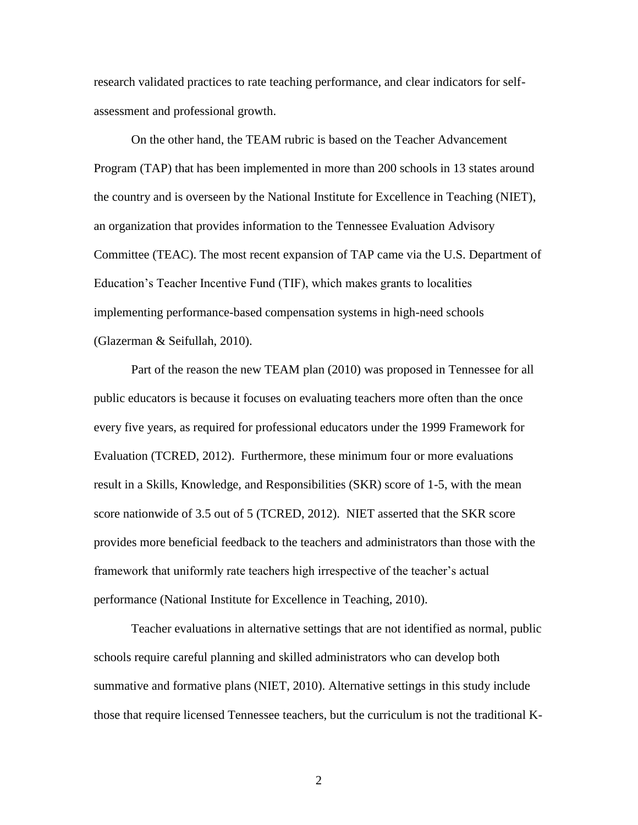research validated practices to rate teaching performance, and clear indicators for selfassessment and professional growth.

On the other hand, the TEAM rubric is based on the Teacher Advancement Program (TAP) that has been implemented in more than 200 schools in 13 states around the country and is overseen by the National Institute for Excellence in Teaching (NIET), an organization that provides information to the Tennessee Evaluation Advisory Committee (TEAC). The most recent expansion of TAP came via the U.S. Department of Education"s Teacher Incentive Fund (TIF), which makes grants to localities implementing performance-based compensation systems in high-need schools (Glazerman & Seifullah, 2010).

Part of the reason the new TEAM plan (2010) was proposed in Tennessee for all public educators is because it focuses on evaluating teachers more often than the once every five years, as required for professional educators under the 1999 Framework for Evaluation (TCRED, 2012). Furthermore, these minimum four or more evaluations result in a Skills, Knowledge, and Responsibilities (SKR) score of 1-5, with the mean score nationwide of 3.5 out of 5 (TCRED, 2012). NIET asserted that the SKR score provides more beneficial feedback to the teachers and administrators than those with the framework that uniformly rate teachers high irrespective of the teacher"s actual performance (National Institute for Excellence in Teaching, 2010).

Teacher evaluations in alternative settings that are not identified as normal, public schools require careful planning and skilled administrators who can develop both summative and formative plans (NIET, 2010). Alternative settings in this study include those that require licensed Tennessee teachers, but the curriculum is not the traditional K-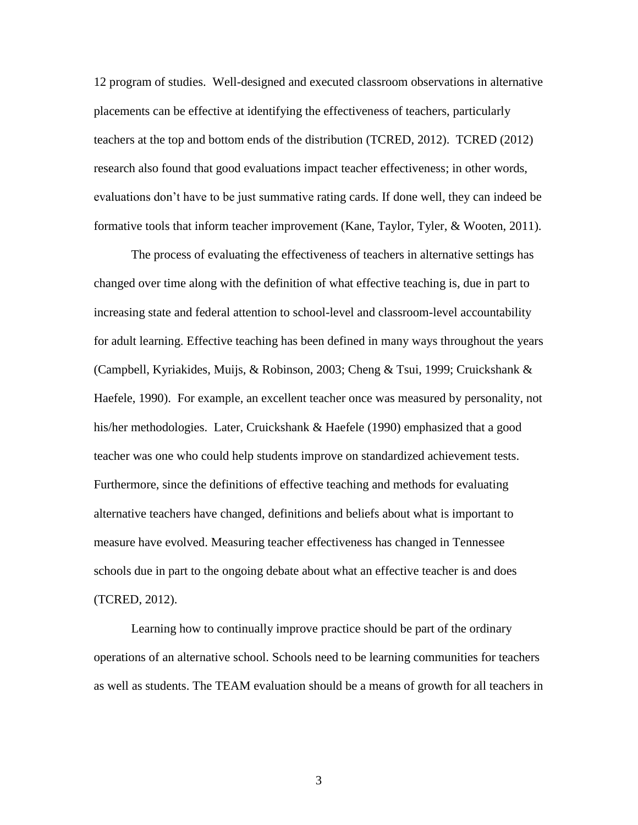12 program of studies. Well-designed and executed classroom observations in alternative placements can be effective at identifying the effectiveness of teachers, particularly teachers at the top and bottom ends of the distribution (TCRED, 2012). TCRED (2012) research also found that good evaluations impact teacher effectiveness; in other words, evaluations don"t have to be just summative rating cards. If done well, they can indeed be formative tools that inform teacher improvement (Kane, Taylor, Tyler, & Wooten, 2011).

The process of evaluating the effectiveness of teachers in alternative settings has changed over time along with the definition of what effective teaching is, due in part to increasing state and federal attention to school-level and classroom-level accountability for adult learning. Effective teaching has been defined in many ways throughout the years (Campbell, Kyriakides, Muijs, & Robinson, 2003; Cheng & Tsui, 1999; Cruickshank & Haefele, 1990). For example, an excellent teacher once was measured by personality, not his/her methodologies. Later, Cruickshank & Haefele (1990) emphasized that a good teacher was one who could help students improve on standardized achievement tests. Furthermore, since the definitions of effective teaching and methods for evaluating alternative teachers have changed, definitions and beliefs about what is important to measure have evolved. Measuring teacher effectiveness has changed in Tennessee schools due in part to the ongoing debate about what an effective teacher is and does (TCRED, 2012).

Learning how to continually improve practice should be part of the ordinary operations of an alternative school. Schools need to be learning communities for teachers as well as students. The TEAM evaluation should be a means of growth for all teachers in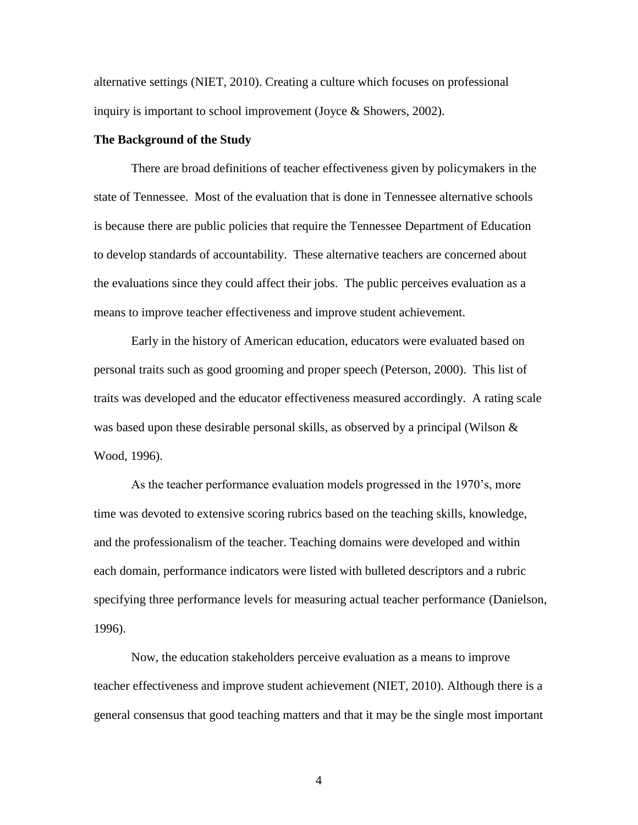alternative settings (NIET, 2010). Creating a culture which focuses on professional inquiry is important to school improvement (Joyce & Showers, 2002).

#### **The Background of the Study**

There are broad definitions of teacher effectiveness given by policymakers in the state of Tennessee. Most of the evaluation that is done in Tennessee alternative schools is because there are public policies that require the Tennessee Department of Education to develop standards of accountability. These alternative teachers are concerned about the evaluations since they could affect their jobs. The public perceives evaluation as a means to improve teacher effectiveness and improve student achievement.

Early in the history of American education, educators were evaluated based on personal traits such as good grooming and proper speech (Peterson, 2000). This list of traits was developed and the educator effectiveness measured accordingly. A rating scale was based upon these desirable personal skills, as observed by a principal (Wilson & Wood, 1996).

As the teacher performance evaluation models progressed in the 1970"s, more time was devoted to extensive scoring rubrics based on the teaching skills, knowledge, and the professionalism of the teacher. Teaching domains were developed and within each domain, performance indicators were listed with bulleted descriptors and a rubric specifying three performance levels for measuring actual teacher performance (Danielson, 1996).

Now, the education stakeholders perceive evaluation as a means to improve teacher effectiveness and improve student achievement (NIET, 2010). Although there is a general consensus that good teaching matters and that it may be the single most important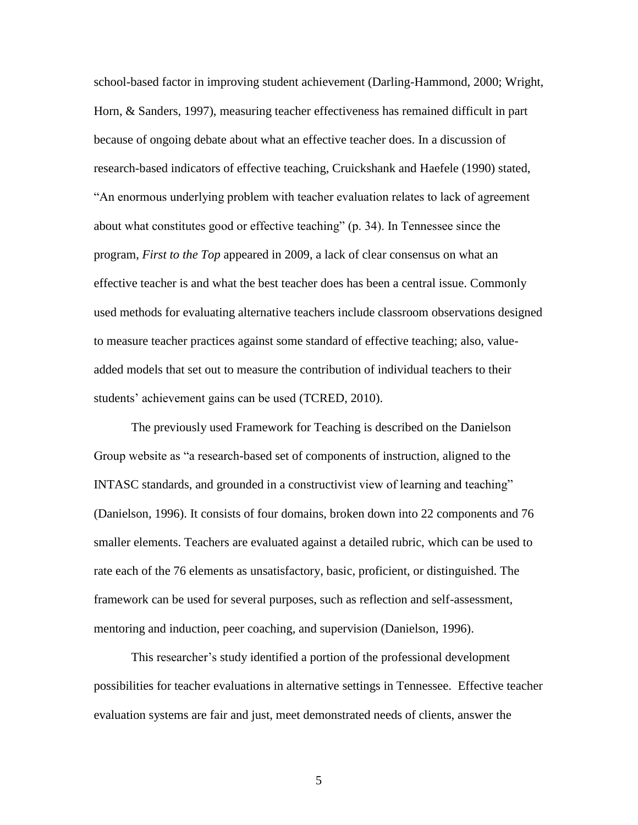school-based factor in improving student achievement (Darling-Hammond, 2000; Wright, Horn, & Sanders, 1997), measuring teacher effectiveness has remained difficult in part because of ongoing debate about what an effective teacher does. In a discussion of research-based indicators of effective teaching, Cruickshank and Haefele (1990) stated, "An enormous underlying problem with teacher evaluation relates to lack of agreement about what constitutes good or effective teaching" (p. 34). In Tennessee since the program, *First to the Top* appeared in 2009, a lack of clear consensus on what an effective teacher is and what the best teacher does has been a central issue. Commonly used methods for evaluating alternative teachers include classroom observations designed to measure teacher practices against some standard of effective teaching; also, valueadded models that set out to measure the contribution of individual teachers to their students' achievement gains can be used (TCRED, 2010).

The previously used Framework for Teaching is described on the Danielson Group website as "a research-based set of components of instruction, aligned to the INTASC standards, and grounded in a constructivist view of learning and teaching" (Danielson, 1996). It consists of four domains, broken down into 22 components and 76 smaller elements. Teachers are evaluated against a detailed rubric, which can be used to rate each of the 76 elements as unsatisfactory, basic, proficient, or distinguished. The framework can be used for several purposes, such as reflection and self-assessment, mentoring and induction, peer coaching, and supervision (Danielson, 1996).

This researcher's study identified a portion of the professional development possibilities for teacher evaluations in alternative settings in Tennessee. Effective teacher evaluation systems are fair and just, meet demonstrated needs of clients, answer the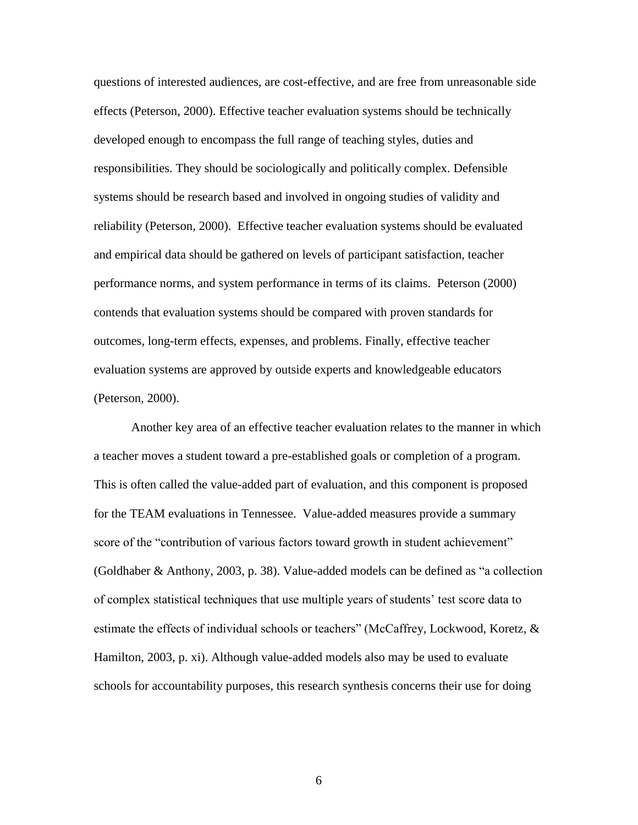questions of interested audiences, are cost-effective, and are free from unreasonable side effects (Peterson, 2000). Effective teacher evaluation systems should be technically developed enough to encompass the full range of teaching styles, duties and responsibilities. They should be sociologically and politically complex. Defensible systems should be research based and involved in ongoing studies of validity and reliability (Peterson, 2000). Effective teacher evaluation systems should be evaluated and empirical data should be gathered on levels of participant satisfaction, teacher performance norms, and system performance in terms of its claims. Peterson (2000) contends that evaluation systems should be compared with proven standards for outcomes, long-term effects, expenses, and problems. Finally, effective teacher evaluation systems are approved by outside experts and knowledgeable educators (Peterson, 2000).

Another key area of an effective teacher evaluation relates to the manner in which a teacher moves a student toward a pre-established goals or completion of a program. This is often called the value-added part of evaluation, and this component is proposed for the TEAM evaluations in Tennessee. Value-added measures provide a summary score of the "contribution of various factors toward growth in student achievement" (Goldhaber & Anthony, 2003, p. 38). Value-added models can be defined as "a collection of complex statistical techniques that use multiple years of students" test score data to estimate the effects of individual schools or teachers" (McCaffrey, Lockwood, Koretz, & Hamilton, 2003, p. xi). Although value-added models also may be used to evaluate schools for accountability purposes, this research synthesis concerns their use for doing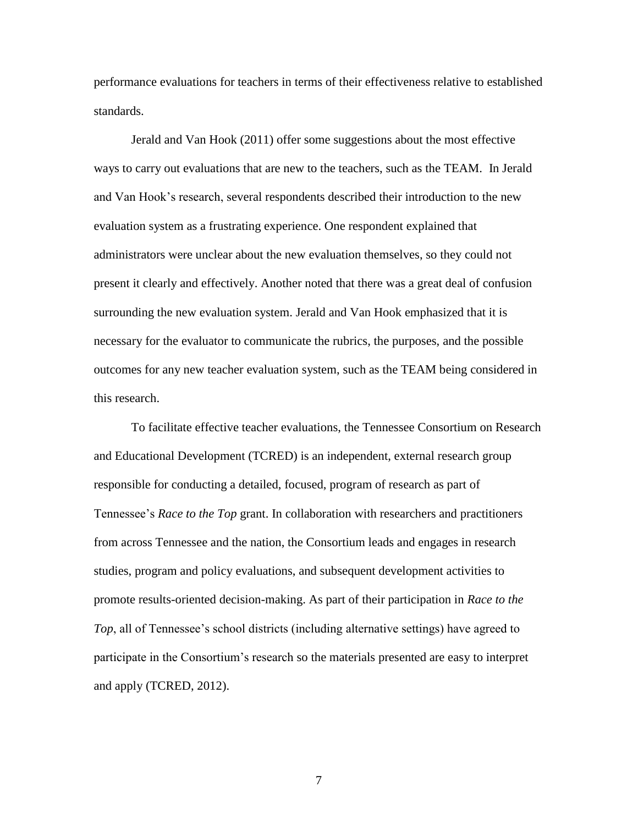performance evaluations for teachers in terms of their effectiveness relative to established standards.

Jerald and Van Hook (2011) offer some suggestions about the most effective ways to carry out evaluations that are new to the teachers, such as the TEAM. In Jerald and Van Hook"s research, several respondents described their introduction to the new evaluation system as a frustrating experience. One respondent explained that administrators were unclear about the new evaluation themselves, so they could not present it clearly and effectively. Another noted that there was a great deal of confusion surrounding the new evaluation system. Jerald and Van Hook emphasized that it is necessary for the evaluator to communicate the rubrics, the purposes, and the possible outcomes for any new teacher evaluation system, such as the TEAM being considered in this research.

To facilitate effective teacher evaluations, the Tennessee Consortium on Research and Educational Development (TCRED) is an independent, external research group responsible for conducting a detailed, focused, program of research as part of Tennessee"s *Race to the Top* grant. In collaboration with researchers and practitioners from across Tennessee and the nation, the Consortium leads and engages in research studies, program and policy evaluations, and subsequent development activities to promote results-oriented decision-making. As part of their participation in *Race to the Top*, all of Tennessee's school districts (including alternative settings) have agreed to participate in the Consortium"s research so the materials presented are easy to interpret and apply (TCRED, 2012).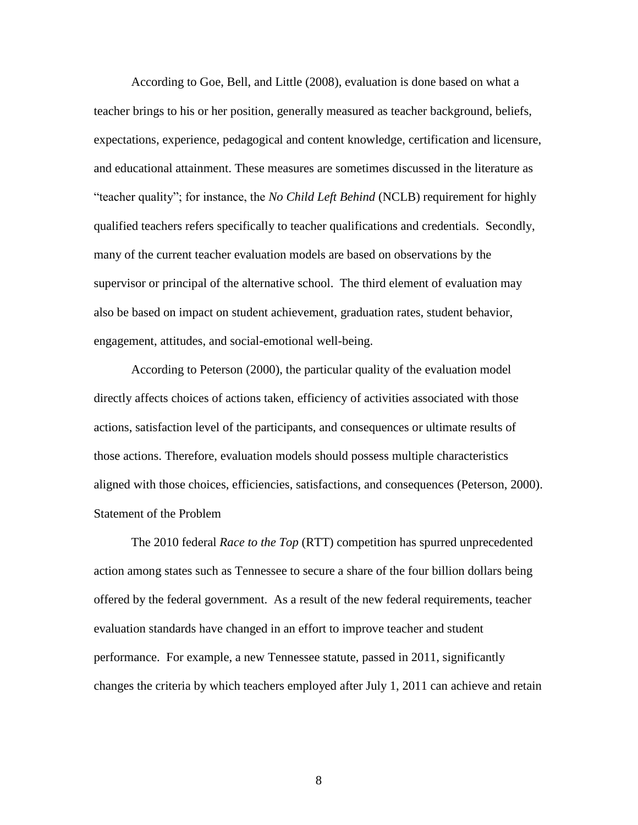According to Goe, Bell, and Little (2008), evaluation is done based on what a teacher brings to his or her position, generally measured as teacher background, beliefs, expectations, experience, pedagogical and content knowledge, certification and licensure, and educational attainment. These measures are sometimes discussed in the literature as "teacher quality"; for instance, the *No Child Left Behind* (NCLB) requirement for highly qualified teachers refers specifically to teacher qualifications and credentials. Secondly, many of the current teacher evaluation models are based on observations by the supervisor or principal of the alternative school. The third element of evaluation may also be based on impact on student achievement, graduation rates, student behavior, engagement, attitudes, and social-emotional well-being.

According to Peterson (2000), the particular quality of the evaluation model directly affects choices of actions taken, efficiency of activities associated with those actions, satisfaction level of the participants, and consequences or ultimate results of those actions. Therefore, evaluation models should possess multiple characteristics aligned with those choices, efficiencies, satisfactions, and consequences (Peterson, 2000). Statement of the Problem

The 2010 federal *Race to the Top* (RTT) competition has spurred unprecedented action among states such as Tennessee to secure a share of the four billion dollars being offered by the federal government. As a result of the new federal requirements, teacher evaluation standards have changed in an effort to improve teacher and student performance. For example, a new Tennessee statute, passed in 2011, significantly changes the criteria by which teachers employed after July 1, 2011 can achieve and retain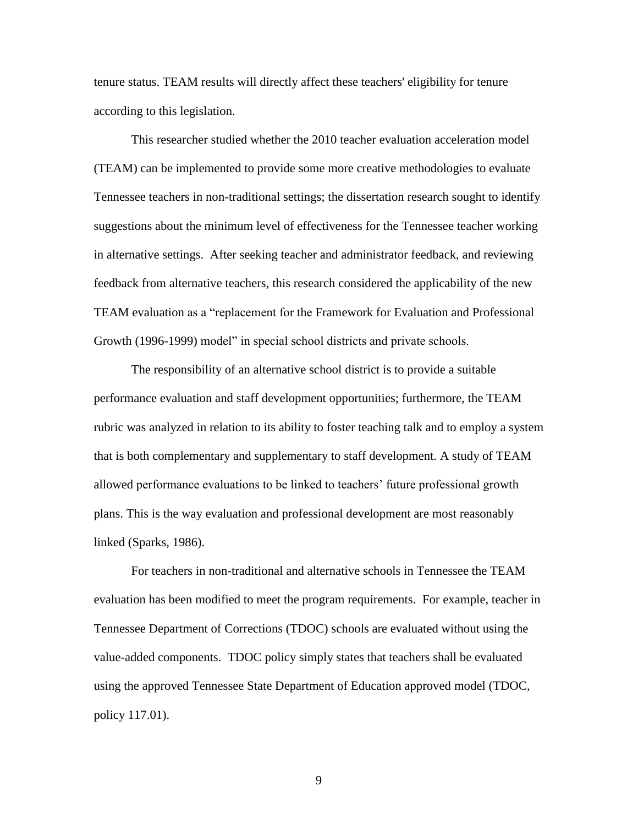tenure status. TEAM results will directly affect these teachers' eligibility for tenure according to this legislation.

This researcher studied whether the 2010 teacher evaluation acceleration model (TEAM) can be implemented to provide some more creative methodologies to evaluate Tennessee teachers in non-traditional settings; the dissertation research sought to identify suggestions about the minimum level of effectiveness for the Tennessee teacher working in alternative settings. After seeking teacher and administrator feedback, and reviewing feedback from alternative teachers, this research considered the applicability of the new TEAM evaluation as a "replacement for the Framework for Evaluation and Professional Growth (1996-1999) model" in special school districts and private schools.

The responsibility of an alternative school district is to provide a suitable performance evaluation and staff development opportunities; furthermore, the TEAM rubric was analyzed in relation to its ability to foster teaching talk and to employ a system that is both complementary and supplementary to staff development. A study of TEAM allowed performance evaluations to be linked to teachers' future professional growth plans. This is the way evaluation and professional development are most reasonably linked (Sparks, 1986).

For teachers in non-traditional and alternative schools in Tennessee the TEAM evaluation has been modified to meet the program requirements. For example, teacher in Tennessee Department of Corrections (TDOC) schools are evaluated without using the value-added components. TDOC policy simply states that teachers shall be evaluated using the approved Tennessee State Department of Education approved model (TDOC, policy 117.01).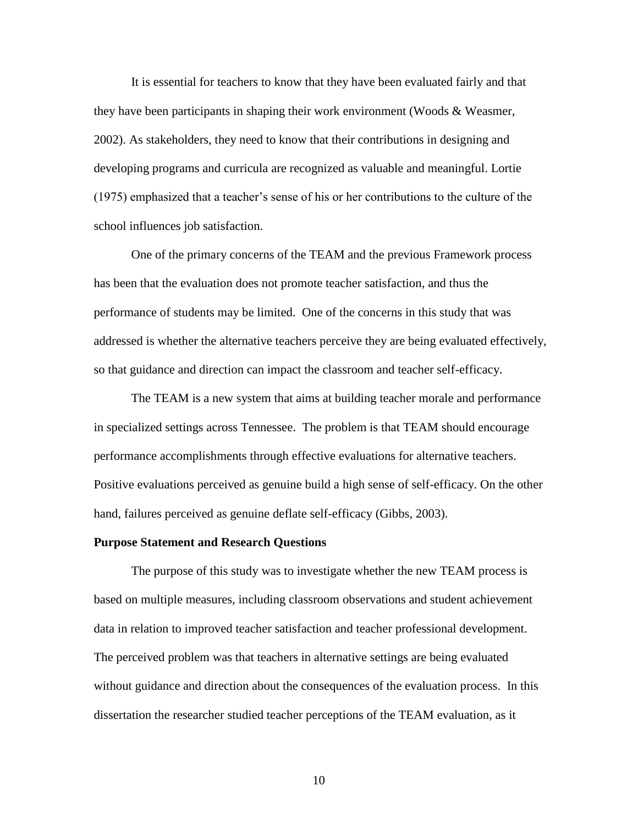It is essential for teachers to know that they have been evaluated fairly and that they have been participants in shaping their work environment (Woods & Weasmer, 2002). As stakeholders, they need to know that their contributions in designing and developing programs and curricula are recognized as valuable and meaningful. Lortie (1975) emphasized that a teacher"s sense of his or her contributions to the culture of the school influences job satisfaction.

One of the primary concerns of the TEAM and the previous Framework process has been that the evaluation does not promote teacher satisfaction, and thus the performance of students may be limited. One of the concerns in this study that was addressed is whether the alternative teachers perceive they are being evaluated effectively, so that guidance and direction can impact the classroom and teacher self-efficacy.

The TEAM is a new system that aims at building teacher morale and performance in specialized settings across Tennessee. The problem is that TEAM should encourage performance accomplishments through effective evaluations for alternative teachers. Positive evaluations perceived as genuine build a high sense of self-efficacy. On the other hand, failures perceived as genuine deflate self-efficacy (Gibbs, 2003).

#### **Purpose Statement and Research Questions**

The purpose of this study was to investigate whether the new TEAM process is based on multiple measures, including classroom observations and student achievement data in relation to improved teacher satisfaction and teacher professional development. The perceived problem was that teachers in alternative settings are being evaluated without guidance and direction about the consequences of the evaluation process. In this dissertation the researcher studied teacher perceptions of the TEAM evaluation, as it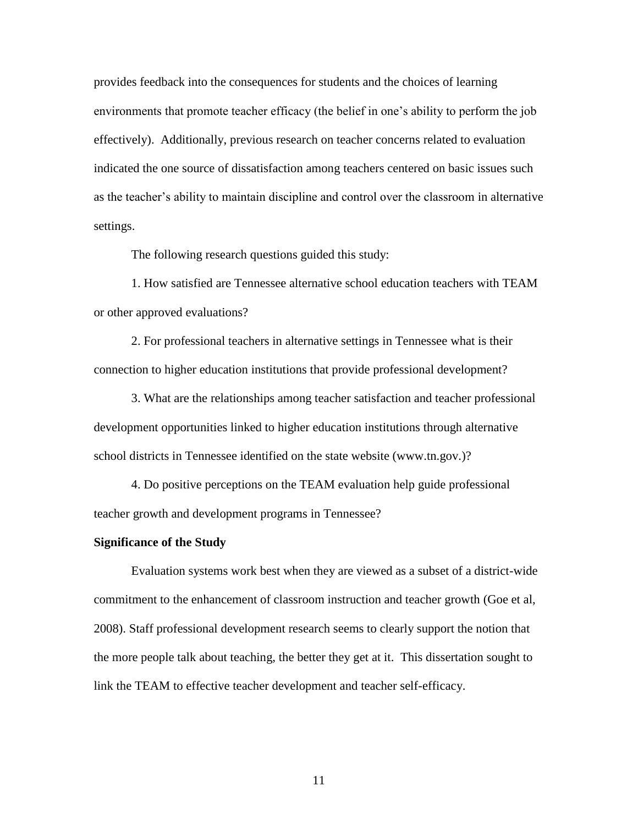provides feedback into the consequences for students and the choices of learning environments that promote teacher efficacy (the belief in one"s ability to perform the job effectively). Additionally, previous research on teacher concerns related to evaluation indicated the one source of dissatisfaction among teachers centered on basic issues such as the teacher"s ability to maintain discipline and control over the classroom in alternative settings.

The following research questions guided this study:

1. How satisfied are Tennessee alternative school education teachers with TEAM or other approved evaluations?

2. For professional teachers in alternative settings in Tennessee what is their connection to higher education institutions that provide professional development?

3. What are the relationships among teacher satisfaction and teacher professional development opportunities linked to higher education institutions through alternative school districts in Tennessee identified on the state website (www.tn.gov.)?

4. Do positive perceptions on the TEAM evaluation help guide professional teacher growth and development programs in Tennessee?

#### **Significance of the Study**

Evaluation systems work best when they are viewed as a subset of a district-wide commitment to the enhancement of classroom instruction and teacher growth (Goe et al, 2008). Staff professional development research seems to clearly support the notion that the more people talk about teaching, the better they get at it. This dissertation sought to link the TEAM to effective teacher development and teacher self-efficacy.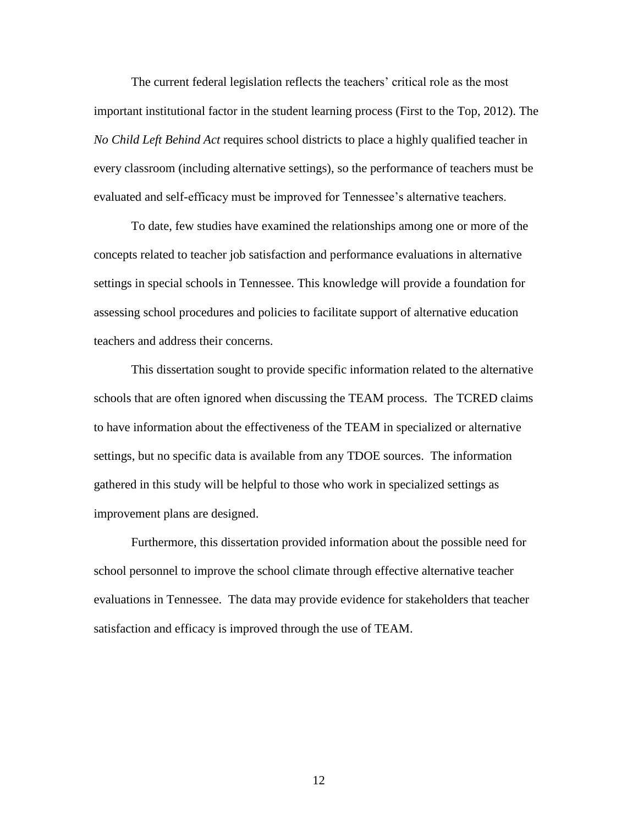The current federal legislation reflects the teachers' critical role as the most important institutional factor in the student learning process (First to the Top, 2012). The *No Child Left Behind Act* requires school districts to place a highly qualified teacher in every classroom (including alternative settings), so the performance of teachers must be evaluated and self-efficacy must be improved for Tennessee"s alternative teachers.

To date, few studies have examined the relationships among one or more of the concepts related to teacher job satisfaction and performance evaluations in alternative settings in special schools in Tennessee. This knowledge will provide a foundation for assessing school procedures and policies to facilitate support of alternative education teachers and address their concerns.

This dissertation sought to provide specific information related to the alternative schools that are often ignored when discussing the TEAM process. The TCRED claims to have information about the effectiveness of the TEAM in specialized or alternative settings, but no specific data is available from any TDOE sources. The information gathered in this study will be helpful to those who work in specialized settings as improvement plans are designed.

Furthermore, this dissertation provided information about the possible need for school personnel to improve the school climate through effective alternative teacher evaluations in Tennessee. The data may provide evidence for stakeholders that teacher satisfaction and efficacy is improved through the use of TEAM.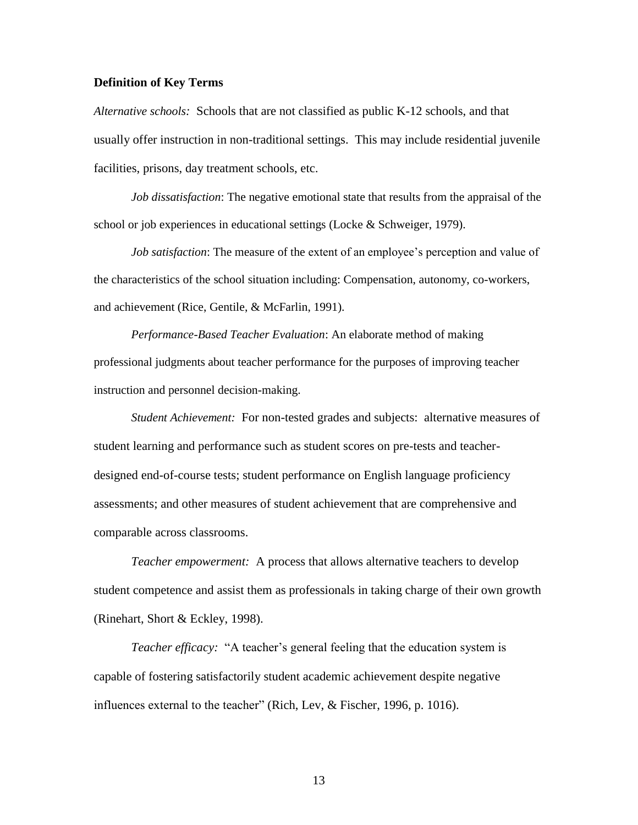#### **Definition of Key Terms**

*Alternative schools:* Schools that are not classified as public K-12 schools, and that usually offer instruction in non-traditional settings. This may include residential juvenile facilities, prisons, day treatment schools, etc.

*Job dissatisfaction*: The negative emotional state that results from the appraisal of the school or job experiences in educational settings (Locke & Schweiger, 1979).

*Job satisfaction*: The measure of the extent of an employee's perception and value of the characteristics of the school situation including: Compensation, autonomy, co-workers, and achievement (Rice, Gentile, & McFarlin, 1991).

*Performance-Based Teacher Evaluation*: An elaborate method of making professional judgments about teacher performance for the purposes of improving teacher instruction and personnel decision-making.

*Student Achievement:* For non-tested grades and subjects: alternative measures of student learning and performance such as student scores on pre-tests and teacherdesigned end-of-course tests; student performance on English language proficiency assessments; and other measures of student achievement that are comprehensive and comparable across classrooms.

*Teacher empowerment:* A process that allows alternative teachers to develop student competence and assist them as professionals in taking charge of their own growth (Rinehart, Short & Eckley, 1998).

*Teacher efficacy:* "A teacher's general feeling that the education system is capable of fostering satisfactorily student academic achievement despite negative influences external to the teacher" (Rich, Lev, & Fischer, 1996, p. 1016).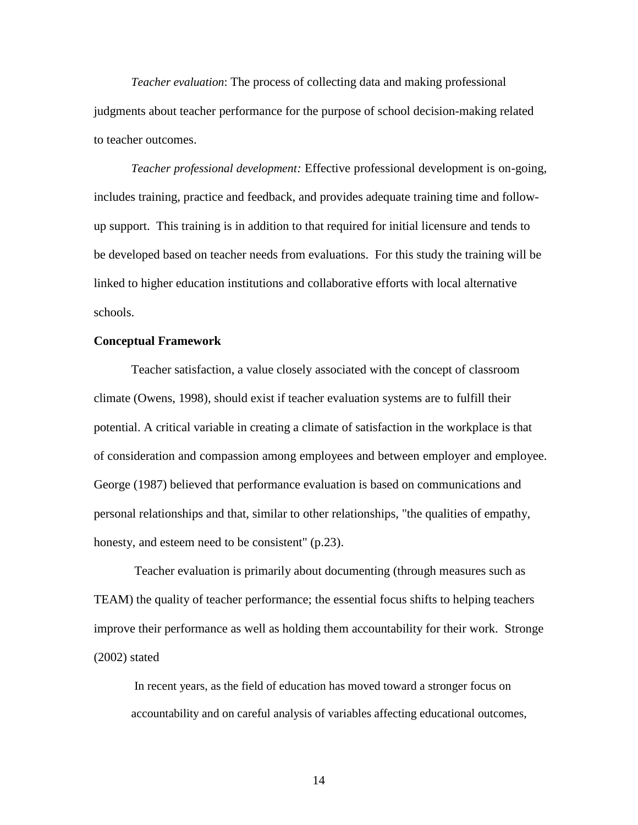*Teacher evaluation*: The process of collecting data and making professional judgments about teacher performance for the purpose of school decision-making related to teacher outcomes.

*Teacher professional development:* Effective professional development is on-going, includes training, practice and feedback, and provides adequate training time and followup support. This training is in addition to that required for initial licensure and tends to be developed based on teacher needs from evaluations. For this study the training will be linked to higher education institutions and collaborative efforts with local alternative schools.

#### **Conceptual Framework**

Teacher satisfaction, a value closely associated with the concept of classroom climate (Owens, 1998), should exist if teacher evaluation systems are to fulfill their potential. A critical variable in creating a climate of satisfaction in the workplace is that of consideration and compassion among employees and between employer and employee. George (1987) believed that performance evaluation is based on communications and personal relationships and that, similar to other relationships, "the qualities of empathy, honesty, and esteem need to be consistent" (p.23).

Teacher evaluation is primarily about documenting (through measures such as TEAM) the quality of teacher performance; the essential focus shifts to helping teachers improve their performance as well as holding them accountability for their work. Stronge (2002) stated

In recent years, as the field of education has moved toward a stronger focus on accountability and on careful analysis of variables affecting educational outcomes,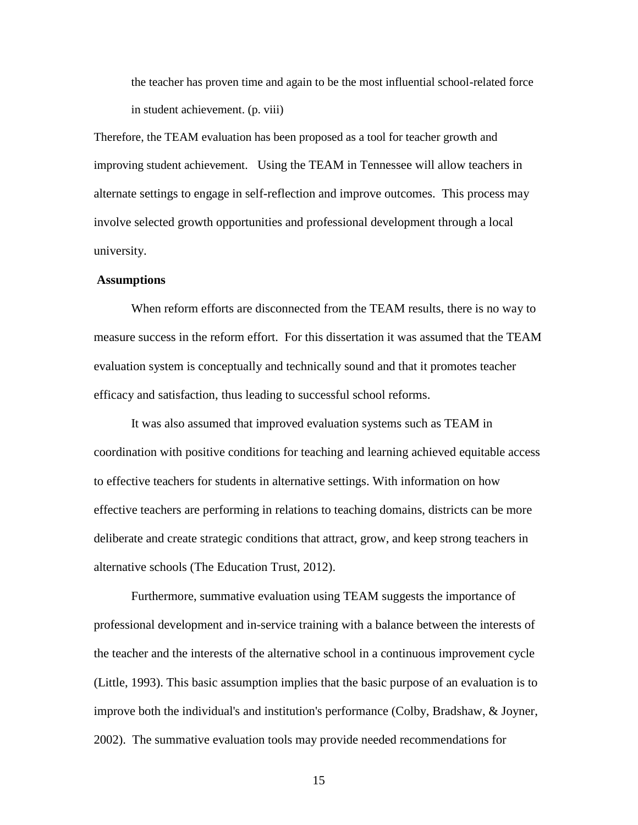the teacher has proven time and again to be the most influential school-related force in student achievement. (p. viii)

Therefore, the TEAM evaluation has been proposed as a tool for teacher growth and improving student achievement. Using the TEAM in Tennessee will allow teachers in alternate settings to engage in self-reflection and improve outcomes. This process may involve selected growth opportunities and professional development through a local university.

#### **Assumptions**

When reform efforts are disconnected from the TEAM results, there is no way to measure success in the reform effort. For this dissertation it was assumed that the TEAM evaluation system is conceptually and technically sound and that it promotes teacher efficacy and satisfaction, thus leading to successful school reforms.

It was also assumed that improved evaluation systems such as TEAM in coordination with positive conditions for teaching and learning achieved equitable access to effective teachers for students in alternative settings. With information on how effective teachers are performing in relations to teaching domains, districts can be more deliberate and create strategic conditions that attract, grow, and keep strong teachers in alternative schools (The Education Trust, 2012).

Furthermore, summative evaluation using TEAM suggests the importance of professional development and in-service training with a balance between the interests of the teacher and the interests of the alternative school in a continuous improvement cycle (Little, 1993). This basic assumption implies that the basic purpose of an evaluation is to improve both the individual's and institution's performance (Colby, Bradshaw, & Joyner, 2002). The summative evaluation tools may provide needed recommendations for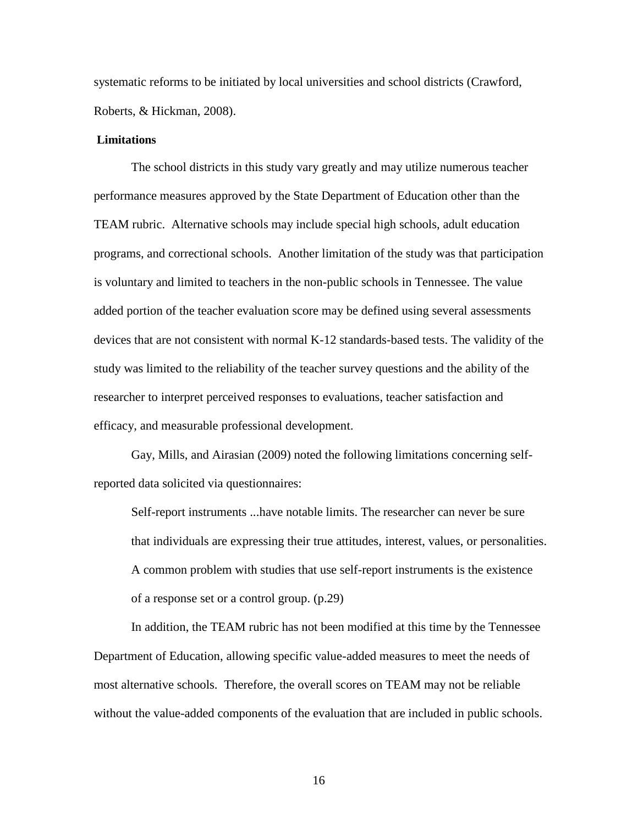systematic reforms to be initiated by local universities and school districts (Crawford, Roberts, & Hickman, 2008).

#### **Limitations**

The school districts in this study vary greatly and may utilize numerous teacher performance measures approved by the State Department of Education other than the TEAM rubric. Alternative schools may include special high schools, adult education programs, and correctional schools. Another limitation of the study was that participation is voluntary and limited to teachers in the non-public schools in Tennessee. The value added portion of the teacher evaluation score may be defined using several assessments devices that are not consistent with normal K-12 standards-based tests. The validity of the study was limited to the reliability of the teacher survey questions and the ability of the researcher to interpret perceived responses to evaluations, teacher satisfaction and efficacy, and measurable professional development.

Gay, Mills, and Airasian (2009) noted the following limitations concerning selfreported data solicited via questionnaires:

Self-report instruments ...have notable limits. The researcher can never be sure that individuals are expressing their true attitudes, interest, values, or personalities. A common problem with studies that use self-report instruments is the existence of a response set or a control group. (p.29)

In addition, the TEAM rubric has not been modified at this time by the Tennessee Department of Education, allowing specific value-added measures to meet the needs of most alternative schools. Therefore, the overall scores on TEAM may not be reliable without the value-added components of the evaluation that are included in public schools.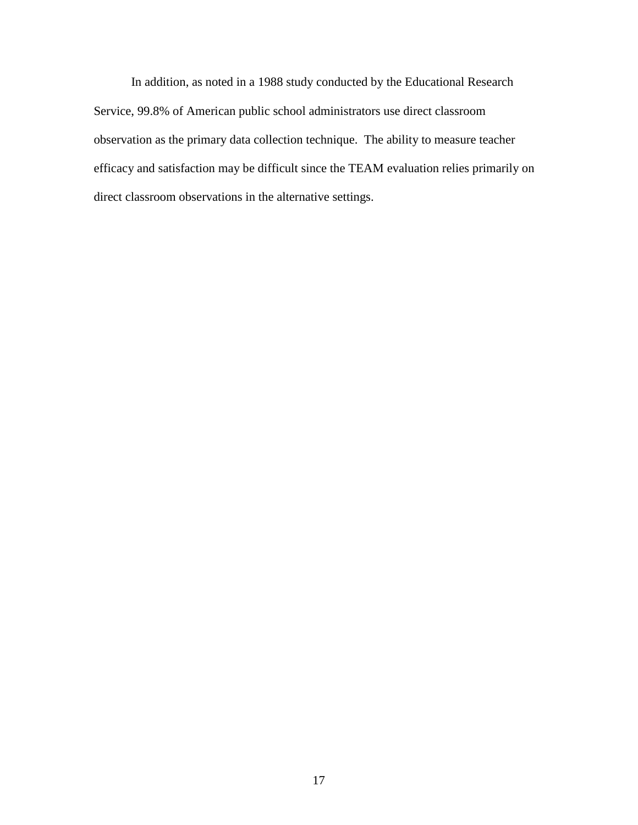In addition, as noted in a 1988 study conducted by the Educational Research Service, 99.8% of American public school administrators use direct classroom observation as the primary data collection technique. The ability to measure teacher efficacy and satisfaction may be difficult since the TEAM evaluation relies primarily on direct classroom observations in the alternative settings.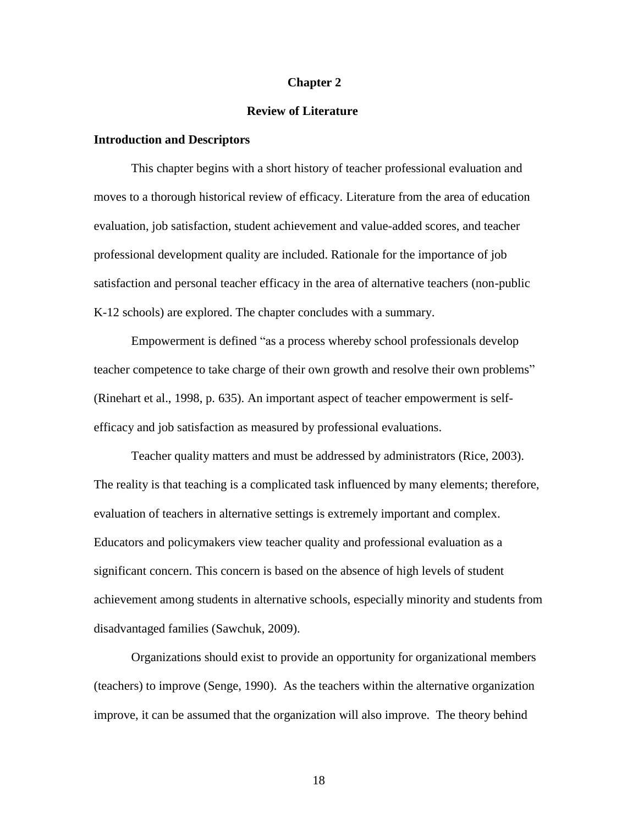#### **Chapter 2**

#### **Review of Literature**

#### **Introduction and Descriptors**

This chapter begins with a short history of teacher professional evaluation and moves to a thorough historical review of efficacy. Literature from the area of education evaluation, job satisfaction, student achievement and value-added scores, and teacher professional development quality are included. Rationale for the importance of job satisfaction and personal teacher efficacy in the area of alternative teachers (non-public K-12 schools) are explored. The chapter concludes with a summary.

Empowerment is defined "as a process whereby school professionals develop teacher competence to take charge of their own growth and resolve their own problems" (Rinehart et al., 1998, p. 635). An important aspect of teacher empowerment is selfefficacy and job satisfaction as measured by professional evaluations.

Teacher quality matters and must be addressed by administrators (Rice, 2003). The reality is that teaching is a complicated task influenced by many elements; therefore, evaluation of teachers in alternative settings is extremely important and complex. Educators and policymakers view teacher quality and professional evaluation as a significant concern. This concern is based on the absence of high levels of student achievement among students in alternative schools, especially minority and students from disadvantaged families (Sawchuk, 2009).

Organizations should exist to provide an opportunity for organizational members (teachers) to improve (Senge, 1990). As the teachers within the alternative organization improve, it can be assumed that the organization will also improve. The theory behind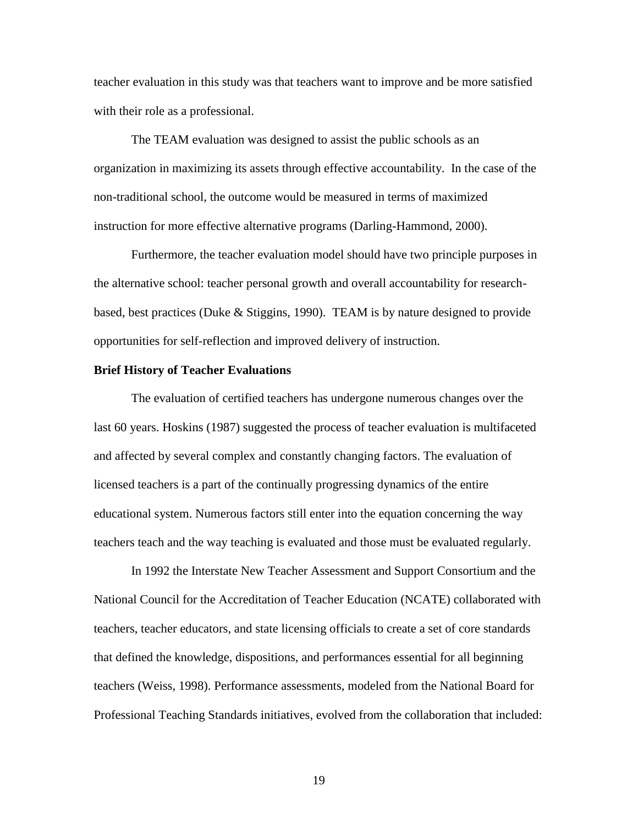teacher evaluation in this study was that teachers want to improve and be more satisfied with their role as a professional.

The TEAM evaluation was designed to assist the public schools as an organization in maximizing its assets through effective accountability. In the case of the non-traditional school, the outcome would be measured in terms of maximized instruction for more effective alternative programs (Darling-Hammond, 2000).

Furthermore, the teacher evaluation model should have two principle purposes in the alternative school: teacher personal growth and overall accountability for researchbased, best practices (Duke & Stiggins, 1990). TEAM is by nature designed to provide opportunities for self-reflection and improved delivery of instruction.

#### **Brief History of Teacher Evaluations**

The evaluation of certified teachers has undergone numerous changes over the last 60 years. Hoskins (1987) suggested the process of teacher evaluation is multifaceted and affected by several complex and constantly changing factors. The evaluation of licensed teachers is a part of the continually progressing dynamics of the entire educational system. Numerous factors still enter into the equation concerning the way teachers teach and the way teaching is evaluated and those must be evaluated regularly.

In 1992 the Interstate New Teacher Assessment and Support Consortium and the National Council for the Accreditation of Teacher Education (NCATE) collaborated with teachers, teacher educators, and state licensing officials to create a set of core standards that defined the knowledge, dispositions, and performances essential for all beginning teachers (Weiss, 1998). Performance assessments, modeled from the National Board for Professional Teaching Standards initiatives, evolved from the collaboration that included: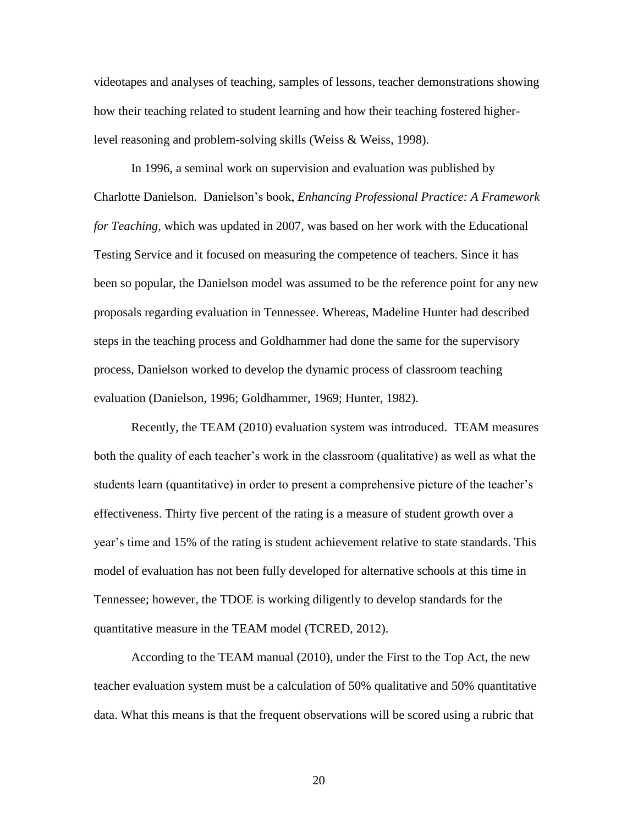videotapes and analyses of teaching, samples of lessons, teacher demonstrations showing how their teaching related to student learning and how their teaching fostered higherlevel reasoning and problem-solving skills (Weiss & Weiss, 1998).

In 1996, a seminal work on supervision and evaluation was published by Charlotte Danielson. Danielson"s book, *Enhancing Professional Practice: A Framework for Teaching*, which was updated in 2007, was based on her work with the Educational Testing Service and it focused on measuring the competence of teachers. Since it has been so popular, the Danielson model was assumed to be the reference point for any new proposals regarding evaluation in Tennessee. Whereas, Madeline Hunter had described steps in the teaching process and Goldhammer had done the same for the supervisory process, Danielson worked to develop the dynamic process of classroom teaching evaluation (Danielson, 1996; Goldhammer, 1969; Hunter, 1982).

Recently, the TEAM (2010) evaluation system was introduced. TEAM measures both the quality of each teacher"s work in the classroom (qualitative) as well as what the students learn (quantitative) in order to present a comprehensive picture of the teacher"s effectiveness. Thirty five percent of the rating is a measure of student growth over a year"s time and 15% of the rating is student achievement relative to state standards. This model of evaluation has not been fully developed for alternative schools at this time in Tennessee; however, the TDOE is working diligently to develop standards for the quantitative measure in the TEAM model (TCRED, 2012).

According to the TEAM manual (2010), under the First to the Top Act, the new teacher evaluation system must be a calculation of 50% qualitative and 50% quantitative data. What this means is that the frequent observations will be scored using a rubric that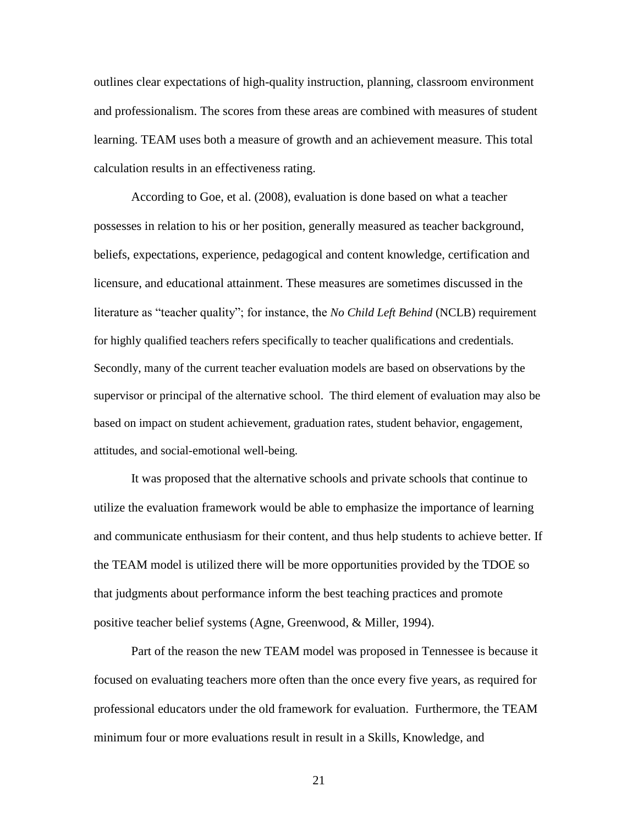outlines clear expectations of high-quality instruction, planning, classroom environment and professionalism. The scores from these areas are combined with measures of student learning. TEAM uses both a measure of growth and an achievement measure. This total calculation results in an effectiveness rating.

According to Goe, et al. (2008), evaluation is done based on what a teacher possesses in relation to his or her position, generally measured as teacher background, beliefs, expectations, experience, pedagogical and content knowledge, certification and licensure, and educational attainment. These measures are sometimes discussed in the literature as "teacher quality"; for instance, the *No Child Left Behind* (NCLB) requirement for highly qualified teachers refers specifically to teacher qualifications and credentials. Secondly, many of the current teacher evaluation models are based on observations by the supervisor or principal of the alternative school. The third element of evaluation may also be based on impact on student achievement, graduation rates, student behavior, engagement, attitudes, and social-emotional well-being.

It was proposed that the alternative schools and private schools that continue to utilize the evaluation framework would be able to emphasize the importance of learning and communicate enthusiasm for their content, and thus help students to achieve better. If the TEAM model is utilized there will be more opportunities provided by the TDOE so that judgments about performance inform the best teaching practices and promote positive teacher belief systems (Agne, Greenwood, & Miller, 1994).

Part of the reason the new TEAM model was proposed in Tennessee is because it focused on evaluating teachers more often than the once every five years, as required for professional educators under the old framework for evaluation. Furthermore, the TEAM minimum four or more evaluations result in result in a Skills, Knowledge, and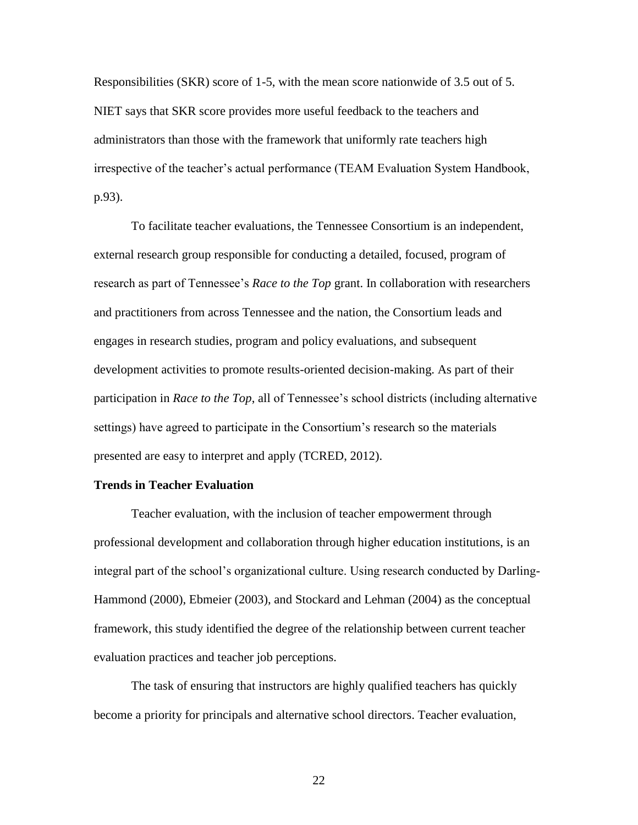Responsibilities (SKR) score of 1-5, with the mean score nationwide of 3.5 out of 5. NIET says that SKR score provides more useful feedback to the teachers and administrators than those with the framework that uniformly rate teachers high irrespective of the teacher's actual performance (TEAM Evaluation System Handbook, p.93).

To facilitate teacher evaluations, the Tennessee Consortium is an independent, external research group responsible for conducting a detailed, focused, program of research as part of Tennessee"s *Race to the Top* grant. In collaboration with researchers and practitioners from across Tennessee and the nation, the Consortium leads and engages in research studies, program and policy evaluations, and subsequent development activities to promote results-oriented decision-making. As part of their participation in *Race to the Top*, all of Tennessee's school districts (including alternative settings) have agreed to participate in the Consortium"s research so the materials presented are easy to interpret and apply (TCRED, 2012).

#### **Trends in Teacher Evaluation**

Teacher evaluation, with the inclusion of teacher empowerment through professional development and collaboration through higher education institutions, is an integral part of the school"s organizational culture. Using research conducted by Darling-Hammond (2000), Ebmeier (2003), and Stockard and Lehman (2004) as the conceptual framework, this study identified the degree of the relationship between current teacher evaluation practices and teacher job perceptions.

The task of ensuring that instructors are highly qualified teachers has quickly become a priority for principals and alternative school directors. Teacher evaluation,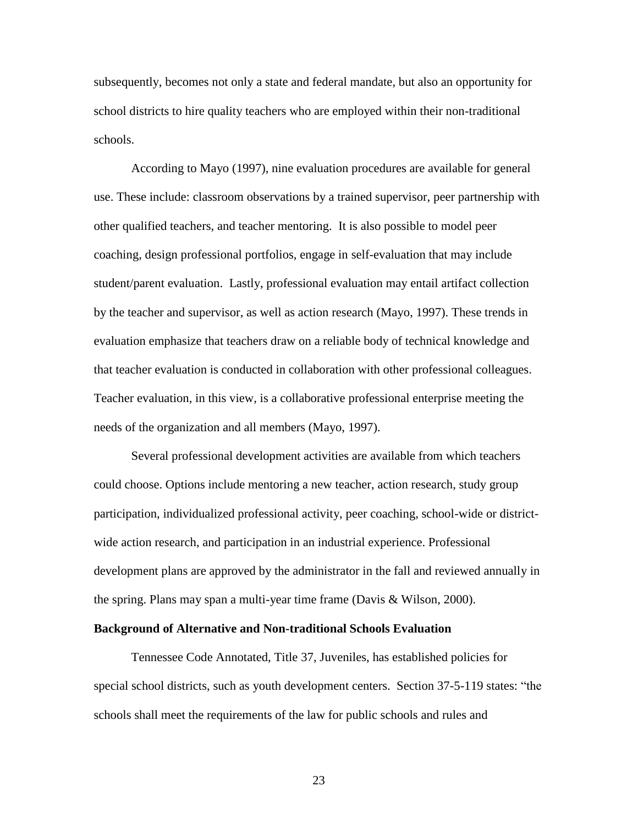subsequently, becomes not only a state and federal mandate, but also an opportunity for school districts to hire quality teachers who are employed within their non-traditional schools.

According to Mayo (1997), nine evaluation procedures are available for general use. These include: classroom observations by a trained supervisor, peer partnership with other qualified teachers, and teacher mentoring. It is also possible to model peer coaching, design professional portfolios, engage in self-evaluation that may include student/parent evaluation. Lastly, professional evaluation may entail artifact collection by the teacher and supervisor, as well as action research (Mayo, 1997). These trends in evaluation emphasize that teachers draw on a reliable body of technical knowledge and that teacher evaluation is conducted in collaboration with other professional colleagues. Teacher evaluation, in this view, is a collaborative professional enterprise meeting the needs of the organization and all members (Mayo, 1997).

Several professional development activities are available from which teachers could choose. Options include mentoring a new teacher, action research, study group participation, individualized professional activity, peer coaching, school-wide or districtwide action research, and participation in an industrial experience. Professional development plans are approved by the administrator in the fall and reviewed annually in the spring. Plans may span a multi-year time frame (Davis & Wilson, 2000).

#### **Background of Alternative and Non-traditional Schools Evaluation**

Tennessee Code Annotated, Title 37, Juveniles, has established policies for special school districts, such as youth development centers. Section 37-5-119 states: "the schools shall meet the requirements of the law for public schools and rules and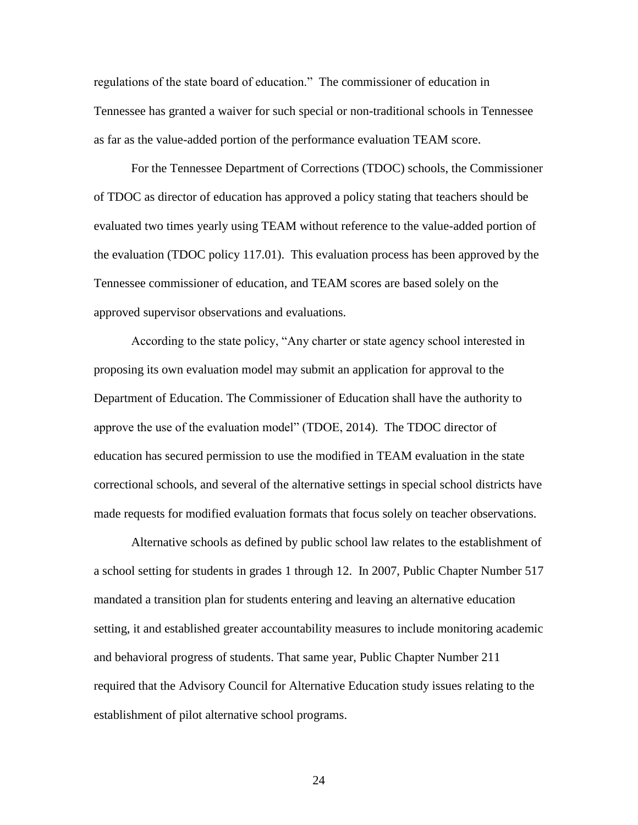regulations of the state board of education." The commissioner of education in Tennessee has granted a waiver for such special or non-traditional schools in Tennessee as far as the value-added portion of the performance evaluation TEAM score.

For the Tennessee Department of Corrections (TDOC) schools, the Commissioner of TDOC as director of education has approved a policy stating that teachers should be evaluated two times yearly using TEAM without reference to the value-added portion of the evaluation (TDOC policy 117.01). This evaluation process has been approved by the Tennessee commissioner of education, and TEAM scores are based solely on the approved supervisor observations and evaluations.

According to the state policy, "Any charter or state agency school interested in proposing its own evaluation model may submit an application for approval to the Department of Education. The Commissioner of Education shall have the authority to approve the use of the evaluation model" (TDOE, 2014). The TDOC director of education has secured permission to use the modified in TEAM evaluation in the state correctional schools, and several of the alternative settings in special school districts have made requests for modified evaluation formats that focus solely on teacher observations.

Alternative schools as defined by public school law relates to the establishment of a school setting for students in grades 1 through 12. In 2007, Public Chapter Number 517 mandated a transition plan for students entering and leaving an alternative education setting, it and established greater accountability measures to include monitoring academic and behavioral progress of students. That same year, Public Chapter Number 211 required that the Advisory Council for Alternative Education study issues relating to the establishment of pilot alternative school programs.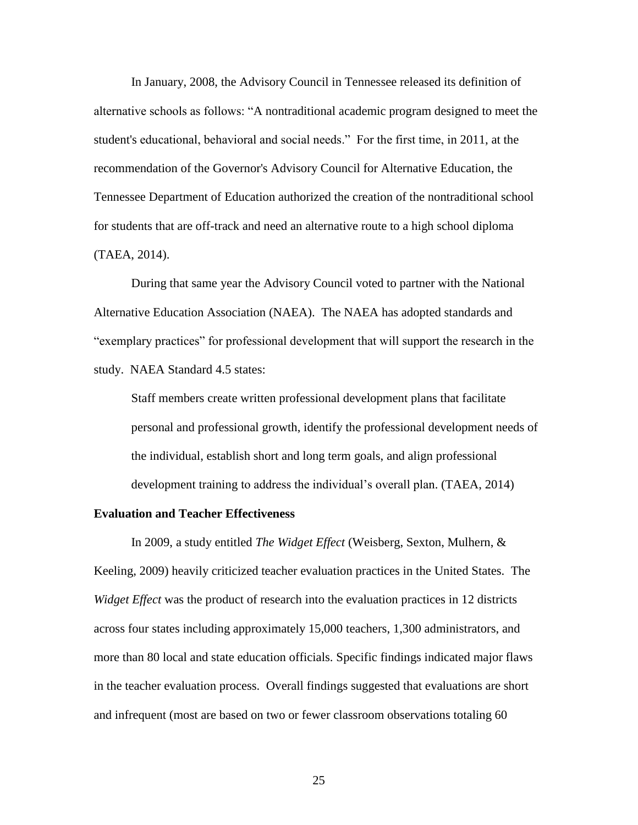In January, 2008, the Advisory Council in Tennessee released its definition of alternative schools as follows: "A nontraditional academic program designed to meet the student's educational, behavioral and social needs." For the first time, in 2011, at the recommendation of the Governor's Advisory Council for Alternative Education, the Tennessee Department of Education authorized the creation of the nontraditional school for students that are off-track and need an alternative route to a high school diploma (TAEA, 2014).

During that same year the Advisory Council voted to partner with the National Alternative Education Association (NAEA). The NAEA has adopted standards and "exemplary practices" for professional development that will support the research in the study. NAEA Standard 4.5 states:

Staff members create written professional development plans that facilitate personal and professional growth, identify the professional development needs of the individual, establish short and long term goals, and align professional development training to address the individual's overall plan. (TAEA, 2014)

#### **Evaluation and Teacher Effectiveness**

In 2009, a study entitled *The Widget Effect* (Weisberg, Sexton, Mulhern, & Keeling, 2009) heavily criticized teacher evaluation practices in the United States. The *Widget Effect* was the product of research into the evaluation practices in 12 districts across four states including approximately 15,000 teachers, 1,300 administrators, and more than 80 local and state education officials. Specific findings indicated major flaws in the teacher evaluation process. Overall findings suggested that evaluations are short and infrequent (most are based on two or fewer classroom observations totaling 60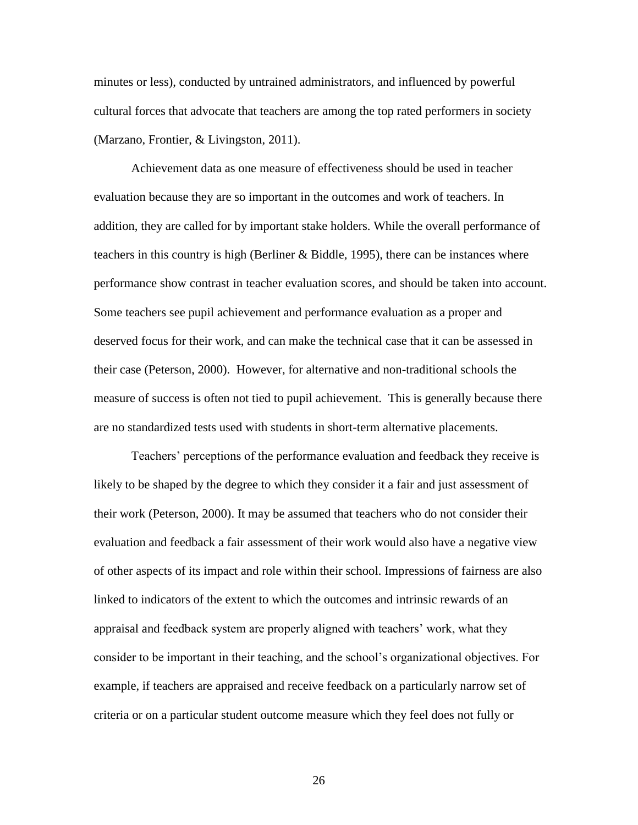minutes or less), conducted by untrained administrators, and influenced by powerful cultural forces that advocate that teachers are among the top rated performers in society (Marzano, Frontier, & Livingston, 2011).

Achievement data as one measure of effectiveness should be used in teacher evaluation because they are so important in the outcomes and work of teachers. In addition, they are called for by important stake holders. While the overall performance of teachers in this country is high (Berliner & Biddle, 1995), there can be instances where performance show contrast in teacher evaluation scores, and should be taken into account. Some teachers see pupil achievement and performance evaluation as a proper and deserved focus for their work, and can make the technical case that it can be assessed in their case (Peterson, 2000). However, for alternative and non-traditional schools the measure of success is often not tied to pupil achievement. This is generally because there are no standardized tests used with students in short-term alternative placements.

Teachers" perceptions of the performance evaluation and feedback they receive is likely to be shaped by the degree to which they consider it a fair and just assessment of their work (Peterson, 2000). It may be assumed that teachers who do not consider their evaluation and feedback a fair assessment of their work would also have a negative view of other aspects of its impact and role within their school. Impressions of fairness are also linked to indicators of the extent to which the outcomes and intrinsic rewards of an appraisal and feedback system are properly aligned with teachers" work, what they consider to be important in their teaching, and the school"s organizational objectives. For example, if teachers are appraised and receive feedback on a particularly narrow set of criteria or on a particular student outcome measure which they feel does not fully or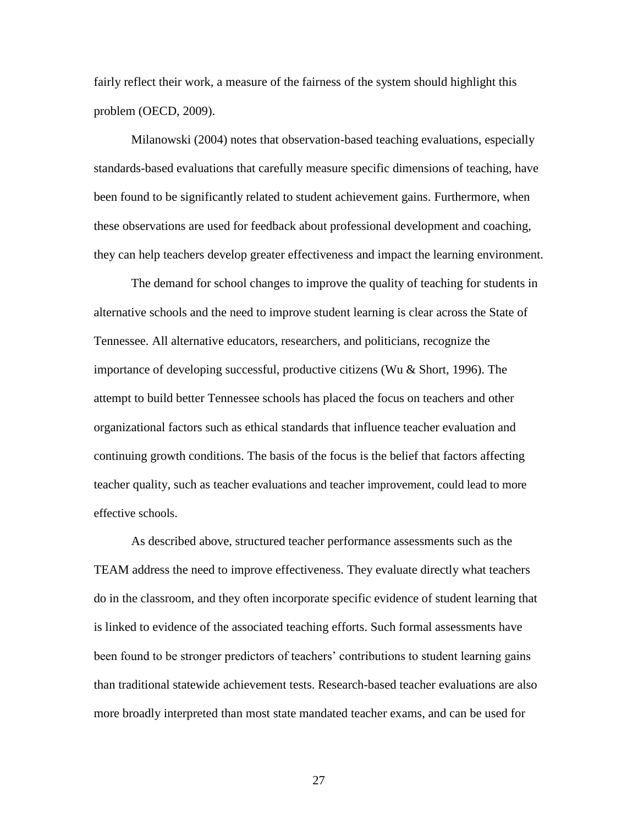fairly reflect their work, a measure of the fairness of the system should highlight this problem (OECD, 2009).

Milanowski (2004) notes that observation-based teaching evaluations, especially standards-based evaluations that carefully measure specific dimensions of teaching, have been found to be significantly related to student achievement gains. Furthermore, when these observations are used for feedback about professional development and coaching, they can help teachers develop greater effectiveness and impact the learning environment.

The demand for school changes to improve the quality of teaching for students in alternative schools and the need to improve student learning is clear across the State of Tennessee. All alternative educators, researchers, and politicians, recognize the importance of developing successful, productive citizens (Wu & Short, 1996). The attempt to build better Tennessee schools has placed the focus on teachers and other organizational factors such as ethical standards that influence teacher evaluation and continuing growth conditions. The basis of the focus is the belief that factors affecting teacher quality, such as teacher evaluations and teacher improvement, could lead to more effective schools.

As described above, structured teacher performance assessments such as the TEAM address the need to improve effectiveness. They evaluate directly what teachers do in the classroom, and they often incorporate specific evidence of student learning that is linked to evidence of the associated teaching efforts. Such formal assessments have been found to be stronger predictors of teachers' contributions to student learning gains than traditional statewide achievement tests. Research-based teacher evaluations are also more broadly interpreted than most state mandated teacher exams, and can be used for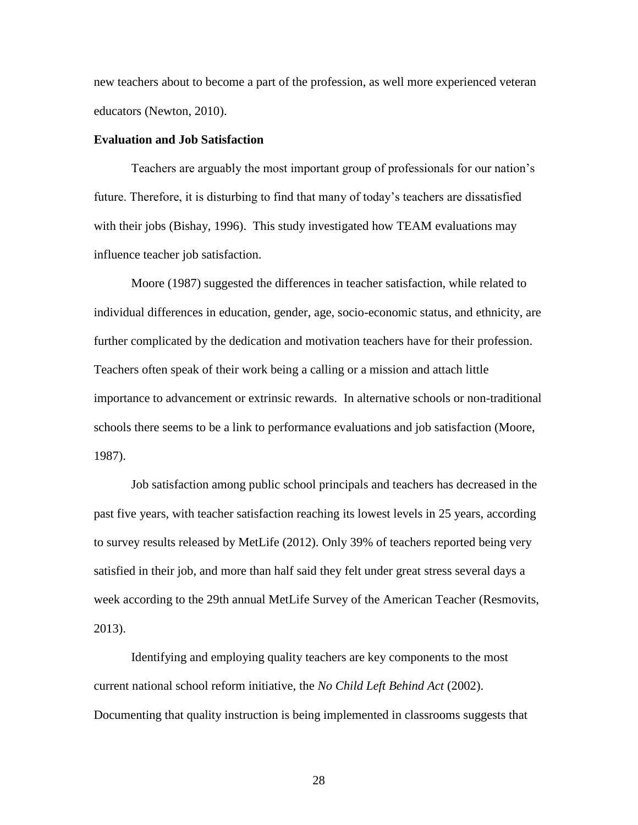new teachers about to become a part of the profession, as well more experienced veteran educators (Newton, 2010).

#### **Evaluation and Job Satisfaction**

Teachers are arguably the most important group of professionals for our nation"s future. Therefore, it is disturbing to find that many of today"s teachers are dissatisfied with their jobs (Bishay, 1996). This study investigated how TEAM evaluations may influence teacher job satisfaction.

Moore (1987) suggested the differences in teacher satisfaction, while related to individual differences in education, gender, age, socio-economic status, and ethnicity, are further complicated by the dedication and motivation teachers have for their profession. Teachers often speak of their work being a calling or a mission and attach little importance to advancement or extrinsic rewards. In alternative schools or non-traditional schools there seems to be a link to performance evaluations and job satisfaction (Moore, 1987).

Job satisfaction among public school principals and teachers has decreased in the past five years, with teacher satisfaction reaching its lowest levels in 25 years, according to survey results released by MetLife (2012). Only 39% of teachers reported being very satisfied in their job, and more than half said they felt under great stress several days a week according to the 29th annual MetLife Survey of the American Teacher (Resmovits, 2013).

Identifying and employing quality teachers are key components to the most current national school reform initiative, the *No Child Left Behind Act* (2002). Documenting that quality instruction is being implemented in classrooms suggests that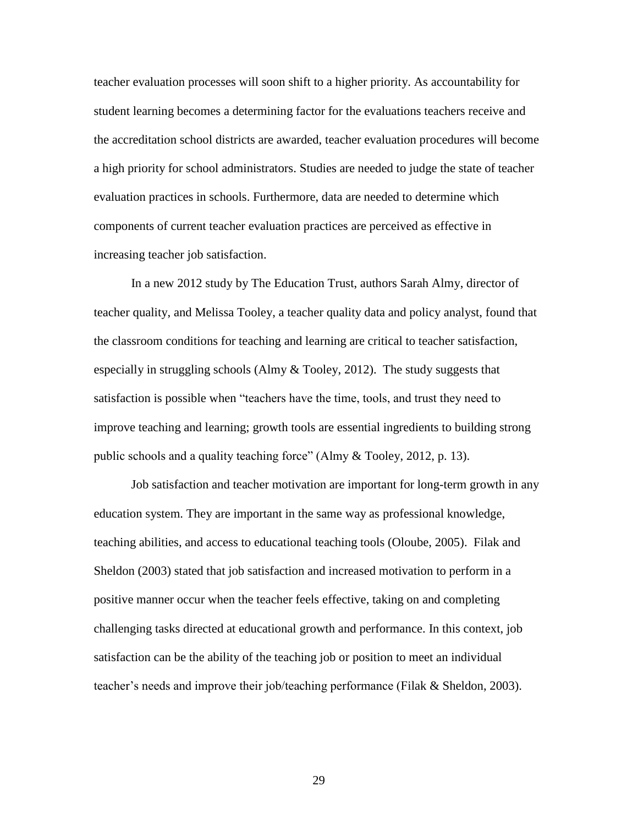teacher evaluation processes will soon shift to a higher priority. As accountability for student learning becomes a determining factor for the evaluations teachers receive and the accreditation school districts are awarded, teacher evaluation procedures will become a high priority for school administrators. Studies are needed to judge the state of teacher evaluation practices in schools. Furthermore, data are needed to determine which components of current teacher evaluation practices are perceived as effective in increasing teacher job satisfaction.

In a new 2012 study by The Education Trust, authors Sarah Almy, director of teacher quality, and Melissa Tooley, a teacher quality data and policy analyst, found that the classroom conditions for teaching and learning are critical to teacher satisfaction, especially in struggling schools (Almy & Tooley, 2012). The study suggests that satisfaction is possible when "teachers have the time, tools, and trust they need to improve teaching and learning; growth tools are essential ingredients to building strong public schools and a quality teaching force" (Almy & Tooley, 2012, p. 13).

Job satisfaction and teacher motivation are important for long-term growth in any education system. They are important in the same way as professional knowledge, teaching abilities, and access to educational teaching tools (Oloube, 2005). Filak and Sheldon (2003) stated that job satisfaction and increased motivation to perform in a positive manner occur when the teacher feels effective, taking on and completing challenging tasks directed at educational growth and performance. In this context, job satisfaction can be the ability of the teaching job or position to meet an individual teacher"s needs and improve their job/teaching performance (Filak & Sheldon, 2003).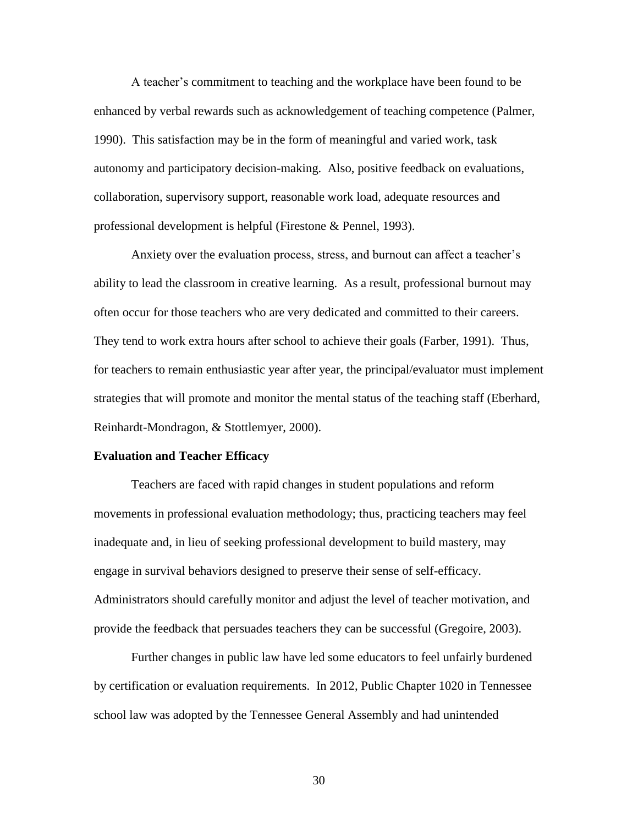A teacher"s commitment to teaching and the workplace have been found to be enhanced by verbal rewards such as acknowledgement of teaching competence (Palmer, 1990). This satisfaction may be in the form of meaningful and varied work, task autonomy and participatory decision-making. Also, positive feedback on evaluations, collaboration, supervisory support, reasonable work load, adequate resources and professional development is helpful (Firestone & Pennel, 1993).

Anxiety over the evaluation process, stress, and burnout can affect a teacher's ability to lead the classroom in creative learning. As a result, professional burnout may often occur for those teachers who are very dedicated and committed to their careers. They tend to work extra hours after school to achieve their goals (Farber, 1991). Thus, for teachers to remain enthusiastic year after year, the principal/evaluator must implement strategies that will promote and monitor the mental status of the teaching staff (Eberhard, Reinhardt-Mondragon, & Stottlemyer, 2000).

#### **Evaluation and Teacher Efficacy**

Teachers are faced with rapid changes in student populations and reform movements in professional evaluation methodology; thus, practicing teachers may feel inadequate and, in lieu of seeking professional development to build mastery, may engage in survival behaviors designed to preserve their sense of self-efficacy. Administrators should carefully monitor and adjust the level of teacher motivation, and provide the feedback that persuades teachers they can be successful (Gregoire, 2003).

Further changes in public law have led some educators to feel unfairly burdened by certification or evaluation requirements. In 2012, Public Chapter 1020 in Tennessee school law was adopted by the Tennessee General Assembly and had unintended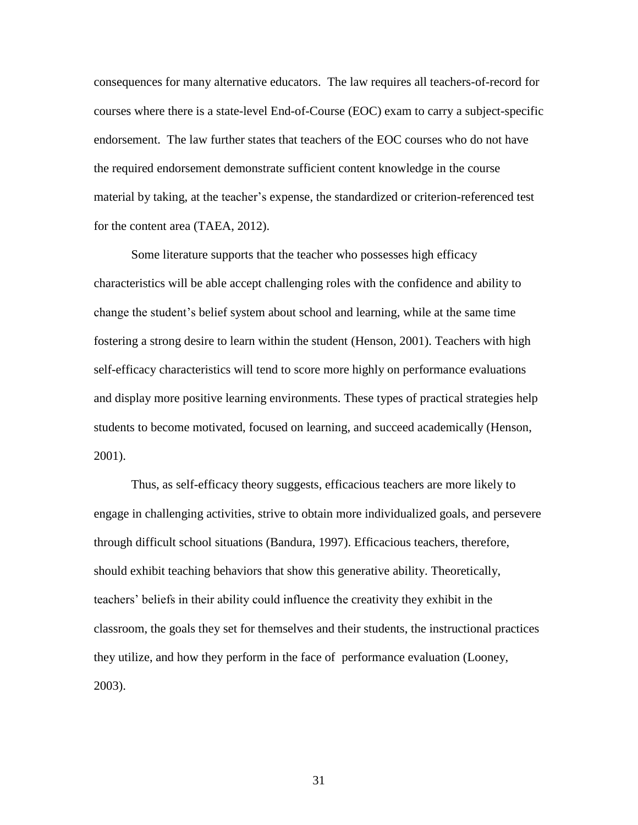consequences for many alternative educators. The law requires all teachers-of-record for courses where there is a state-level End-of-Course (EOC) exam to carry a subject-specific endorsement. The law further states that teachers of the EOC courses who do not have the required endorsement demonstrate sufficient content knowledge in the course material by taking, at the teacher"s expense, the standardized or criterion-referenced test for the content area (TAEA, 2012).

Some literature supports that the teacher who possesses high efficacy characteristics will be able accept challenging roles with the confidence and ability to change the student"s belief system about school and learning, while at the same time fostering a strong desire to learn within the student (Henson, 2001). Teachers with high self-efficacy characteristics will tend to score more highly on performance evaluations and display more positive learning environments. These types of practical strategies help students to become motivated, focused on learning, and succeed academically (Henson, 2001).

Thus, as self-efficacy theory suggests, efficacious teachers are more likely to engage in challenging activities, strive to obtain more individualized goals, and persevere through difficult school situations (Bandura, 1997). Efficacious teachers, therefore, should exhibit teaching behaviors that show this generative ability. Theoretically, teachers" beliefs in their ability could influence the creativity they exhibit in the classroom, the goals they set for themselves and their students, the instructional practices they utilize, and how they perform in the face of performance evaluation (Looney, 2003).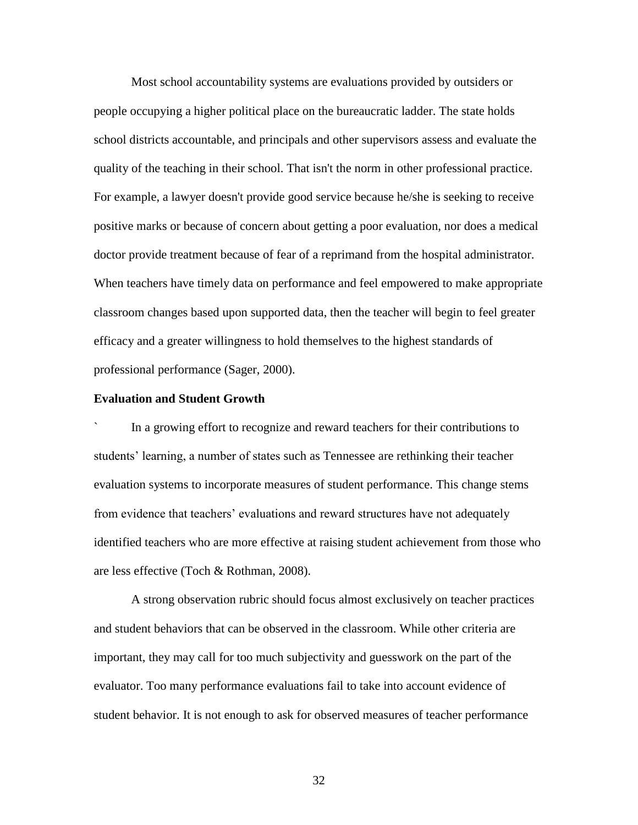Most school accountability systems are evaluations provided by outsiders or people occupying a higher political place on the bureaucratic ladder. The state holds school districts accountable, and principals and other supervisors assess and evaluate the quality of the teaching in their school. That isn't the norm in other professional practice. For example, a lawyer doesn't provide good service because he/she is seeking to receive positive marks or because of concern about getting a poor evaluation, nor does a medical doctor provide treatment because of fear of a reprimand from the hospital administrator. When teachers have timely data on performance and feel empowered to make appropriate classroom changes based upon supported data, then the teacher will begin to feel greater efficacy and a greater willingness to hold themselves to the highest standards of professional performance (Sager, 2000).

## **Evaluation and Student Growth**

In a growing effort to recognize and reward teachers for their contributions to students" learning, a number of states such as Tennessee are rethinking their teacher evaluation systems to incorporate measures of student performance. This change stems from evidence that teachers' evaluations and reward structures have not adequately identified teachers who are more effective at raising student achievement from those who are less effective (Toch & Rothman, 2008).

A strong observation rubric should focus almost exclusively on teacher practices and student behaviors that can be observed in the classroom. While other criteria are important, they may call for too much subjectivity and guesswork on the part of the evaluator. Too many performance evaluations fail to take into account evidence of student behavior. It is not enough to ask for observed measures of teacher performance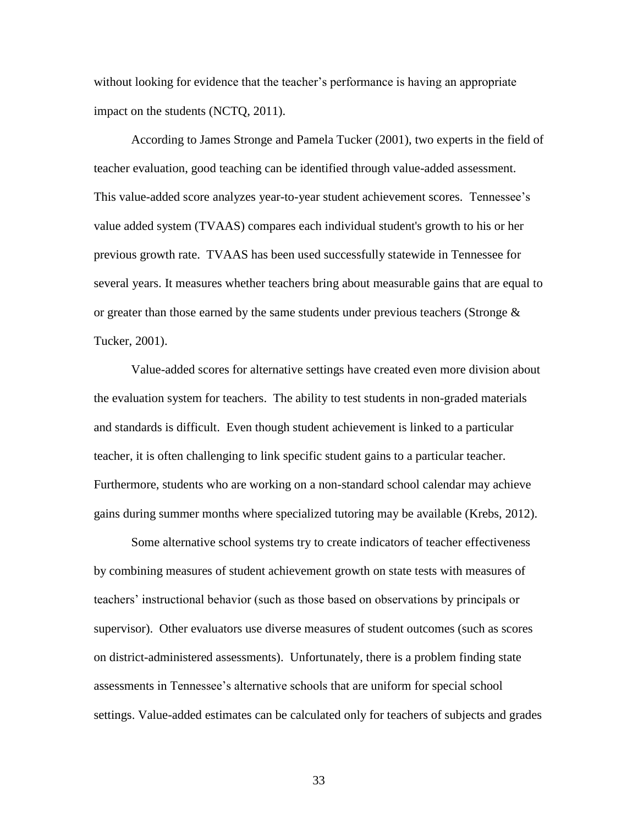without looking for evidence that the teacher's performance is having an appropriate impact on the students (NCTQ, 2011).

According to James Stronge and Pamela Tucker (2001), two experts in the field of teacher evaluation, good teaching can be identified through value-added assessment. This value-added score analyzes year-to-year student achievement scores. Tennessee"s value added system (TVAAS) compares each individual student's growth to his or her previous growth rate. TVAAS has been used successfully statewide in Tennessee for several years. It measures whether teachers bring about measurable gains that are equal to or greater than those earned by the same students under previous teachers (Stronge  $\&$ Tucker, 2001).

Value-added scores for alternative settings have created even more division about the evaluation system for teachers. The ability to test students in non-graded materials and standards is difficult. Even though student achievement is linked to a particular teacher, it is often challenging to link specific student gains to a particular teacher. Furthermore, students who are working on a non-standard school calendar may achieve gains during summer months where specialized tutoring may be available (Krebs, 2012).

Some alternative school systems try to create indicators of teacher effectiveness by combining measures of student achievement growth on state tests with measures of teachers" instructional behavior (such as those based on observations by principals or supervisor). Other evaluators use diverse measures of student outcomes (such as scores on district-administered assessments). Unfortunately, there is a problem finding state assessments in Tennessee"s alternative schools that are uniform for special school settings. Value-added estimates can be calculated only for teachers of subjects and grades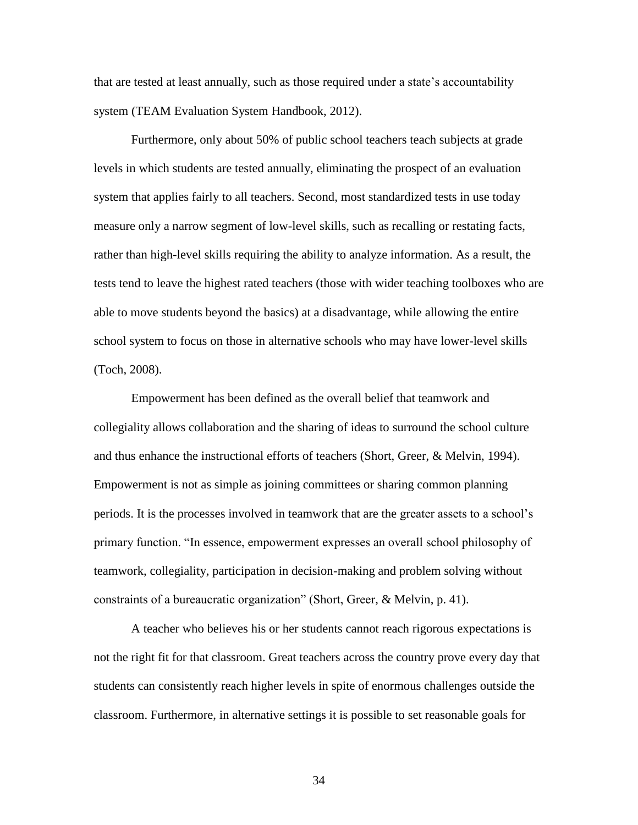that are tested at least annually, such as those required under a state"s accountability system (TEAM Evaluation System Handbook, 2012).

Furthermore, only about 50% of public school teachers teach subjects at grade levels in which students are tested annually, eliminating the prospect of an evaluation system that applies fairly to all teachers. Second, most standardized tests in use today measure only a narrow segment of low-level skills, such as recalling or restating facts, rather than high-level skills requiring the ability to analyze information. As a result, the tests tend to leave the highest rated teachers (those with wider teaching toolboxes who are able to move students beyond the basics) at a disadvantage, while allowing the entire school system to focus on those in alternative schools who may have lower-level skills (Toch, 2008).

Empowerment has been defined as the overall belief that teamwork and collegiality allows collaboration and the sharing of ideas to surround the school culture and thus enhance the instructional efforts of teachers (Short, Greer, & Melvin, 1994). Empowerment is not as simple as joining committees or sharing common planning periods. It is the processes involved in teamwork that are the greater assets to a school"s primary function. "In essence, empowerment expresses an overall school philosophy of teamwork, collegiality, participation in decision-making and problem solving without constraints of a bureaucratic organization" (Short, Greer, & Melvin, p. 41).

A teacher who believes his or her students cannot reach rigorous expectations is not the right fit for that classroom. Great teachers across the country prove every day that students can consistently reach higher levels in spite of enormous challenges outside the classroom. Furthermore, in alternative settings it is possible to set reasonable goals for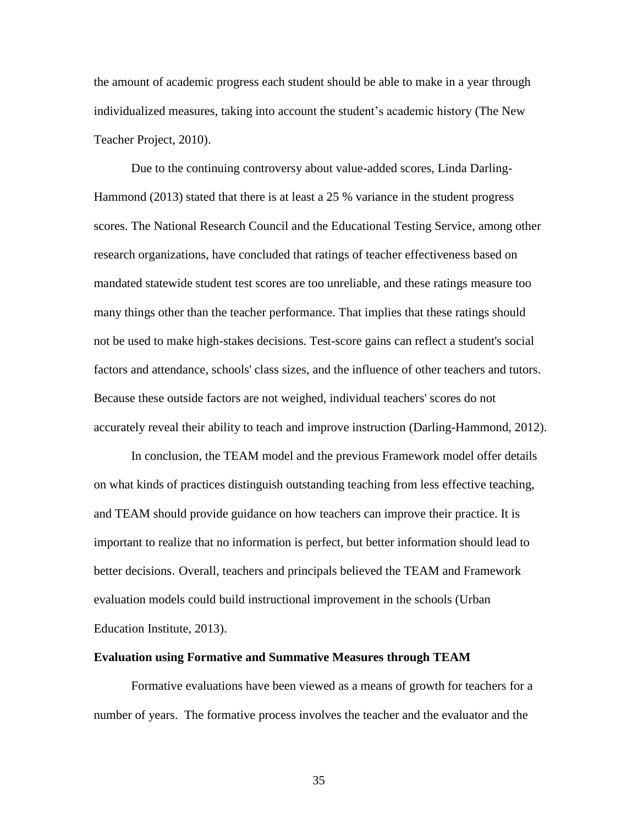the amount of academic progress each student should be able to make in a year through individualized measures, taking into account the student"s academic history (The New Teacher Project, 2010).

Due to the continuing controversy about value-added scores, Linda Darling-Hammond (2013) stated that there is at least a 25 % variance in the student progress scores. The National Research Council and the Educational Testing Service, among other research organizations, have concluded that ratings of teacher effectiveness based on mandated statewide student test scores are too unreliable, and these ratings measure too many things other than the teacher performance. That implies that these ratings should not be used to make high-stakes decisions. Test-score gains can reflect a student's social factors and attendance, schools' class sizes, and the influence of other teachers and tutors. Because these outside factors are not weighed, individual teachers' scores do not accurately reveal their ability to teach and improve instruction (Darling-Hammond, 2012).

In conclusion, the TEAM model and the previous Framework model offer details on what kinds of practices distinguish outstanding teaching from less effective teaching, and TEAM should provide guidance on how teachers can improve their practice. It is important to realize that no information is perfect, but better information should lead to better decisions. Overall, teachers and principals believed the TEAM and Framework evaluation models could build instructional improvement in the schools (Urban Education Institute, 2013).

#### **Evaluation using Formative and Summative Measures through TEAM**

Formative evaluations have been viewed as a means of growth for teachers for a number of years. The formative process involves the teacher and the evaluator and the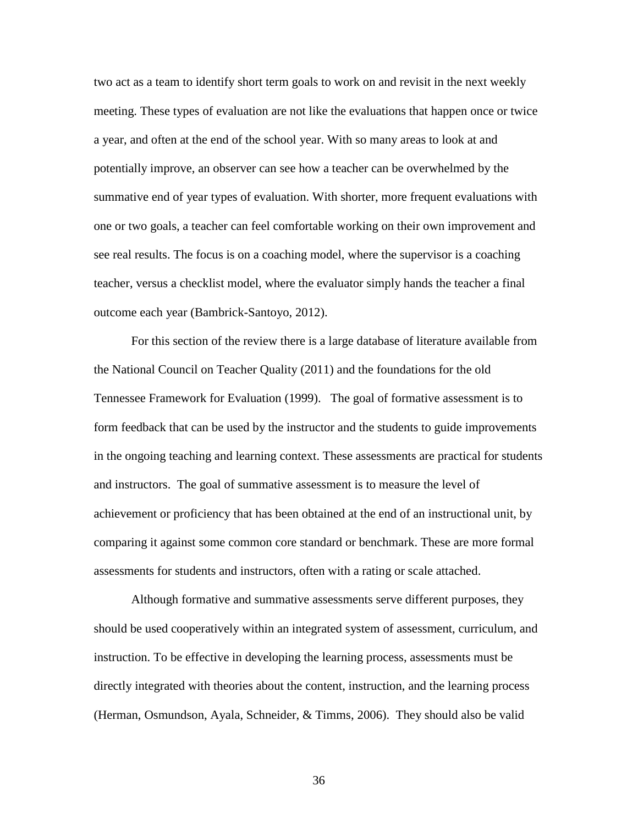two act as a team to identify short term goals to work on and revisit in the next weekly meeting. These types of evaluation are not like the evaluations that happen once or twice a year, and often at the end of the school year. With so many areas to look at and potentially improve, an observer can see how a teacher can be overwhelmed by the summative end of year types of evaluation. With shorter, more frequent evaluations with one or two goals, a teacher can feel comfortable working on their own improvement and see real results. The focus is on a coaching model, where the supervisor is a coaching teacher, versus a checklist model, where the evaluator simply hands the teacher a final outcome each year (Bambrick-Santoyo, 2012).

For this section of the review there is a large database of literature available from the National Council on Teacher Quality (2011) and the foundations for the old Tennessee Framework for Evaluation (1999). The goal of formative assessment is to form feedback that can be used by the instructor and the students to guide improvements in the ongoing teaching and learning context. These assessments are practical for students and instructors. The goal of summative assessment is to measure the level of achievement or proficiency that has been obtained at the end of an instructional unit, by comparing it against some common core standard or benchmark. These are more formal assessments for students and instructors, often with a rating or scale attached.

Although formative and summative assessments serve different purposes, they should be used cooperatively within an integrated system of assessment, curriculum, and instruction. To be effective in developing the learning process, assessments must be directly integrated with theories about the content, instruction, and the learning process (Herman, Osmundson, Ayala, Schneider, & Timms, 2006). They should also be valid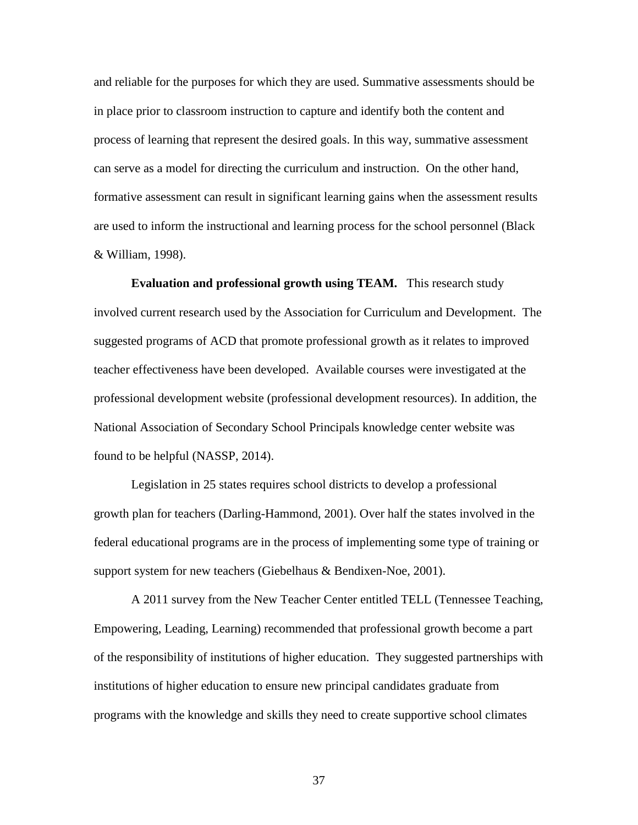and reliable for the purposes for which they are used. Summative assessments should be in place prior to classroom instruction to capture and identify both the content and process of learning that represent the desired goals. In this way, summative assessment can serve as a model for directing the curriculum and instruction. On the other hand, formative assessment can result in significant learning gains when the assessment results are used to inform the instructional and learning process for the school personnel (Black & William, 1998).

**Evaluation and professional growth using TEAM.** This research study involved current research used by the Association for Curriculum and Development. The suggested programs of ACD that promote professional growth as it relates to improved teacher effectiveness have been developed. Available courses were investigated at the professional development website (professional development resources). In addition, the National Association of Secondary School Principals knowledge center website was found to be helpful (NASSP, 2014).

Legislation in 25 states requires school districts to develop a professional growth plan for teachers (Darling-Hammond, 2001). Over half the states involved in the federal educational programs are in the process of implementing some type of training or support system for new teachers (Giebelhaus & Bendixen-Noe, 2001).

A 2011 survey from the New Teacher Center entitled TELL (Tennessee Teaching, Empowering, Leading, Learning) recommended that professional growth become a part of the responsibility of institutions of higher education. They suggested partnerships with institutions of higher education to ensure new principal candidates graduate from programs with the knowledge and skills they need to create supportive school climates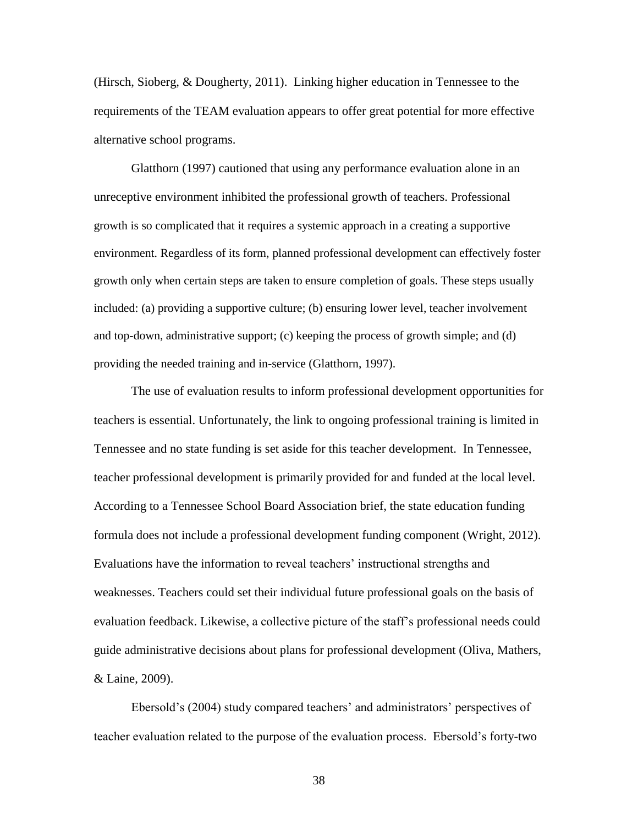(Hirsch, Sioberg, & Dougherty, 2011). Linking higher education in Tennessee to the requirements of the TEAM evaluation appears to offer great potential for more effective alternative school programs.

Glatthorn (1997) cautioned that using any performance evaluation alone in an unreceptive environment inhibited the professional growth of teachers. Professional growth is so complicated that it requires a systemic approach in a creating a supportive environment. Regardless of its form, planned professional development can effectively foster growth only when certain steps are taken to ensure completion of goals. These steps usually included: (a) providing a supportive culture; (b) ensuring lower level, teacher involvement and top-down, administrative support; (c) keeping the process of growth simple; and (d) providing the needed training and in-service (Glatthorn, 1997).

The use of evaluation results to inform professional development opportunities for teachers is essential. Unfortunately, the link to ongoing professional training is limited in Tennessee and no state funding is set aside for this teacher development. In Tennessee, teacher professional development is primarily provided for and funded at the local level. According to a Tennessee School Board Association brief, the state education funding formula does not include a professional development funding component (Wright, 2012). Evaluations have the information to reveal teachers" instructional strengths and weaknesses. Teachers could set their individual future professional goals on the basis of evaluation feedback. Likewise, a collective picture of the staff"s professional needs could guide administrative decisions about plans for professional development (Oliva, Mathers, & Laine, 2009).

Ebersold's (2004) study compared teachers' and administrators' perspectives of teacher evaluation related to the purpose of the evaluation process. Ebersold"s forty-two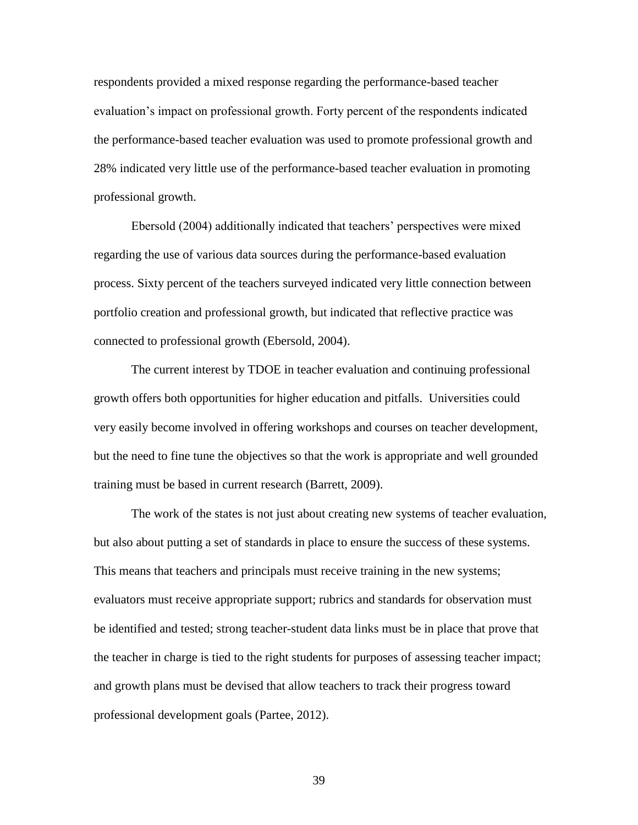respondents provided a mixed response regarding the performance-based teacher evaluation"s impact on professional growth. Forty percent of the respondents indicated the performance-based teacher evaluation was used to promote professional growth and 28% indicated very little use of the performance-based teacher evaluation in promoting professional growth.

Ebersold (2004) additionally indicated that teachers" perspectives were mixed regarding the use of various data sources during the performance-based evaluation process. Sixty percent of the teachers surveyed indicated very little connection between portfolio creation and professional growth, but indicated that reflective practice was connected to professional growth (Ebersold, 2004).

The current interest by TDOE in teacher evaluation and continuing professional growth offers both opportunities for higher education and pitfalls. Universities could very easily become involved in offering workshops and courses on teacher development, but the need to fine tune the objectives so that the work is appropriate and well grounded training must be based in current research (Barrett, 2009).

The work of the states is not just about creating new systems of teacher evaluation, but also about putting a set of standards in place to ensure the success of these systems. This means that teachers and principals must receive training in the new systems; evaluators must receive appropriate support; rubrics and standards for observation must be identified and tested; strong teacher-student data links must be in place that prove that the teacher in charge is tied to the right students for purposes of assessing teacher impact; and growth plans must be devised that allow teachers to track their progress toward professional development goals (Partee, 2012).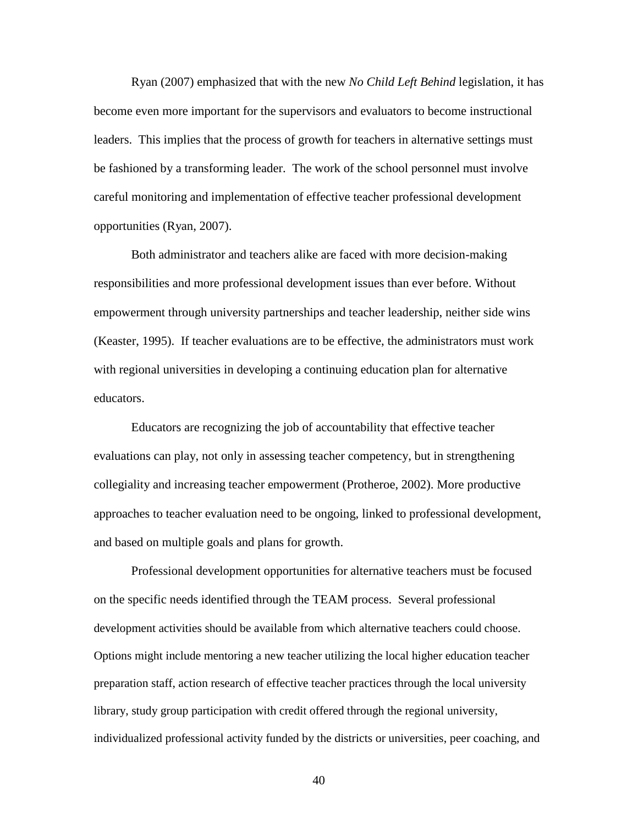Ryan (2007) emphasized that with the new *No Child Left Behind* legislation, it has become even more important for the supervisors and evaluators to become instructional leaders. This implies that the process of growth for teachers in alternative settings must be fashioned by a transforming leader. The work of the school personnel must involve careful monitoring and implementation of effective teacher professional development opportunities (Ryan, 2007).

Both administrator and teachers alike are faced with more decision-making responsibilities and more professional development issues than ever before. Without empowerment through university partnerships and teacher leadership, neither side wins (Keaster, 1995). If teacher evaluations are to be effective, the administrators must work with regional universities in developing a continuing education plan for alternative educators.

Educators are recognizing the job of accountability that effective teacher evaluations can play, not only in assessing teacher competency, but in strengthening collegiality and increasing teacher empowerment (Protheroe, 2002). More productive approaches to teacher evaluation need to be ongoing, linked to professional development, and based on multiple goals and plans for growth.

Professional development opportunities for alternative teachers must be focused on the specific needs identified through the TEAM process. Several professional development activities should be available from which alternative teachers could choose. Options might include mentoring a new teacher utilizing the local higher education teacher preparation staff, action research of effective teacher practices through the local university library, study group participation with credit offered through the regional university, individualized professional activity funded by the districts or universities, peer coaching, and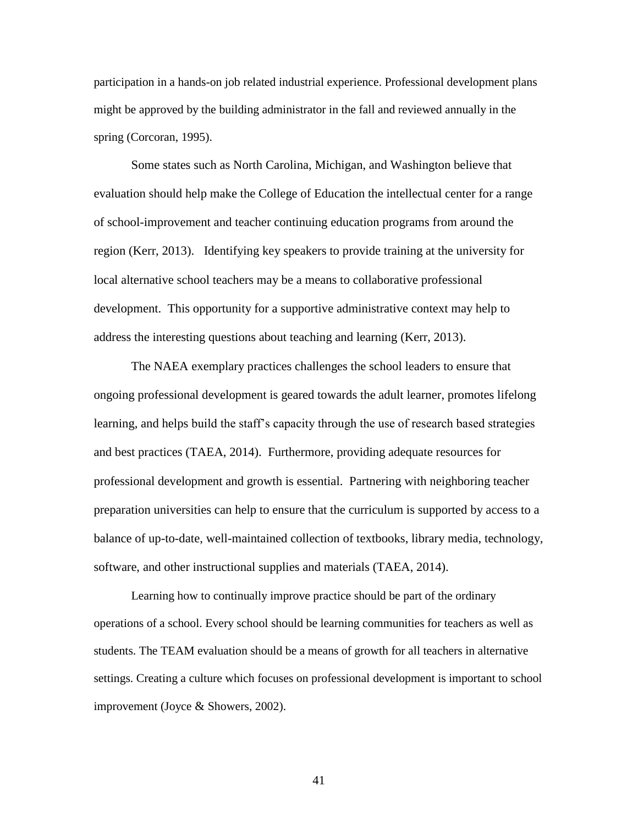participation in a hands-on job related industrial experience. Professional development plans might be approved by the building administrator in the fall and reviewed annually in the spring (Corcoran, 1995).

Some states such as North Carolina, Michigan, and Washington believe that evaluation should help make the College of Education the intellectual center for a range of school-improvement and teacher continuing education programs from around the region (Kerr, 2013). Identifying key speakers to provide training at the university for local alternative school teachers may be a means to collaborative professional development. This opportunity for a supportive administrative context may help to address the interesting questions about teaching and learning (Kerr, 2013).

The NAEA exemplary practices challenges the school leaders to ensure that ongoing professional development is geared towards the adult learner, promotes lifelong learning, and helps build the staff"s capacity through the use of research based strategies and best practices (TAEA, 2014). Furthermore, providing adequate resources for professional development and growth is essential. Partnering with neighboring teacher preparation universities can help to ensure that the curriculum is supported by access to a balance of up-to-date, well-maintained collection of textbooks, library media, technology, software, and other instructional supplies and materials (TAEA, 2014).

Learning how to continually improve practice should be part of the ordinary operations of a school. Every school should be learning communities for teachers as well as students. The TEAM evaluation should be a means of growth for all teachers in alternative settings. Creating a culture which focuses on professional development is important to school improvement (Joyce & Showers, 2002).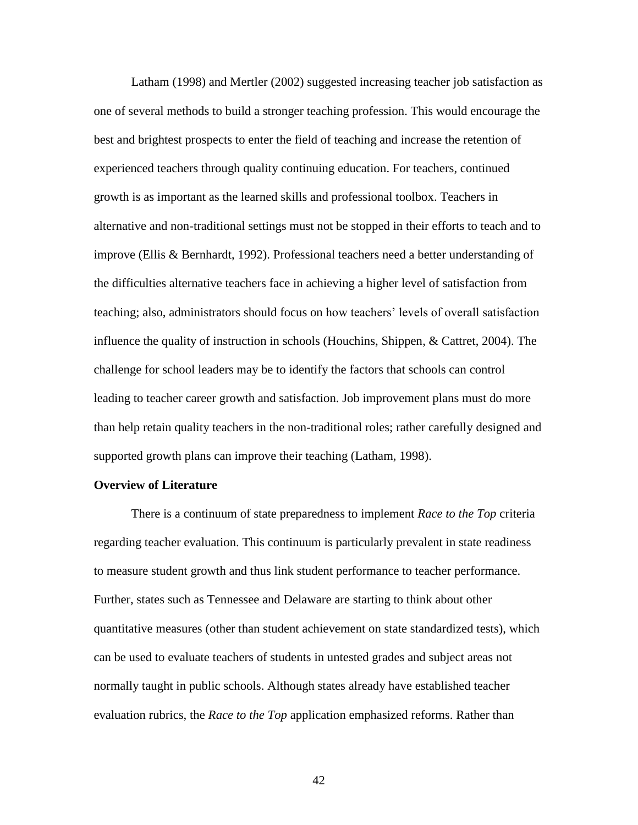Latham (1998) and Mertler (2002) suggested increasing teacher job satisfaction as one of several methods to build a stronger teaching profession. This would encourage the best and brightest prospects to enter the field of teaching and increase the retention of experienced teachers through quality continuing education. For teachers, continued growth is as important as the learned skills and professional toolbox. Teachers in alternative and non-traditional settings must not be stopped in their efforts to teach and to improve (Ellis & Bernhardt, 1992). Professional teachers need a better understanding of the difficulties alternative teachers face in achieving a higher level of satisfaction from teaching; also, administrators should focus on how teachers" levels of overall satisfaction influence the quality of instruction in schools (Houchins, Shippen, & Cattret, 2004). The challenge for school leaders may be to identify the factors that schools can control leading to teacher career growth and satisfaction. Job improvement plans must do more than help retain quality teachers in the non-traditional roles; rather carefully designed and supported growth plans can improve their teaching (Latham, 1998).

## **Overview of Literature**

There is a continuum of state preparedness to implement *Race to the Top* criteria regarding teacher evaluation. This continuum is particularly prevalent in state readiness to measure student growth and thus link student performance to teacher performance. Further, states such as Tennessee and Delaware are starting to think about other quantitative measures (other than student achievement on state standardized tests), which can be used to evaluate teachers of students in untested grades and subject areas not normally taught in public schools. Although states already have established teacher evaluation rubrics, the *Race to the Top* application emphasized reforms. Rather than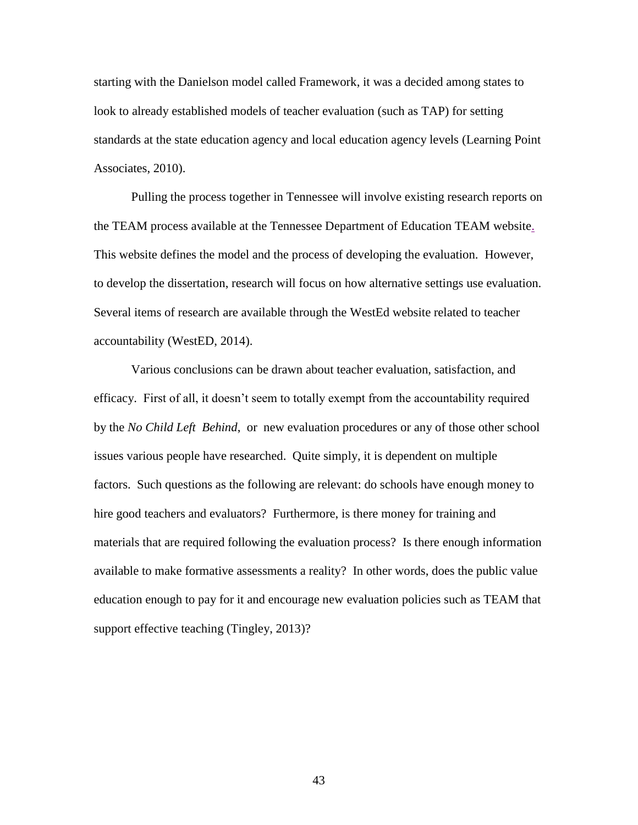starting with the Danielson model called Framework, it was a decided among states to look to already established models of teacher evaluation (such as TAP) for setting standards at the state education agency and local education agency levels (Learning Point Associates, 2010).

Pulling the process together in Tennessee will involve existing research reports on the TEAM process available at the Tennessee Department of Education TEAM website. This website defines the model and the process of developing the evaluation. However, to develop the dissertation, research will focus on how alternative settings use evaluation. Several items of research are available through the WestEd website related to teacher accountability (WestED, 2014).

Various conclusions can be drawn about teacher evaluation, satisfaction, and efficacy. First of all, it doesn"t seem to totally exempt from the accountability required by the *No Child Left Behind*, or new evaluation procedures or any of those other school issues various people have researched. Quite simply, it is dependent on multiple factors. Such questions as the following are relevant: do schools have enough money to hire good teachers and evaluators? Furthermore, is there money for training and materials that are required following the evaluation process? Is there enough information available to make formative assessments a reality? In other words, does the public value education enough to pay for it and encourage new evaluation policies such as TEAM that support effective teaching (Tingley, 2013)?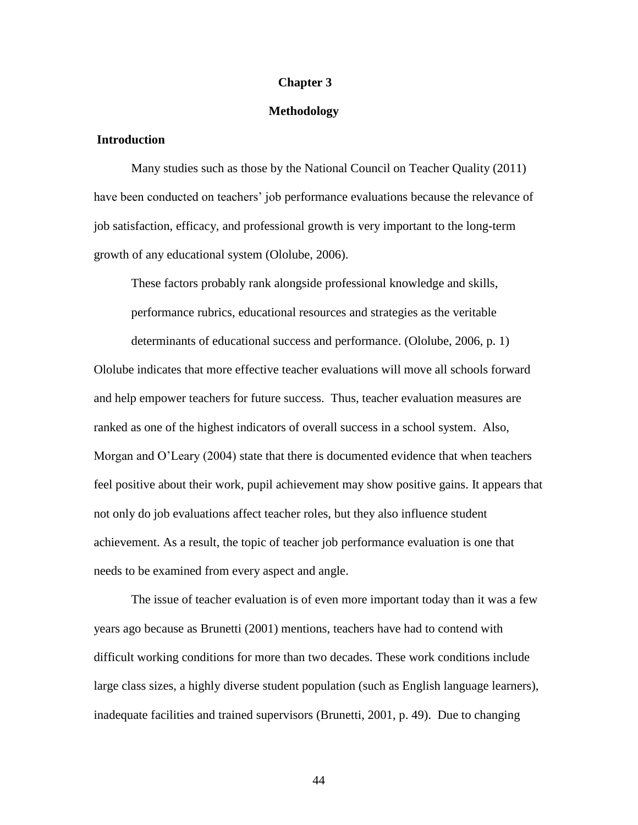#### **Chapter 3**

## **Methodology**

## **Introduction**

Many studies such as those by the National Council on Teacher Quality (2011) have been conducted on teachers' job performance evaluations because the relevance of job satisfaction, efficacy, and professional growth is very important to the long-term growth of any educational system (Ololube, 2006).

These factors probably rank alongside professional knowledge and skills, performance rubrics, educational resources and strategies as the veritable determinants of educational success and performance. (Ololube, 2006, p. 1) Ololube indicates that more effective teacher evaluations will move all schools forward and help empower teachers for future success. Thus, teacher evaluation measures are ranked as one of the highest indicators of overall success in a school system. Also, Morgan and O"Leary (2004) state that there is documented evidence that when teachers feel positive about their work, pupil achievement may show positive gains. It appears that not only do job evaluations affect teacher roles, but they also influence student achievement. As a result, the topic of teacher job performance evaluation is one that needs to be examined from every aspect and angle.

The issue of teacher evaluation is of even more important today than it was a few years ago because as Brunetti (2001) mentions, teachers have had to contend with difficult working conditions for more than two decades. These work conditions include large class sizes, a highly diverse student population (such as English language learners), inadequate facilities and trained supervisors (Brunetti, 2001, p. 49). Due to changing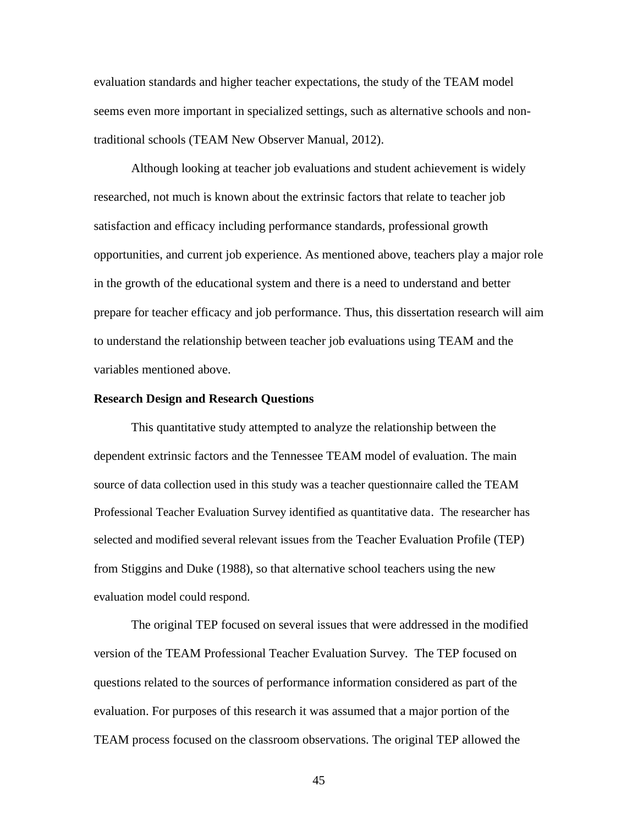evaluation standards and higher teacher expectations, the study of the TEAM model seems even more important in specialized settings, such as alternative schools and nontraditional schools (TEAM New Observer Manual, 2012).

Although looking at teacher job evaluations and student achievement is widely researched, not much is known about the extrinsic factors that relate to teacher job satisfaction and efficacy including performance standards, professional growth opportunities, and current job experience. As mentioned above, teachers play a major role in the growth of the educational system and there is a need to understand and better prepare for teacher efficacy and job performance. Thus, this dissertation research will aim to understand the relationship between teacher job evaluations using TEAM and the variables mentioned above.

#### **Research Design and Research Questions**

This quantitative study attempted to analyze the relationship between the dependent extrinsic factors and the Tennessee TEAM model of evaluation. The main source of data collection used in this study was a teacher questionnaire called the TEAM Professional Teacher Evaluation Survey identified as quantitative data. The researcher has selected and modified several relevant issues from the Teacher Evaluation Profile (TEP) from Stiggins and Duke (1988), so that alternative school teachers using the new evaluation model could respond.

The original TEP focused on several issues that were addressed in the modified version of the TEAM Professional Teacher Evaluation Survey. The TEP focused on questions related to the sources of performance information considered as part of the evaluation. For purposes of this research it was assumed that a major portion of the TEAM process focused on the classroom observations. The original TEP allowed the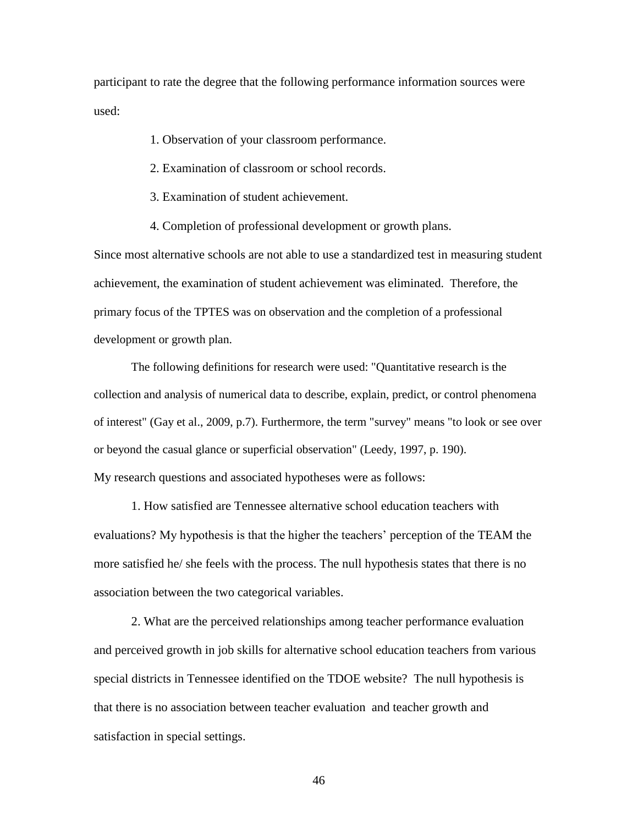participant to rate the degree that the following performance information sources were used:

- 1. Observation of your classroom performance.
- 2. Examination of classroom or school records.
- 3. Examination of student achievement.
- 4. Completion of professional development or growth plans.

Since most alternative schools are not able to use a standardized test in measuring student achievement, the examination of student achievement was eliminated. Therefore, the primary focus of the TPTES was on observation and the completion of a professional development or growth plan.

The following definitions for research were used: "Quantitative research is the collection and analysis of numerical data to describe, explain, predict, or control phenomena of interest" (Gay et al., 2009, p.7). Furthermore, the term "survey" means "to look or see over or beyond the casual glance or superficial observation" (Leedy, 1997, p. 190). My research questions and associated hypotheses were as follows:

1. How satisfied are Tennessee alternative school education teachers with evaluations? My hypothesis is that the higher the teachers' perception of the TEAM the more satisfied he/ she feels with the process. The null hypothesis states that there is no association between the two categorical variables.

2. What are the perceived relationships among teacher performance evaluation and perceived growth in job skills for alternative school education teachers from various special districts in Tennessee identified on the TDOE website? The null hypothesis is that there is no association between teacher evaluation and teacher growth and satisfaction in special settings.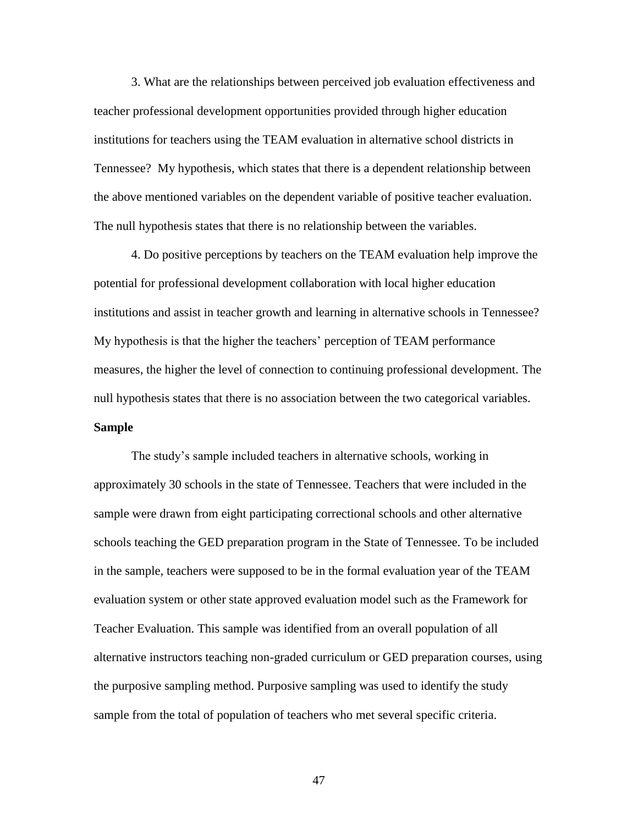3. What are the relationships between perceived job evaluation effectiveness and teacher professional development opportunities provided through higher education institutions for teachers using the TEAM evaluation in alternative school districts in Tennessee? My hypothesis, which states that there is a dependent relationship between the above mentioned variables on the dependent variable of positive teacher evaluation. The null hypothesis states that there is no relationship between the variables.

4. Do positive perceptions by teachers on the TEAM evaluation help improve the potential for professional development collaboration with local higher education institutions and assist in teacher growth and learning in alternative schools in Tennessee? My hypothesis is that the higher the teachers" perception of TEAM performance measures, the higher the level of connection to continuing professional development. The null hypothesis states that there is no association between the two categorical variables. **Sample**

The study"s sample included teachers in alternative schools, working in approximately 30 schools in the state of Tennessee. Teachers that were included in the sample were drawn from eight participating correctional schools and other alternative schools teaching the GED preparation program in the State of Tennessee. To be included in the sample, teachers were supposed to be in the formal evaluation year of the TEAM evaluation system or other state approved evaluation model such as the Framework for Teacher Evaluation. This sample was identified from an overall population of all alternative instructors teaching non-graded curriculum or GED preparation courses, using the purposive sampling method. Purposive sampling was used to identify the study sample from the total of population of teachers who met several specific criteria.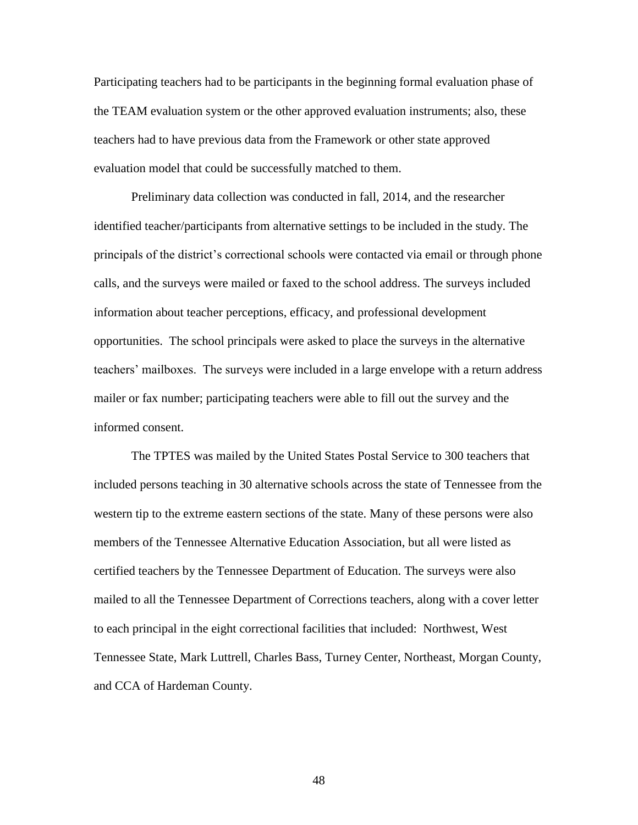Participating teachers had to be participants in the beginning formal evaluation phase of the TEAM evaluation system or the other approved evaluation instruments; also, these teachers had to have previous data from the Framework or other state approved evaluation model that could be successfully matched to them.

Preliminary data collection was conducted in fall, 2014, and the researcher identified teacher/participants from alternative settings to be included in the study. The principals of the district"s correctional schools were contacted via email or through phone calls, and the surveys were mailed or faxed to the school address. The surveys included information about teacher perceptions, efficacy, and professional development opportunities. The school principals were asked to place the surveys in the alternative teachers" mailboxes. The surveys were included in a large envelope with a return address mailer or fax number; participating teachers were able to fill out the survey and the informed consent.

The TPTES was mailed by the United States Postal Service to 300 teachers that included persons teaching in 30 alternative schools across the state of Tennessee from the western tip to the extreme eastern sections of the state. Many of these persons were also members of the Tennessee Alternative Education Association, but all were listed as certified teachers by the Tennessee Department of Education. The surveys were also mailed to all the Tennessee Department of Corrections teachers, along with a cover letter to each principal in the eight correctional facilities that included: Northwest, West Tennessee State, Mark Luttrell, Charles Bass, Turney Center, Northeast, Morgan County, and CCA of Hardeman County.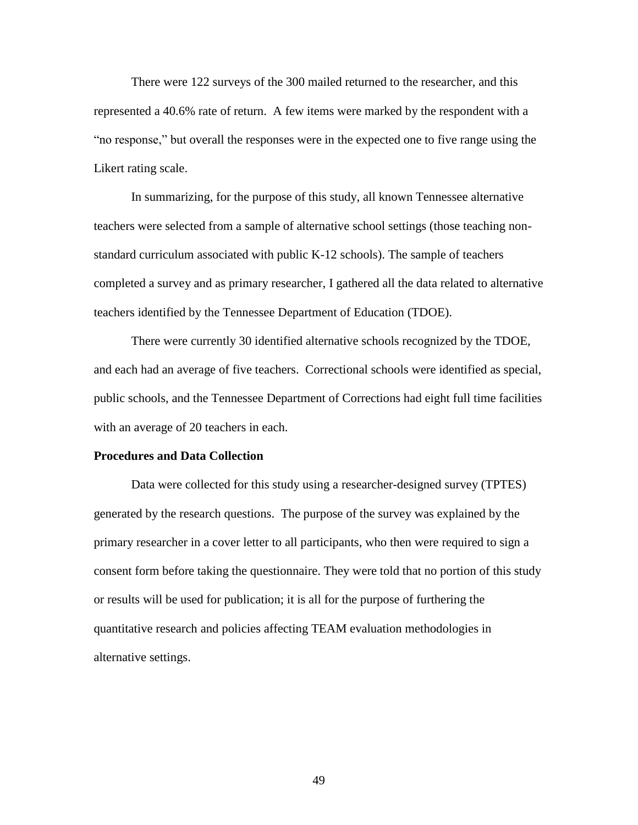There were 122 surveys of the 300 mailed returned to the researcher, and this represented a 40.6% rate of return. A few items were marked by the respondent with a "no response," but overall the responses were in the expected one to five range using the Likert rating scale.

In summarizing, for the purpose of this study, all known Tennessee alternative teachers were selected from a sample of alternative school settings (those teaching nonstandard curriculum associated with public K-12 schools). The sample of teachers completed a survey and as primary researcher, I gathered all the data related to alternative teachers identified by the Tennessee Department of Education (TDOE).

There were currently 30 identified alternative schools recognized by the TDOE, and each had an average of five teachers. Correctional schools were identified as special, public schools, and the Tennessee Department of Corrections had eight full time facilities with an average of 20 teachers in each.

#### **Procedures and Data Collection**

Data were collected for this study using a researcher-designed survey (TPTES) generated by the research questions. The purpose of the survey was explained by the primary researcher in a cover letter to all participants, who then were required to sign a consent form before taking the questionnaire. They were told that no portion of this study or results will be used for publication; it is all for the purpose of furthering the quantitative research and policies affecting TEAM evaluation methodologies in alternative settings.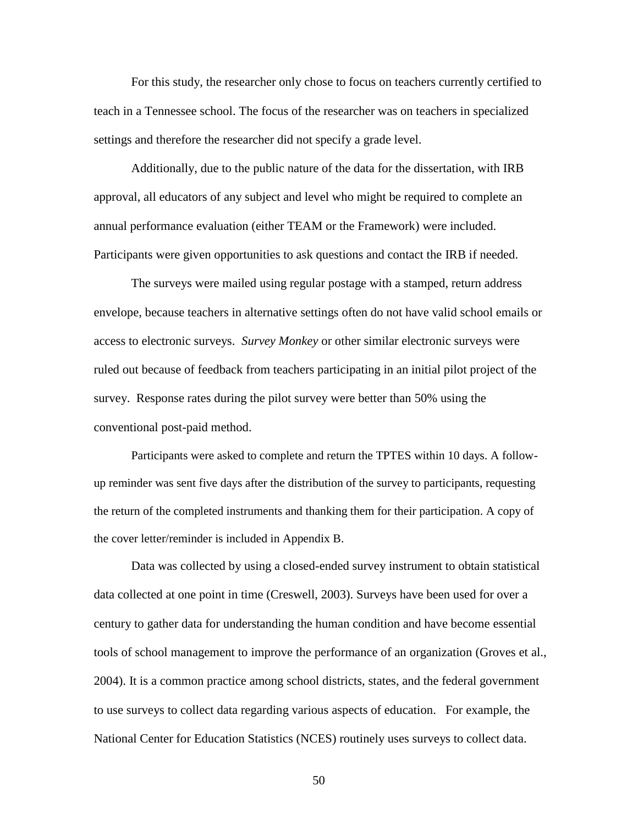For this study, the researcher only chose to focus on teachers currently certified to teach in a Tennessee school. The focus of the researcher was on teachers in specialized settings and therefore the researcher did not specify a grade level.

Additionally, due to the public nature of the data for the dissertation, with IRB approval, all educators of any subject and level who might be required to complete an annual performance evaluation (either TEAM or the Framework) were included. Participants were given opportunities to ask questions and contact the IRB if needed.

The surveys were mailed using regular postage with a stamped, return address envelope, because teachers in alternative settings often do not have valid school emails or access to electronic surveys. *Survey Monkey* or other similar electronic surveys were ruled out because of feedback from teachers participating in an initial pilot project of the survey. Response rates during the pilot survey were better than 50% using the conventional post-paid method.

Participants were asked to complete and return the TPTES within 10 days. A followup reminder was sent five days after the distribution of the survey to participants, requesting the return of the completed instruments and thanking them for their participation. A copy of the cover letter/reminder is included in Appendix B.

Data was collected by using a closed-ended survey instrument to obtain statistical data collected at one point in time (Creswell, 2003). Surveys have been used for over a century to gather data for understanding the human condition and have become essential tools of school management to improve the performance of an organization (Groves et al., 2004). It is a common practice among school districts, states, and the federal government to use surveys to collect data regarding various aspects of education. For example, the National Center for Education Statistics (NCES) routinely uses surveys to collect data.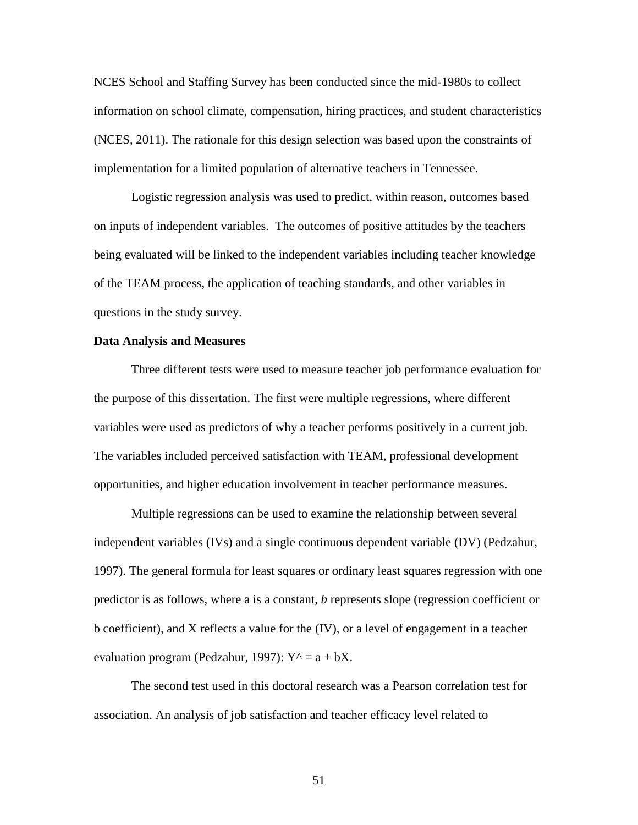NCES School and Staffing Survey has been conducted since the mid-1980s to collect information on school climate, compensation, hiring practices, and student characteristics (NCES, 2011). The rationale for this design selection was based upon the constraints of implementation for a limited population of alternative teachers in Tennessee.

Logistic regression analysis was used to predict, within reason, outcomes based on inputs of independent variables. The outcomes of positive attitudes by the teachers being evaluated will be linked to the independent variables including teacher knowledge of the TEAM process, the application of teaching standards, and other variables in questions in the study survey.

## **Data Analysis and Measures**

Three different tests were used to measure teacher job performance evaluation for the purpose of this dissertation. The first were multiple regressions, where different variables were used as predictors of why a teacher performs positively in a current job. The variables included perceived satisfaction with TEAM, professional development opportunities, and higher education involvement in teacher performance measures.

Multiple regressions can be used to examine the relationship between several independent variables (IVs) and a single continuous dependent variable (DV) (Pedzahur, 1997). The general formula for least squares or ordinary least squares regression with one predictor is as follows, where a is a constant, *b* represents slope (regression coefficient or b coefficient), and X reflects a value for the (IV), or a level of engagement in a teacher evaluation program (Pedzahur, 1997):  $Y^{\wedge} = a + bX$ .

The second test used in this doctoral research was a Pearson correlation test for association. An analysis of job satisfaction and teacher efficacy level related to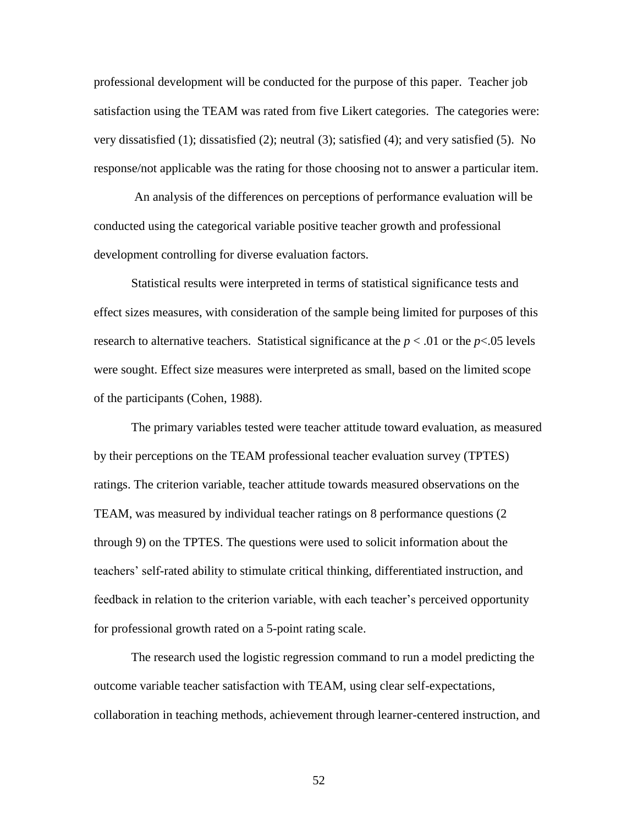professional development will be conducted for the purpose of this paper. Teacher job satisfaction using the TEAM was rated from five Likert categories. The categories were: very dissatisfied (1); dissatisfied (2); neutral (3); satisfied (4); and very satisfied (5). No response/not applicable was the rating for those choosing not to answer a particular item.

An analysis of the differences on perceptions of performance evaluation will be conducted using the categorical variable positive teacher growth and professional development controlling for diverse evaluation factors.

Statistical results were interpreted in terms of statistical significance tests and effect sizes measures, with consideration of the sample being limited for purposes of this research to alternative teachers. Statistical significance at the  $p < .01$  or the  $p < .05$  levels were sought. Effect size measures were interpreted as small, based on the limited scope of the participants (Cohen, 1988).

The primary variables tested were teacher attitude toward evaluation, as measured by their perceptions on the TEAM professional teacher evaluation survey (TPTES) ratings. The criterion variable, teacher attitude towards measured observations on the TEAM, was measured by individual teacher ratings on 8 performance questions (2 through 9) on the TPTES. The questions were used to solicit information about the teachers" self-rated ability to stimulate critical thinking, differentiated instruction, and feedback in relation to the criterion variable, with each teacher"s perceived opportunity for professional growth rated on a 5-point rating scale.

The research used the logistic regression command to run a model predicting the outcome variable teacher satisfaction with TEAM, using clear self-expectations, collaboration in teaching methods, achievement through learner-centered instruction, and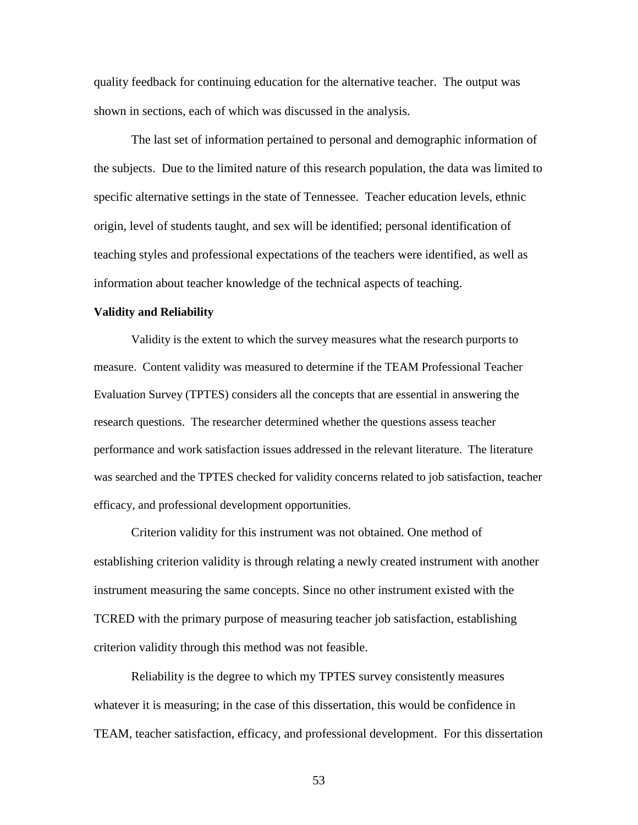quality feedback for continuing education for the alternative teacher. The output was shown in sections, each of which was discussed in the analysis.

The last set of information pertained to personal and demographic information of the subjects. Due to the limited nature of this research population, the data was limited to specific alternative settings in the state of Tennessee. Teacher education levels, ethnic origin, level of students taught, and sex will be identified; personal identification of teaching styles and professional expectations of the teachers were identified, as well as information about teacher knowledge of the technical aspects of teaching.

#### **Validity and Reliability**

Validity is the extent to which the survey measures what the research purports to measure. Content validity was measured to determine if the TEAM Professional Teacher Evaluation Survey (TPTES) considers all the concepts that are essential in answering the research questions. The researcher determined whether the questions assess teacher performance and work satisfaction issues addressed in the relevant literature. The literature was searched and the TPTES checked for validity concerns related to job satisfaction, teacher efficacy, and professional development opportunities.

Criterion validity for this instrument was not obtained. One method of establishing criterion validity is through relating a newly created instrument with another instrument measuring the same concepts. Since no other instrument existed with the TCRED with the primary purpose of measuring teacher job satisfaction, establishing criterion validity through this method was not feasible.

Reliability is the degree to which my TPTES survey consistently measures whatever it is measuring; in the case of this dissertation, this would be confidence in TEAM, teacher satisfaction, efficacy, and professional development. For this dissertation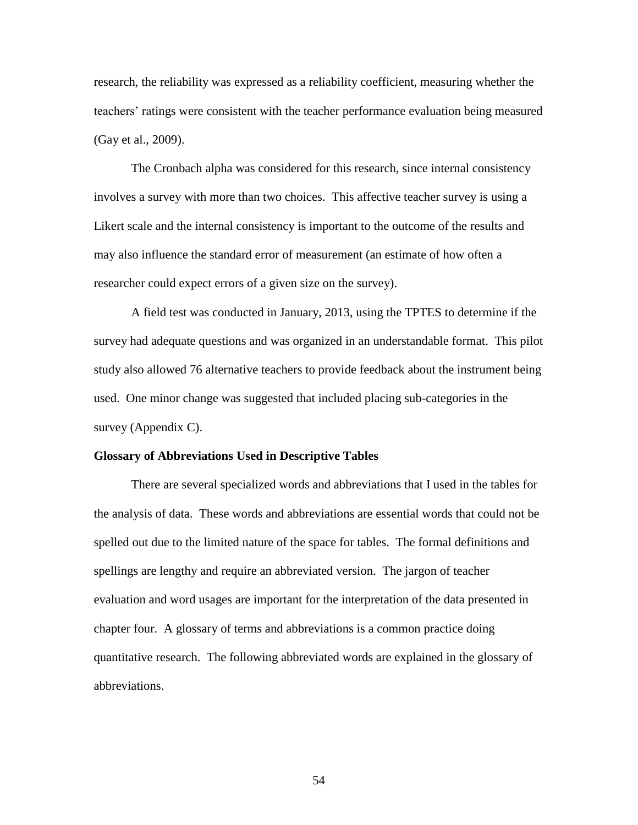research, the reliability was expressed as a reliability coefficient, measuring whether the teachers' ratings were consistent with the teacher performance evaluation being measured (Gay et al., 2009).

The Cronbach alpha was considered for this research, since internal consistency involves a survey with more than two choices. This affective teacher survey is using a Likert scale and the internal consistency is important to the outcome of the results and may also influence the standard error of measurement (an estimate of how often a researcher could expect errors of a given size on the survey).

A field test was conducted in January, 2013, using the TPTES to determine if the survey had adequate questions and was organized in an understandable format. This pilot study also allowed 76 alternative teachers to provide feedback about the instrument being used. One minor change was suggested that included placing sub-categories in the survey (Appendix C).

#### **Glossary of Abbreviations Used in Descriptive Tables**

There are several specialized words and abbreviations that I used in the tables for the analysis of data. These words and abbreviations are essential words that could not be spelled out due to the limited nature of the space for tables. The formal definitions and spellings are lengthy and require an abbreviated version. The jargon of teacher evaluation and word usages are important for the interpretation of the data presented in chapter four. A glossary of terms and abbreviations is a common practice doing quantitative research. The following abbreviated words are explained in the glossary of abbreviations.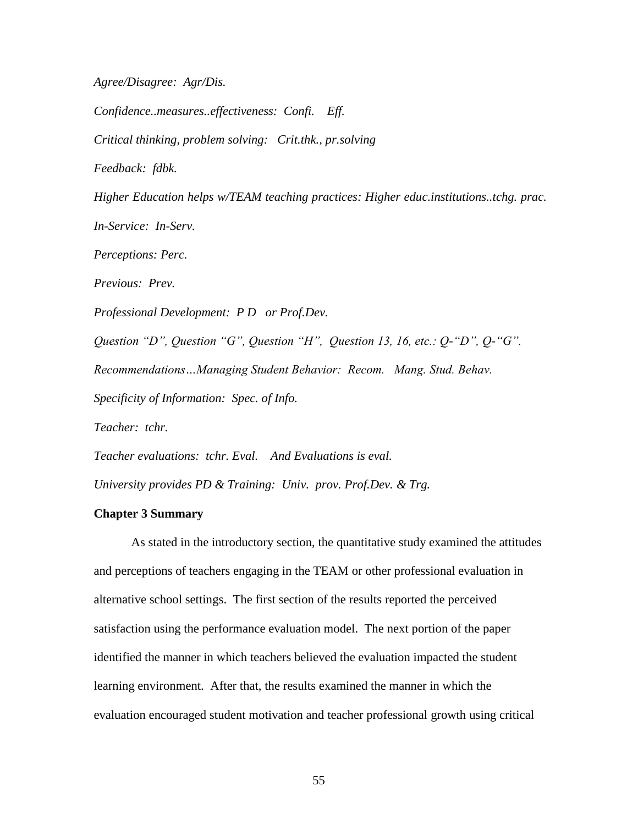*Agree/Disagree: Agr/Dis.*

*Confidence..measures..effectiveness: Confi. Eff. Critical thinking, problem solving: Crit.thk., pr.solving Feedback: fdbk.*

*Higher Education helps w/TEAM teaching practices: Higher educ.institutions..tchg. prac.*

*In-Service: In-Serv.*

*Perceptions: Perc.*

*Previous: Prev.*

*Professional Development: P D or Prof.Dev.*

*Question "D", Question "G", Question "H", Question 13, 16, etc.: Q-"D", Q-"G". Recommendations…Managing Student Behavior: Recom. Mang. Stud. Behav. Specificity of Information: Spec. of Info. Teacher: tchr. Teacher evaluations: tchr. Eval. And Evaluations is eval.*

*University provides PD & Training: Univ. prov. Prof.Dev. & Trg.*

## **Chapter 3 Summary**

As stated in the introductory section, the quantitative study examined the attitudes and perceptions of teachers engaging in the TEAM or other professional evaluation in alternative school settings. The first section of the results reported the perceived satisfaction using the performance evaluation model. The next portion of the paper identified the manner in which teachers believed the evaluation impacted the student learning environment. After that, the results examined the manner in which the evaluation encouraged student motivation and teacher professional growth using critical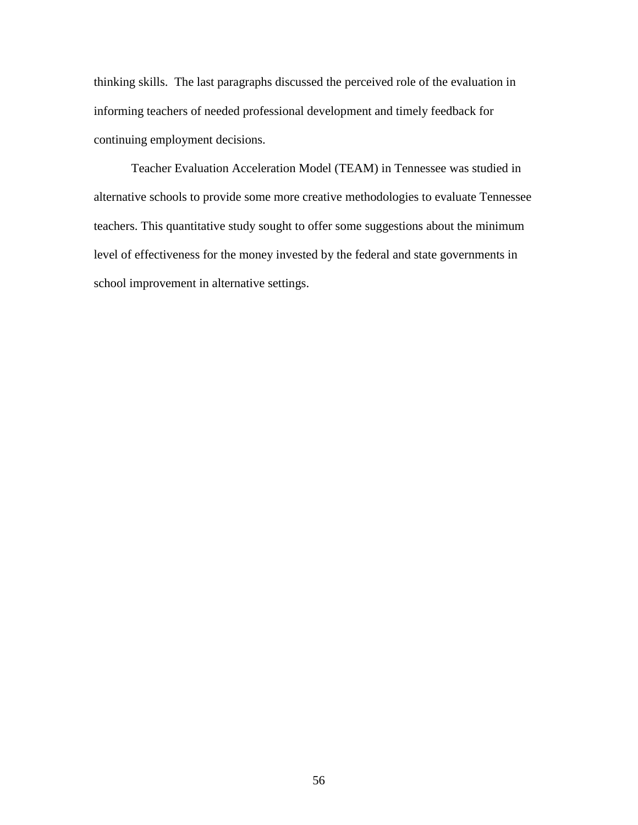thinking skills. The last paragraphs discussed the perceived role of the evaluation in informing teachers of needed professional development and timely feedback for continuing employment decisions.

Teacher Evaluation Acceleration Model (TEAM) in Tennessee was studied in alternative schools to provide some more creative methodologies to evaluate Tennessee teachers. This quantitative study sought to offer some suggestions about the minimum level of effectiveness for the money invested by the federal and state governments in school improvement in alternative settings.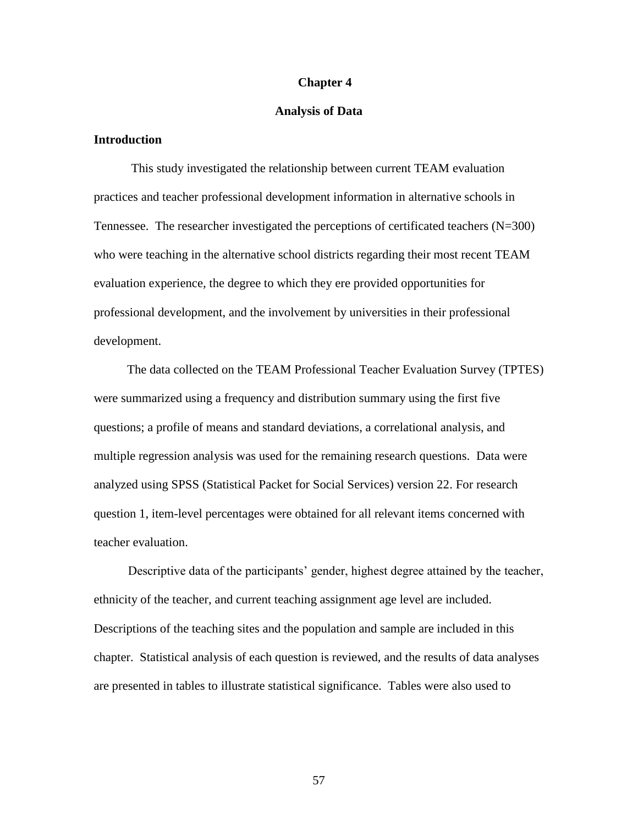#### **Chapter 4**

#### **Analysis of Data**

# **Introduction**

This study investigated the relationship between current TEAM evaluation practices and teacher professional development information in alternative schools in Tennessee. The researcher investigated the perceptions of certificated teachers (N=300) who were teaching in the alternative school districts regarding their most recent TEAM evaluation experience, the degree to which they ere provided opportunities for professional development, and the involvement by universities in their professional development.

The data collected on the TEAM Professional Teacher Evaluation Survey (TPTES) were summarized using a frequency and distribution summary using the first five questions; a profile of means and standard deviations, a correlational analysis, and multiple regression analysis was used for the remaining research questions. Data were analyzed using SPSS (Statistical Packet for Social Services) version 22. For research question 1, item-level percentages were obtained for all relevant items concerned with teacher evaluation.

Descriptive data of the participants' gender, highest degree attained by the teacher, ethnicity of the teacher, and current teaching assignment age level are included. Descriptions of the teaching sites and the population and sample are included in this chapter. Statistical analysis of each question is reviewed, and the results of data analyses are presented in tables to illustrate statistical significance. Tables were also used to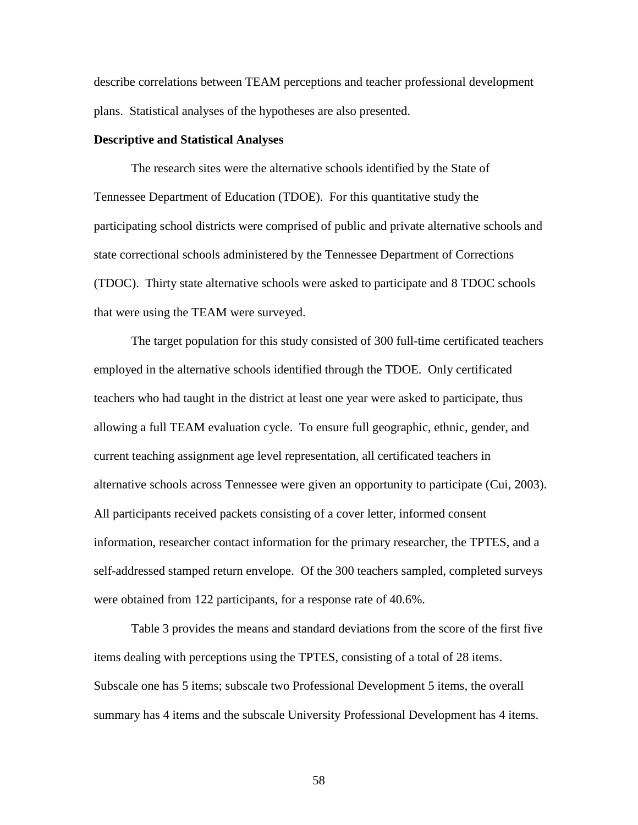describe correlations between TEAM perceptions and teacher professional development plans. Statistical analyses of the hypotheses are also presented.

## **Descriptive and Statistical Analyses**

The research sites were the alternative schools identified by the State of Tennessee Department of Education (TDOE). For this quantitative study the participating school districts were comprised of public and private alternative schools and state correctional schools administered by the Tennessee Department of Corrections (TDOC). Thirty state alternative schools were asked to participate and 8 TDOC schools that were using the TEAM were surveyed.

The target population for this study consisted of 300 full-time certificated teachers employed in the alternative schools identified through the TDOE. Only certificated teachers who had taught in the district at least one year were asked to participate, thus allowing a full TEAM evaluation cycle. To ensure full geographic, ethnic, gender, and current teaching assignment age level representation, all certificated teachers in alternative schools across Tennessee were given an opportunity to participate (Cui, 2003). All participants received packets consisting of a cover letter, informed consent information, researcher contact information for the primary researcher, the TPTES, and a self-addressed stamped return envelope. Of the 300 teachers sampled, completed surveys were obtained from 122 participants, for a response rate of 40.6%.

Table 3 provides the means and standard deviations from the score of the first five items dealing with perceptions using the TPTES, consisting of a total of 28 items. Subscale one has 5 items; subscale two Professional Development 5 items, the overall summary has 4 items and the subscale University Professional Development has 4 items.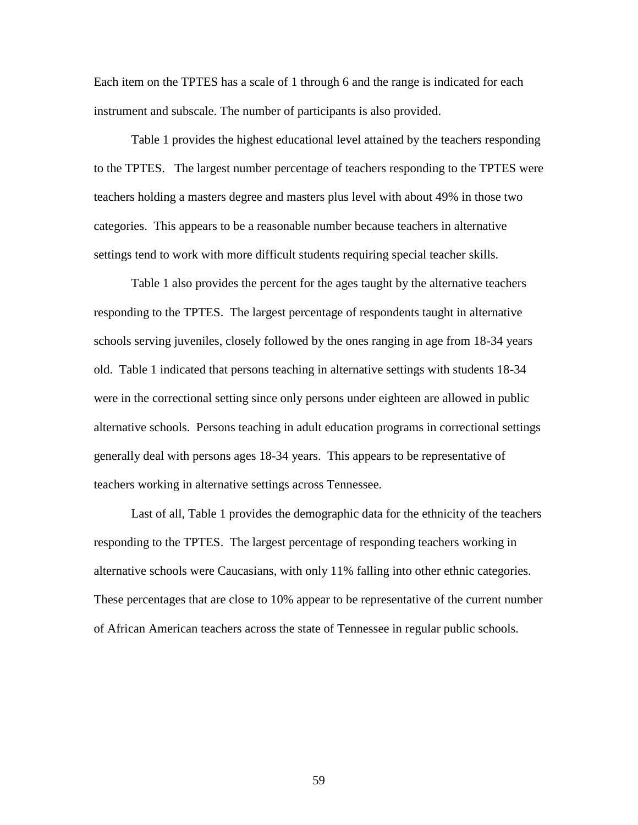Each item on the TPTES has a scale of 1 through 6 and the range is indicated for each instrument and subscale. The number of participants is also provided.

Table 1 provides the highest educational level attained by the teachers responding to the TPTES. The largest number percentage of teachers responding to the TPTES were teachers holding a masters degree and masters plus level with about 49% in those two categories. This appears to be a reasonable number because teachers in alternative settings tend to work with more difficult students requiring special teacher skills.

Table 1 also provides the percent for the ages taught by the alternative teachers responding to the TPTES. The largest percentage of respondents taught in alternative schools serving juveniles, closely followed by the ones ranging in age from 18-34 years old. Table 1 indicated that persons teaching in alternative settings with students 18-34 were in the correctional setting since only persons under eighteen are allowed in public alternative schools. Persons teaching in adult education programs in correctional settings generally deal with persons ages 18-34 years. This appears to be representative of teachers working in alternative settings across Tennessee.

Last of all, Table 1 provides the demographic data for the ethnicity of the teachers responding to the TPTES. The largest percentage of responding teachers working in alternative schools were Caucasians, with only 11% falling into other ethnic categories. These percentages that are close to 10% appear to be representative of the current number of African American teachers across the state of Tennessee in regular public schools.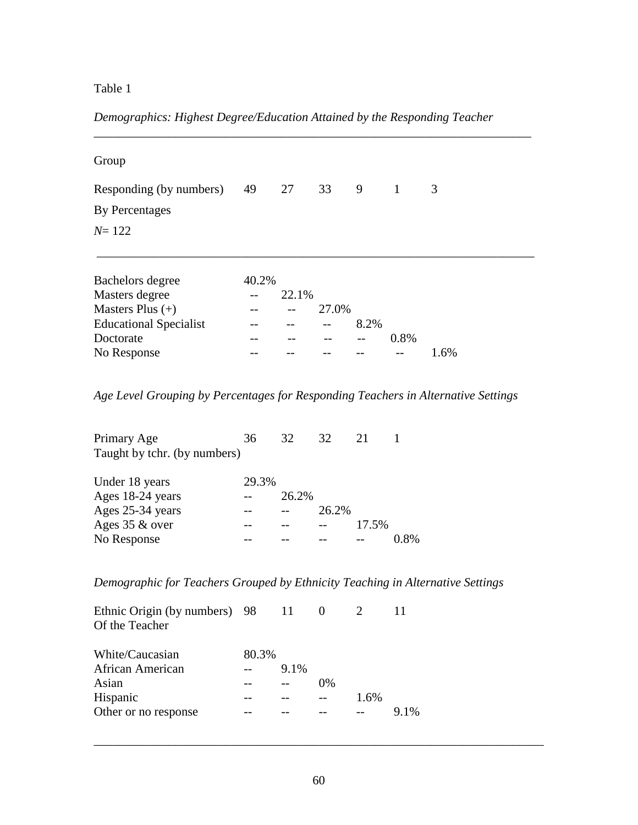# Table 1

*Demographics: Highest Degree/Education Attained by the Responding Teacher*

| Group                         |       |       |       |      |                |      |
|-------------------------------|-------|-------|-------|------|----------------|------|
| Responding (by numbers)       | 49    | 27    | 33    | 9    | $\overline{1}$ | 3    |
| By Percentages                |       |       |       |      |                |      |
| $N = 122$                     |       |       |       |      |                |      |
|                               |       |       |       |      |                |      |
| Bachelors degree              | 40.2% |       |       |      |                |      |
| Masters degree                |       | 22.1% |       |      |                |      |
| Masters Plus $(+)$            |       |       | 27.0% |      |                |      |
| <b>Educational Specialist</b> |       |       |       | 8.2% |                |      |
| Doctorate                     |       |       |       | $ -$ | 0.8%           |      |
| No Response                   |       |       |       |      |                | 1.6% |

*Age Level Grouping by Percentages for Responding Teachers in Alternative Settings*

| 36    | 32    | 32    | 21    |      |
|-------|-------|-------|-------|------|
|       |       |       |       |      |
| 29.3% |       |       |       |      |
|       | 26.2% |       |       |      |
|       |       | 26.2% |       |      |
|       |       |       | 17.5% |      |
|       |       |       |       | 0.8% |
|       |       |       |       |      |

*Demographic for Teachers Grouped by Ethnicity Teaching in Alternative Settings* 

| 80.3% |         |                                  |      |        |
|-------|---------|----------------------------------|------|--------|
|       | $9.1\%$ |                                  |      |        |
|       |         | 0%                               |      |        |
|       |         |                                  | 1.6% |        |
|       |         |                                  |      | $91\%$ |
|       |         | Ethnic Origin (by numbers) 98 11 |      |        |

\_\_\_\_\_\_\_\_\_\_\_\_\_\_\_\_\_\_\_\_\_\_\_\_\_\_\_\_\_\_\_\_\_\_\_\_\_\_\_\_\_\_\_\_\_\_\_\_\_\_\_\_\_\_\_\_\_\_\_\_\_\_\_\_\_\_\_\_\_\_\_\_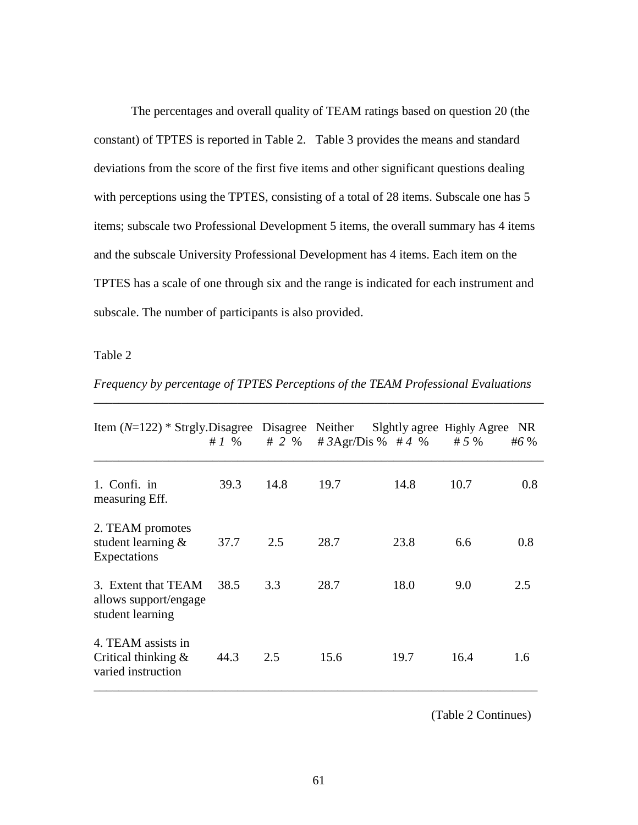The percentages and overall quality of TEAM ratings based on question 20 (the constant) of TPTES is reported in Table 2. Table 3 provides the means and standard deviations from the score of the first five items and other significant questions dealing with perceptions using the TPTES, consisting of a total of 28 items. Subscale one has 5 items; subscale two Professional Development 5 items, the overall summary has 4 items and the subscale University Professional Development has 4 items. Each item on the TPTES has a scale of one through six and the range is indicated for each instrument and subscale. The number of participants is also provided.

Table 2

| Item $(N=122)$ * Strgly. Disagree Disagree Neither                 | # $1\%$ | # 2 $%$ | # $3Agr/Dis \%$ # 4 % |      | Sightly agree Highly Agree<br># $5%$ | <b>NR</b><br>#6 % |
|--------------------------------------------------------------------|---------|---------|-----------------------|------|--------------------------------------|-------------------|
| 1. Confi. in<br>measuring Eff.                                     | 39.3    | 14.8    | 19.7                  | 14.8 | 10.7                                 | 0.8               |
| 2. TEAM promotes<br>student learning &<br>Expectations             | 37.7    | 2.5     | 28.7                  | 23.8 | 6.6                                  | 0.8               |
| 3. Extent that TEAM<br>allows support/engage<br>student learning   | 38.5    | 3.3     | 28.7                  | 18.0 | 9.0                                  | 2.5               |
| 4. TEAM assists in<br>Critical thinking $\&$<br>varied instruction | 44.3    | 2.5     | 15.6                  | 19.7 | 16.4                                 | 1.6               |

*Frequency by percentage of TPTES Perceptions of the TEAM Professional Evaluations*

(Table 2 Continues)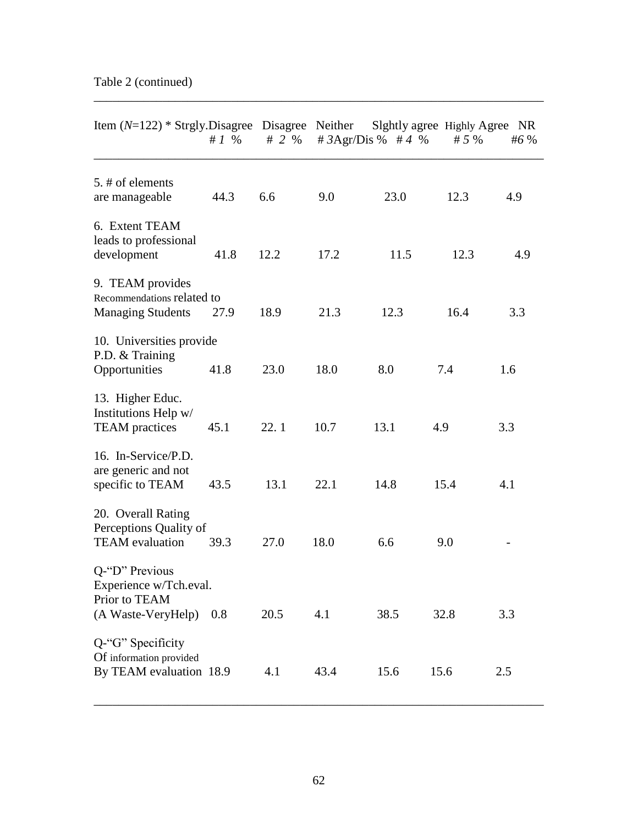| Item $(N=122)$ * Strgly. Disagree Disagree Neither                              | # $1\%$ | # 2 $%$ |      | # $3Agr/Dis \%$ # 4 % | Slghtly agree Highly Agree<br># $5%$ | NR<br>#6 $%$ |
|---------------------------------------------------------------------------------|---------|---------|------|-----------------------|--------------------------------------|--------------|
| 5. # of elements<br>are manageable                                              | 44.3    | 6.6     | 9.0  | 23.0                  | 12.3                                 | 4.9          |
| 6. Extent TEAM<br>leads to professional<br>development                          | 41.8    | 12.2    | 17.2 | 11.5                  | 12.3                                 | 4.9          |
| 9. TEAM provides<br>Recommendations related to<br><b>Managing Students</b>      | 27.9    | 18.9    | 21.3 | 12.3                  | 16.4                                 | 3.3          |
| 10. Universities provide<br>P.D. & Training<br>Opportunities                    | 41.8    | 23.0    | 18.0 | 8.0                   | 7.4                                  | 1.6          |
| 13. Higher Educ.<br>Institutions Help w/<br><b>TEAM</b> practices               | 45.1    | 22.1    | 10.7 | 13.1                  | 4.9                                  | 3.3          |
| 16. In-Service/P.D.<br>are generic and not<br>specific to TEAM                  | 43.5    | 13.1    | 22.1 | 14.8                  | 15.4                                 | 4.1          |
| 20. Overall Rating<br>Perceptions Quality of<br><b>TEAM</b> evaluation          | 39.3    | 27.0    | 18.0 | 6.6                   | 9.0                                  |              |
| Q-"D" Previous<br>Experience w/Tch.eval.<br>Prior to TEAM<br>(A Waste-VeryHelp) | 0.8     | 20.5    | 4.1  | 38.5                  | 32.8                                 | 3.3          |
| Q-"G" Specificity<br>Of information provided<br>By TEAM evaluation 18.9         |         | 4.1     | 43.4 | 15.6                  | 15.6                                 | 2.5          |

\_\_\_\_\_\_\_\_\_\_\_\_\_\_\_\_\_\_\_\_\_\_\_\_\_\_\_\_\_\_\_\_\_\_\_\_\_\_\_\_\_\_\_\_\_\_\_\_\_\_\_\_\_\_\_\_\_\_\_\_\_\_\_\_\_\_\_\_\_\_\_\_

\_\_\_\_\_\_\_\_\_\_\_\_\_\_\_\_\_\_\_\_\_\_\_\_\_\_\_\_\_\_\_\_\_\_\_\_\_\_\_\_\_\_\_\_\_\_\_\_\_\_\_\_\_\_\_\_\_\_\_\_\_\_\_\_\_\_\_\_\_\_\_\_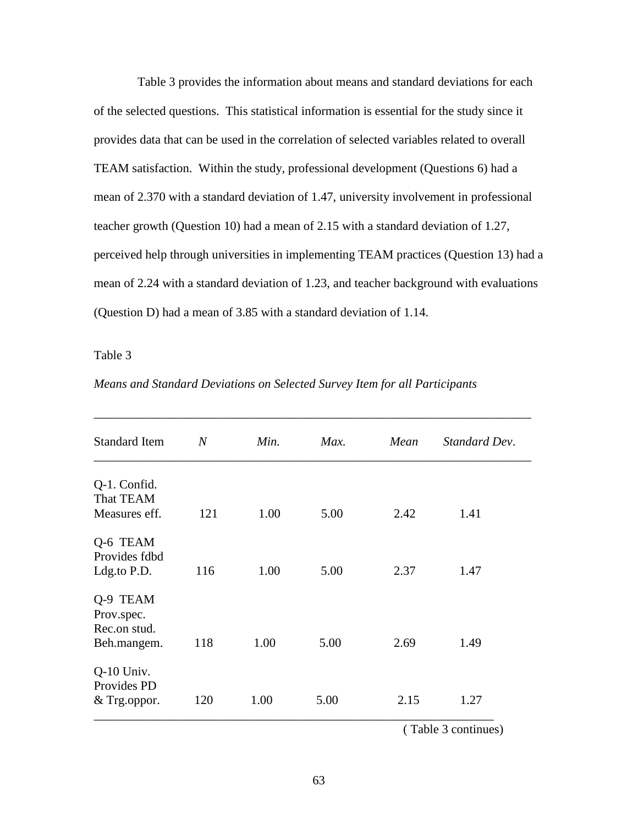Table 3 provides the information about means and standard deviations for each of the selected questions. This statistical information is essential for the study since it provides data that can be used in the correlation of selected variables related to overall TEAM satisfaction. Within the study, professional development (Questions 6) had a mean of 2.370 with a standard deviation of 1.47, university involvement in professional teacher growth (Question 10) had a mean of 2.15 with a standard deviation of 1.27, perceived help through universities in implementing TEAM practices (Question 13) had a mean of 2.24 with a standard deviation of 1.23, and teacher background with evaluations (Question D) had a mean of 3.85 with a standard deviation of 1.14.

Table 3

| <b>Standard Item</b>                                  | $\overline{N}$ | Min. | Max. | Mean | Standard Dev. |
|-------------------------------------------------------|----------------|------|------|------|---------------|
| Q-1. Confid.                                          |                |      |      |      |               |
| That TEAM                                             |                |      |      |      |               |
| Measures eff.                                         | 121            | 1.00 | 5.00 | 2.42 | 1.41          |
| Q-6 TEAM<br>Provides fdbd<br>Ldg.to P.D.              | 116            | 1.00 | 5.00 | 2.37 | 1.47          |
| Q-9 TEAM<br>Prov.spec.<br>Rec.on stud.<br>Beh.mangem. | 118            | 1.00 | 5.00 | 2.69 | 1.49          |
| $Q-10$ Univ.<br>Provides PD<br>& Trg.oppor.           | 120            | 1.00 | 5.00 | 2.15 | 1.27          |

*Means and Standard Deviations on Selected Survey Item for all Participants*

( Table 3 continues)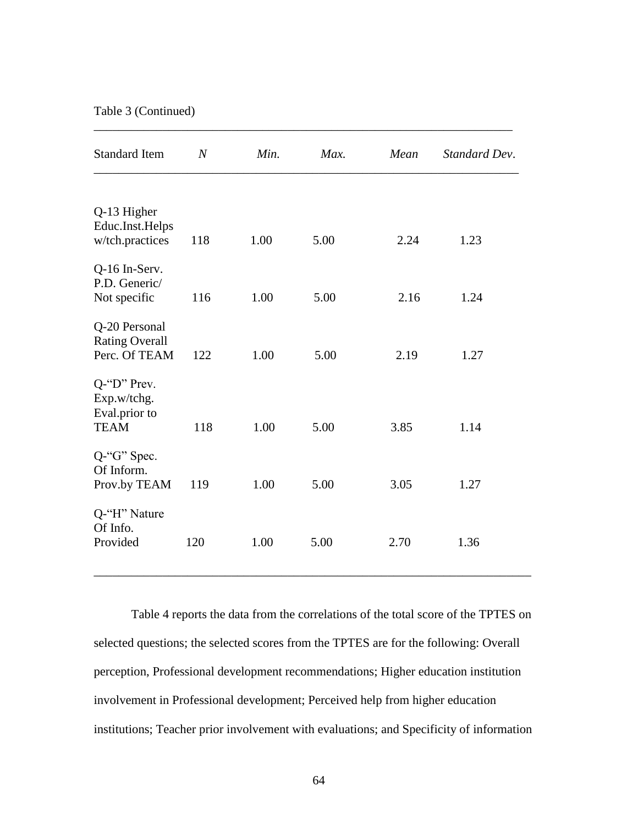Table 3 (Continued)

| <b>Standard Item</b>                           | $\overline{N}$ | Min. | Max. | Mean | Standard Dev. |
|------------------------------------------------|----------------|------|------|------|---------------|
| Q-13 Higher                                    |                |      |      |      |               |
| Educ.Inst.Helps<br>w/tch.practices             | 118            | 1.00 | 5.00 | 2.24 | 1.23          |
| Q-16 In-Serv.<br>P.D. Generic/<br>Not specific | 116            | 1.00 | 5.00 | 2.16 | 1.24          |
| Q-20 Personal                                  |                |      |      |      |               |
| <b>Rating Overall</b><br>Perc. Of TEAM         | 122            | 1.00 | 5.00 | 2.19 | 1.27          |
| $Q$ -"D" Prev.<br>Exp.w/tchg.<br>Eval.prior to |                |      |      |      |               |
| <b>TEAM</b>                                    | 118            | 1.00 | 5.00 | 3.85 | 1.14          |
| $Q$ -"G" Spec.<br>Of Inform.<br>Prov.by TEAM   | 119            | 1.00 | 5.00 | 3.05 | 1.27          |
| Q-"H" Nature<br>Of Info.                       |                |      |      |      |               |
| Provided                                       | 120            | 1.00 | 5.00 | 2.70 | 1.36          |

\_\_\_\_\_\_\_\_\_\_\_\_\_\_\_\_\_\_\_\_\_\_\_\_\_\_\_\_\_\_\_\_\_\_\_\_\_\_\_\_\_\_\_\_\_\_\_\_\_\_\_\_\_\_\_\_\_\_\_\_\_\_\_\_\_\_\_

Table 4 reports the data from the correlations of the total score of the TPTES on selected questions; the selected scores from the TPTES are for the following: Overall perception, Professional development recommendations; Higher education institution involvement in Professional development; Perceived help from higher education institutions; Teacher prior involvement with evaluations; and Specificity of information

\_\_\_\_\_\_\_\_\_\_\_\_\_\_\_\_\_\_\_\_\_\_\_\_\_\_\_\_\_\_\_\_\_\_\_\_\_\_\_\_\_\_\_\_\_\_\_\_\_\_\_\_\_\_\_\_\_\_\_\_\_\_\_\_\_\_\_\_\_\_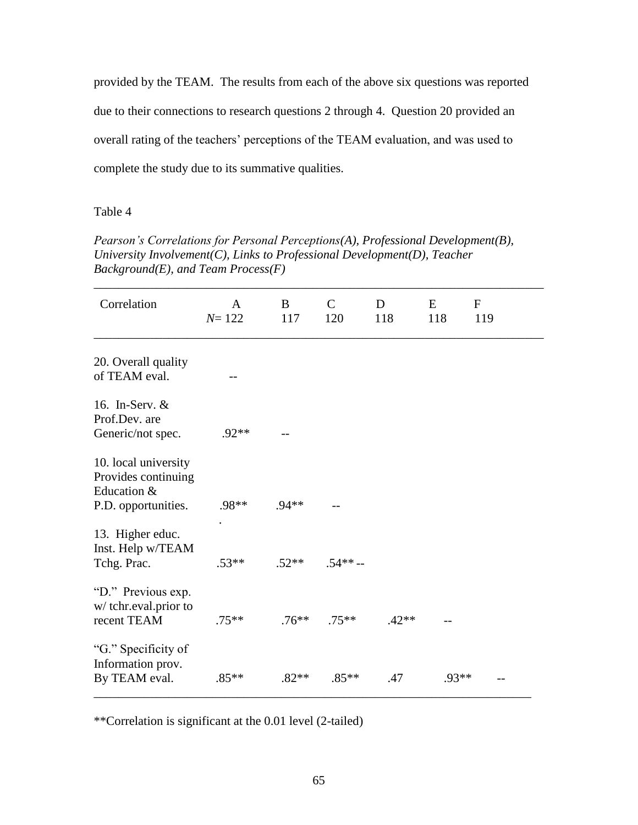provided by the TEAM. The results from each of the above six questions was reported due to their connections to research questions 2 through 4. Question 20 provided an overall rating of the teachers' perceptions of the TEAM evaluation, and was used to complete the study due to its summative qualities.

### Table 4

*Pearson's Correlations for Personal Perceptions(A), Professional Development(B), University Involvement(C), Links to Professional Development(D), Teacher Background(E), and Team Process(F)*

| Correlation                                                                       | A<br>$N = 122$ | B<br>117 | $\mathcal{C}$<br>120 | D<br>118 | E<br>118 | $\mathbf{F}$<br>119 |
|-----------------------------------------------------------------------------------|----------------|----------|----------------------|----------|----------|---------------------|
| 20. Overall quality<br>of TEAM eval.                                              |                |          |                      |          |          |                     |
| 16. In-Serv. &<br>Prof.Dev. are<br>Generic/not spec.                              | $.92**$        |          |                      |          |          |                     |
| 10. local university<br>Provides continuing<br>Education &<br>P.D. opportunities. | .98**          | $.94**$  |                      |          |          |                     |
| 13. Higher educ.<br>Inst. Help w/TEAM<br>Tchg. Prac.                              | $.53**$        | $.52**$  | $.54** -$            |          |          |                     |
| "D." Previous exp.<br>w/tchr.eval.prior to<br>recent TEAM                         | $.75**$        | $.76***$ | $.75***$             | $.42**$  |          |                     |
| "G." Specificity of<br>Information prov.<br>By TEAM eval.                         | $.85**$        | $.82**$  | $.85**$              | .47      | $.93**$  |                     |

\*\*Correlation is significant at the 0.01 level (2-tailed)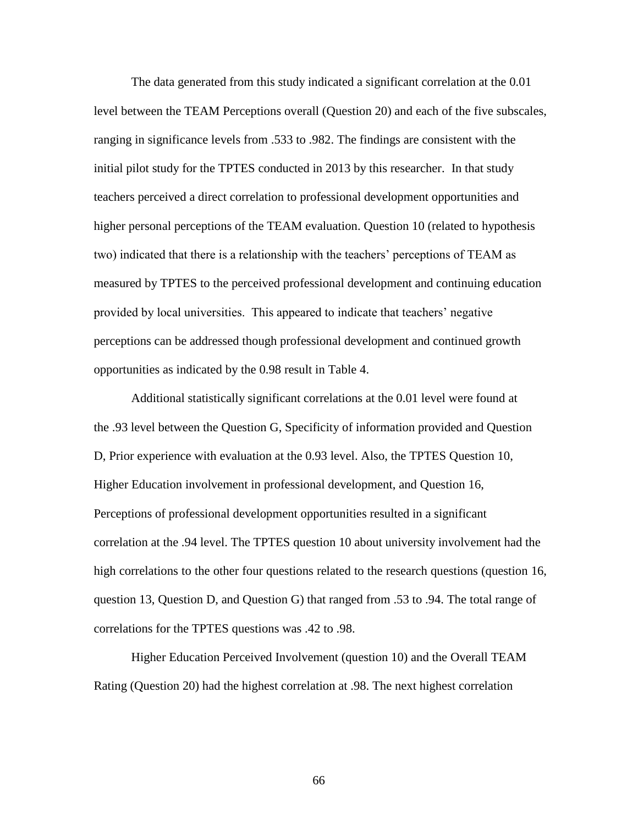The data generated from this study indicated a significant correlation at the 0.01 level between the TEAM Perceptions overall (Question 20) and each of the five subscales, ranging in significance levels from .533 to .982. The findings are consistent with the initial pilot study for the TPTES conducted in 2013 by this researcher. In that study teachers perceived a direct correlation to professional development opportunities and higher personal perceptions of the TEAM evaluation. Question 10 (related to hypothesis two) indicated that there is a relationship with the teachers' perceptions of TEAM as measured by TPTES to the perceived professional development and continuing education provided by local universities. This appeared to indicate that teachers" negative perceptions can be addressed though professional development and continued growth opportunities as indicated by the 0.98 result in Table 4.

Additional statistically significant correlations at the 0.01 level were found at the .93 level between the Question G, Specificity of information provided and Question D, Prior experience with evaluation at the 0.93 level. Also, the TPTES Question 10, Higher Education involvement in professional development, and Question 16, Perceptions of professional development opportunities resulted in a significant correlation at the .94 level. The TPTES question 10 about university involvement had the high correlations to the other four questions related to the research questions (question 16, question 13, Question D, and Question G) that ranged from .53 to .94. The total range of correlations for the TPTES questions was .42 to .98.

Higher Education Perceived Involvement (question 10) and the Overall TEAM Rating (Question 20) had the highest correlation at .98. The next highest correlation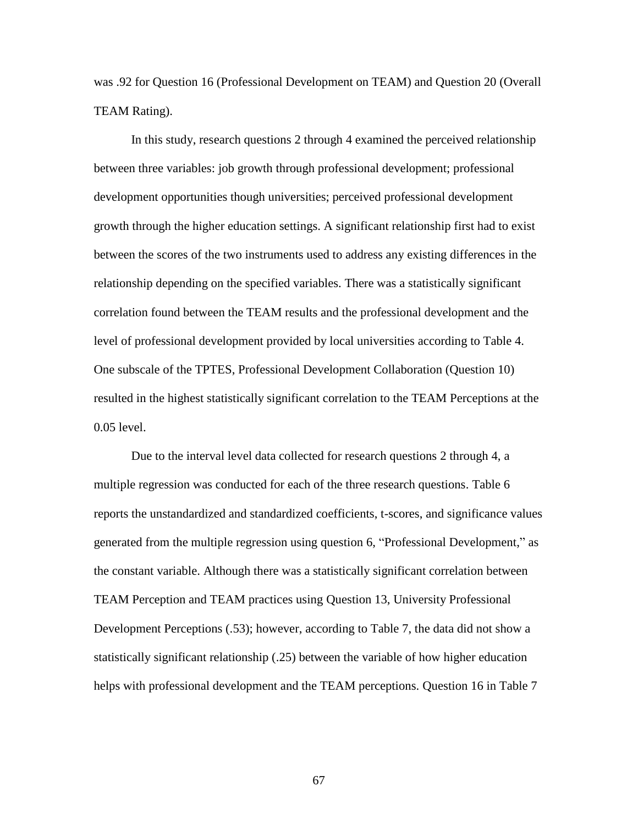was .92 for Question 16 (Professional Development on TEAM) and Question 20 (Overall TEAM Rating).

In this study, research questions 2 through 4 examined the perceived relationship between three variables: job growth through professional development; professional development opportunities though universities; perceived professional development growth through the higher education settings. A significant relationship first had to exist between the scores of the two instruments used to address any existing differences in the relationship depending on the specified variables. There was a statistically significant correlation found between the TEAM results and the professional development and the level of professional development provided by local universities according to Table 4. One subscale of the TPTES, Professional Development Collaboration (Question 10) resulted in the highest statistically significant correlation to the TEAM Perceptions at the 0.05 level.

Due to the interval level data collected for research questions 2 through 4, a multiple regression was conducted for each of the three research questions. Table 6 reports the unstandardized and standardized coefficients, t-scores, and significance values generated from the multiple regression using question 6, "Professional Development," as the constant variable. Although there was a statistically significant correlation between TEAM Perception and TEAM practices using Question 13, University Professional Development Perceptions (.53); however, according to Table 7, the data did not show a statistically significant relationship (.25) between the variable of how higher education helps with professional development and the TEAM perceptions. Question 16 in Table 7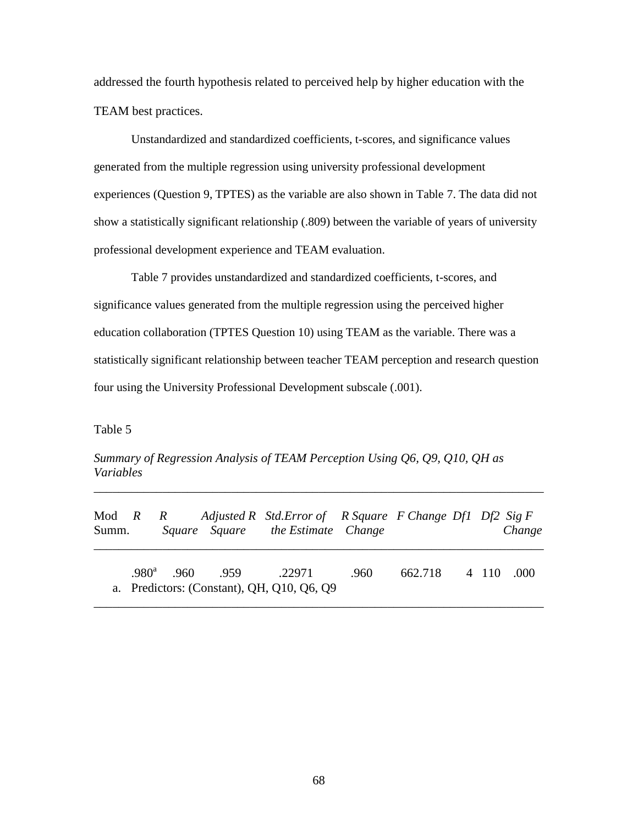addressed the fourth hypothesis related to perceived help by higher education with the TEAM best practices.

Unstandardized and standardized coefficients, t-scores, and significance values generated from the multiple regression using university professional development experiences (Question 9, TPTES) as the variable are also shown in Table 7. The data did not show a statistically significant relationship (.809) between the variable of years of university professional development experience and TEAM evaluation.

Table 7 provides unstandardized and standardized coefficients, t-scores, and significance values generated from the multiple regression using the perceived higher education collaboration (TPTES Question 10) using TEAM as the variable. There was a statistically significant relationship between teacher TEAM perception and research question four using the University Professional Development subscale (.001).

Table 5

*Summary of Regression Analysis of TEAM Perception Using Q6, Q9, Q10, QH as Variables*

| Summ. |  |                                 | Mod R R Adjusted R Std. Error of R Square F Change Df1 Df2 Sig F<br>Square Square the Estimate Change |      |                    |  | Change |
|-------|--|---------------------------------|-------------------------------------------------------------------------------------------------------|------|--------------------|--|--------|
|       |  | $.980^a$ $.960$ $.959$ $.22971$ | a. Predictors: (Constant), QH, Q10, Q6, Q9                                                            | .960 | 662.718 4 110 .000 |  |        |

\_\_\_\_\_\_\_\_\_\_\_\_\_\_\_\_\_\_\_\_\_\_\_\_\_\_\_\_\_\_\_\_\_\_\_\_\_\_\_\_\_\_\_\_\_\_\_\_\_\_\_\_\_\_\_\_\_\_\_\_\_\_\_\_\_\_\_\_\_\_\_\_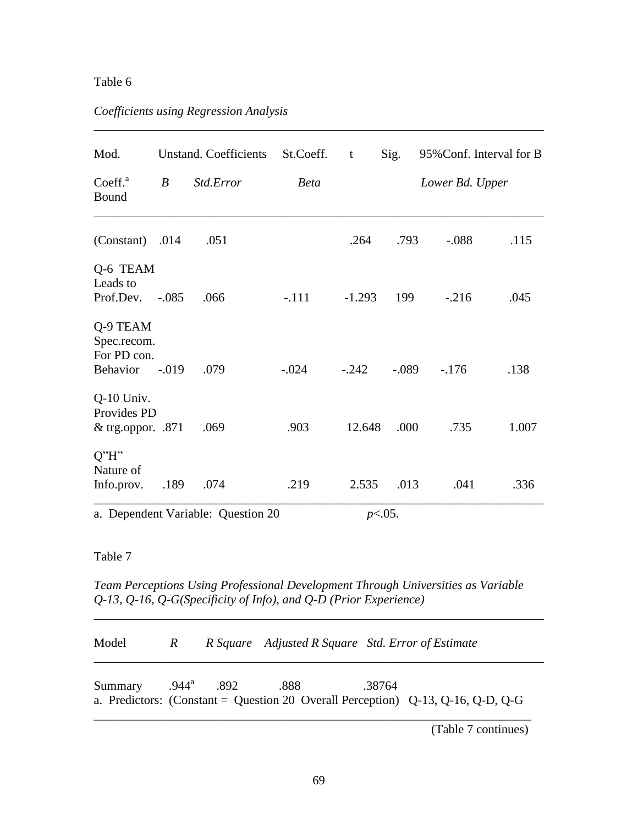## Table 6

# *Coefficients using Regression Analysis*

| Mod.                                               |                  | <b>Unstand.</b> Coefficients       | St.Coeff.   | t         | Sig.    | 95% Conf. Interval for B |       |
|----------------------------------------------------|------------------|------------------------------------|-------------|-----------|---------|--------------------------|-------|
| Coeff. <sup>a</sup><br>Bound                       | $\boldsymbol{B}$ | Std.Error                          | <b>Beta</b> |           |         | Lower Bd. Upper          |       |
| $(Constant)$ .014                                  |                  | .051                               |             | .264      | .793    | $-.088$                  | .115  |
| Q-6 TEAM<br>Leads to<br>Prof.Dev.                  | $-.085$          | .066                               | $-.111$     | $-1.293$  | 199     | $-.216$                  | .045  |
| Q-9 TEAM<br>Spec.recom.<br>For PD con.<br>Behavior | $-.019$          | .079                               | $-.024$     | $-.242$   | $-.089$ | $-.176$                  | .138  |
| Q-10 Univ.<br>Provides PD<br>& trg.oppor. $.871$   |                  | .069                               | .903        | 12.648    | .000    | .735                     | 1.007 |
| Q''H''<br>Nature of<br>Info.prov.                  | .189             | .074                               | .219        | 2.535     | .013    | .041                     | .336  |
|                                                    |                  | a. Dependent Variable: Question 20 |             | $p<.05$ . |         |                          |       |

\_\_\_\_\_\_\_\_\_\_\_\_\_\_\_\_\_\_\_\_\_\_\_\_\_\_\_\_\_\_\_\_\_\_\_\_\_\_\_\_\_\_\_\_\_\_\_\_\_\_\_\_\_\_\_\_\_\_\_\_\_\_\_\_\_\_\_\_\_\_\_\_

## Table 7

*Team Perceptions Using Professional Development Through Universities as Variable Q-13, Q-16, Q-G(Specificity of Info), and Q-D (Prior Experience)*

| Model   | R |                     |      | R Square Adjusted R Square Std. Error of Estimate                                                    |  |
|---------|---|---------------------|------|------------------------------------------------------------------------------------------------------|--|
| Summary |   | $.944^{\circ}$ .892 | .888 | .38764<br>a. Predictors: (Constant = Question 20 Overall Perception) $Q-13$ , $Q-16$ , $Q-D$ , $Q-G$ |  |

\_\_\_\_\_\_\_\_\_\_\_\_\_\_\_\_\_\_\_\_\_\_\_\_\_\_\_\_\_\_\_\_\_\_\_\_\_\_\_\_\_\_\_\_\_\_\_\_\_\_\_\_\_\_\_\_\_\_\_\_\_\_\_\_\_\_\_\_\_\_\_\_

(Table 7 continues)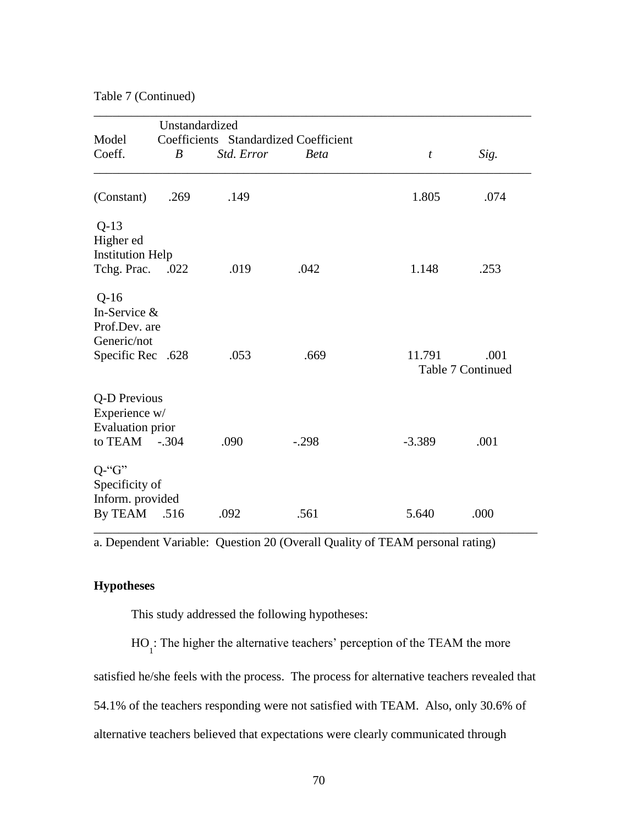Table 7 (Continued)

|                                                                             | Unstandardized |                                       |             |                  |                                  |
|-----------------------------------------------------------------------------|----------------|---------------------------------------|-------------|------------------|----------------------------------|
| Model                                                                       |                | Coefficients Standardized Coefficient |             |                  |                                  |
| Coeff.                                                                      | B              | Std. Error                            | <b>Beta</b> | $\boldsymbol{t}$ | Sig.                             |
| (Constant)                                                                  | .269           | .149                                  |             | 1.805            | .074                             |
| $Q-13$<br>Higher ed<br><b>Institution Help</b><br>Tchg. Prac. .022          |                | .019                                  | .042        | 1.148            | .253                             |
| $Q-16$<br>In-Service &<br>Prof.Dev. are<br>Generic/not<br>Specific Rec .628 |                | .053                                  | .669        | 11.791           | .001<br><b>Table 7 Continued</b> |
| Q-D Previous<br>Experience w/<br><b>Evaluation prior</b><br>to TEAM $-.304$ |                | .090                                  | $-.298$     | $-3.389$         | .001                             |
| $Q$ -" $G$ "<br>Specificity of<br>Inform. provided<br>By TEAM               | .516           | .092                                  | .561        | 5.640            | .000                             |

a. Dependent Variable: Question 20 (Overall Quality of TEAM personal rating)

\_\_\_\_\_\_\_\_\_\_\_\_\_\_\_\_\_\_\_\_\_\_\_\_\_\_\_\_\_\_\_\_\_\_\_\_\_\_\_\_\_\_\_\_\_\_\_\_\_\_\_\_\_\_\_\_\_\_\_\_\_\_\_\_\_\_\_\_\_\_\_

# **Hypotheses**

This study addressed the following hypotheses:

 $HO<sub>1</sub>$ : The higher the alternative teachers' perception of the TEAM the more

satisfied he/she feels with the process. The process for alternative teachers revealed that

54.1% of the teachers responding were not satisfied with TEAM. Also, only 30.6% of

alternative teachers believed that expectations were clearly communicated through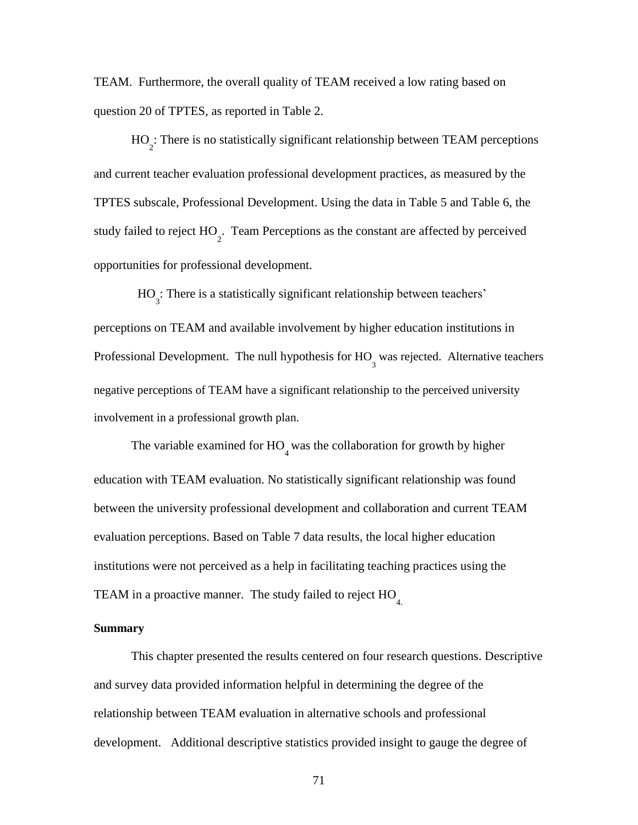TEAM. Furthermore, the overall quality of TEAM received a low rating based on question 20 of TPTES, as reported in Table 2.

HO 2 : There is no statistically significant relationship between TEAM perceptions and current teacher evaluation professional development practices, as measured by the TPTES subscale, Professional Development. Using the data in Table 5 and Table 6, the study failed to reject  $HO_2$ . Team Perceptions as the constant are affected by perceived opportunities for professional development.

HO<sub>3</sub>: There is a statistically significant relationship between teachers' perceptions on TEAM and available involvement by higher education institutions in Professional Development. The null hypothesis for HO<sub>3</sub> was rejected. Alternative teachers negative perceptions of TEAM have a significant relationship to the perceived university involvement in a professional growth plan.

The variable examined for  $HO_4$  was the collaboration for growth by higher education with TEAM evaluation. No statistically significant relationship was found between the university professional development and collaboration and current TEAM evaluation perceptions. Based on Table 7 data results, the local higher education institutions were not perceived as a help in facilitating teaching practices using the TEAM in a proactive manner. The study failed to reject HO<sub>4</sub>.

#### **Summary**

This chapter presented the results centered on four research questions. Descriptive and survey data provided information helpful in determining the degree of the relationship between TEAM evaluation in alternative schools and professional development. Additional descriptive statistics provided insight to gauge the degree of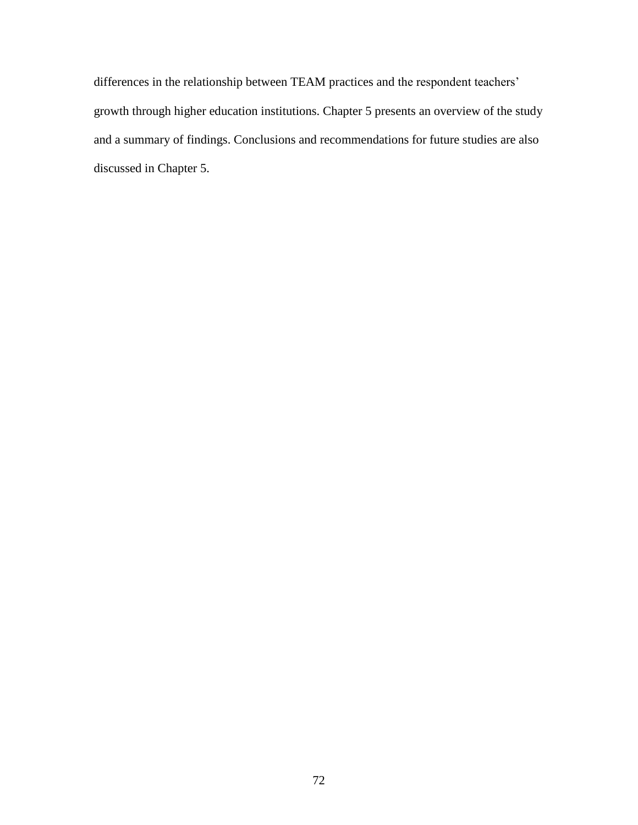differences in the relationship between TEAM practices and the respondent teachers' growth through higher education institutions. Chapter 5 presents an overview of the study and a summary of findings. Conclusions and recommendations for future studies are also discussed in Chapter 5.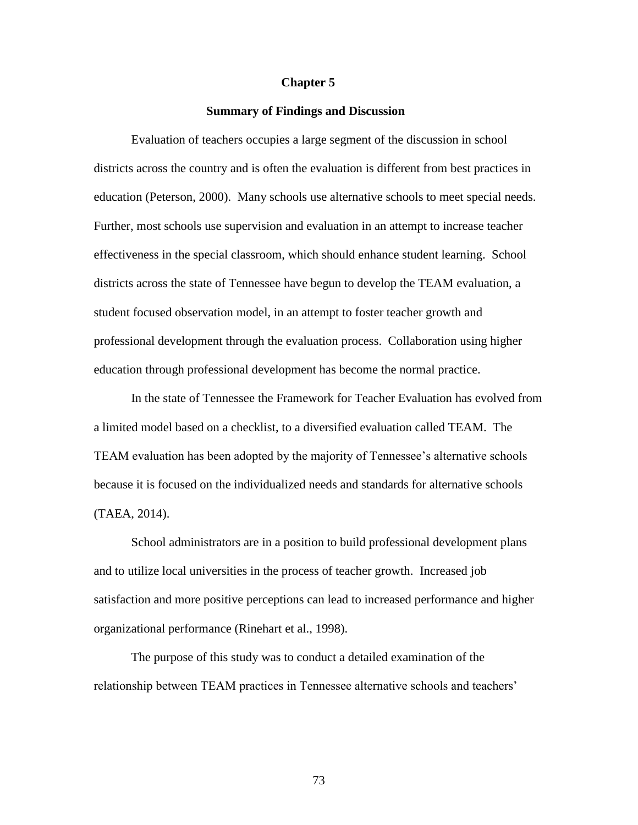#### **Chapter 5**

#### **Summary of Findings and Discussion**

Evaluation of teachers occupies a large segment of the discussion in school districts across the country and is often the evaluation is different from best practices in education (Peterson, 2000). Many schools use alternative schools to meet special needs. Further, most schools use supervision and evaluation in an attempt to increase teacher effectiveness in the special classroom, which should enhance student learning. School districts across the state of Tennessee have begun to develop the TEAM evaluation, a student focused observation model, in an attempt to foster teacher growth and professional development through the evaluation process. Collaboration using higher education through professional development has become the normal practice.

In the state of Tennessee the Framework for Teacher Evaluation has evolved from a limited model based on a checklist, to a diversified evaluation called TEAM. The TEAM evaluation has been adopted by the majority of Tennessee"s alternative schools because it is focused on the individualized needs and standards for alternative schools (TAEA, 2014).

School administrators are in a position to build professional development plans and to utilize local universities in the process of teacher growth. Increased job satisfaction and more positive perceptions can lead to increased performance and higher organizational performance (Rinehart et al., 1998).

The purpose of this study was to conduct a detailed examination of the relationship between TEAM practices in Tennessee alternative schools and teachers"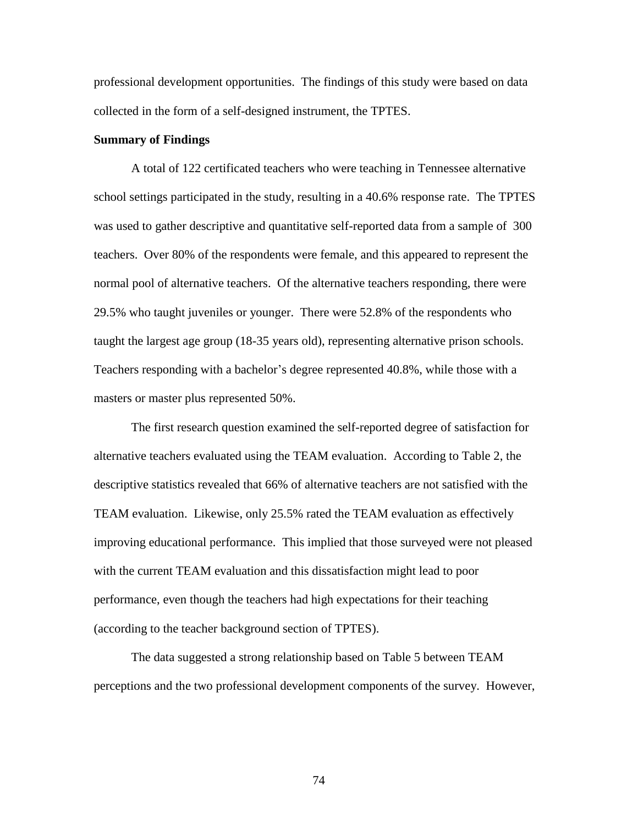professional development opportunities. The findings of this study were based on data collected in the form of a self-designed instrument, the TPTES.

#### **Summary of Findings**

A total of 122 certificated teachers who were teaching in Tennessee alternative school settings participated in the study, resulting in a 40.6% response rate. The TPTES was used to gather descriptive and quantitative self-reported data from a sample of 300 teachers. Over 80% of the respondents were female, and this appeared to represent the normal pool of alternative teachers. Of the alternative teachers responding, there were 29.5% who taught juveniles or younger. There were 52.8% of the respondents who taught the largest age group (18-35 years old), representing alternative prison schools. Teachers responding with a bachelor's degree represented 40.8%, while those with a masters or master plus represented 50%.

The first research question examined the self-reported degree of satisfaction for alternative teachers evaluated using the TEAM evaluation. According to Table 2, the descriptive statistics revealed that 66% of alternative teachers are not satisfied with the TEAM evaluation. Likewise, only 25.5% rated the TEAM evaluation as effectively improving educational performance. This implied that those surveyed were not pleased with the current TEAM evaluation and this dissatisfaction might lead to poor performance, even though the teachers had high expectations for their teaching (according to the teacher background section of TPTES).

The data suggested a strong relationship based on Table 5 between TEAM perceptions and the two professional development components of the survey. However,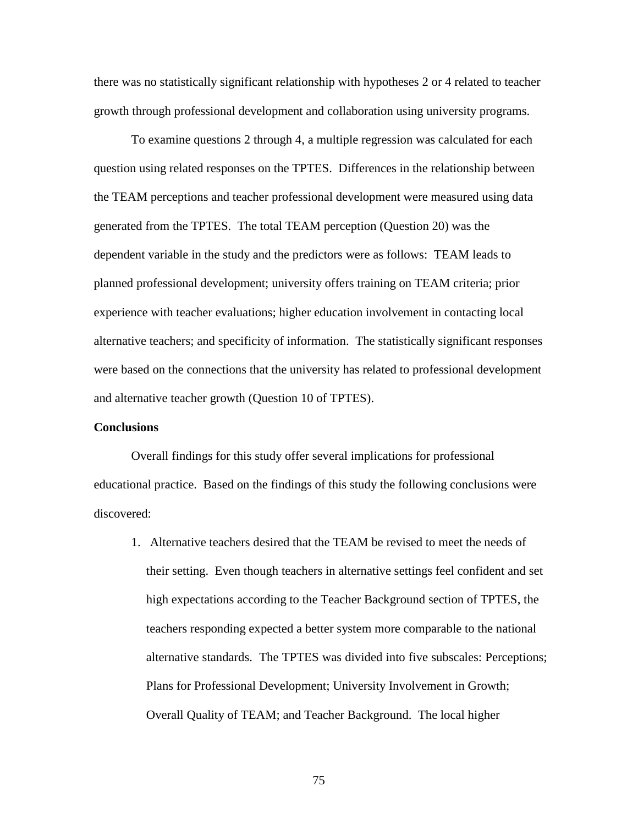there was no statistically significant relationship with hypotheses 2 or 4 related to teacher growth through professional development and collaboration using university programs.

To examine questions 2 through 4, a multiple regression was calculated for each question using related responses on the TPTES. Differences in the relationship between the TEAM perceptions and teacher professional development were measured using data generated from the TPTES. The total TEAM perception (Question 20) was the dependent variable in the study and the predictors were as follows: TEAM leads to planned professional development; university offers training on TEAM criteria; prior experience with teacher evaluations; higher education involvement in contacting local alternative teachers; and specificity of information. The statistically significant responses were based on the connections that the university has related to professional development and alternative teacher growth (Question 10 of TPTES).

#### **Conclusions**

Overall findings for this study offer several implications for professional educational practice. Based on the findings of this study the following conclusions were discovered:

1. Alternative teachers desired that the TEAM be revised to meet the needs of their setting. Even though teachers in alternative settings feel confident and set high expectations according to the Teacher Background section of TPTES, the teachers responding expected a better system more comparable to the national alternative standards. The TPTES was divided into five subscales: Perceptions; Plans for Professional Development; University Involvement in Growth; Overall Quality of TEAM; and Teacher Background. The local higher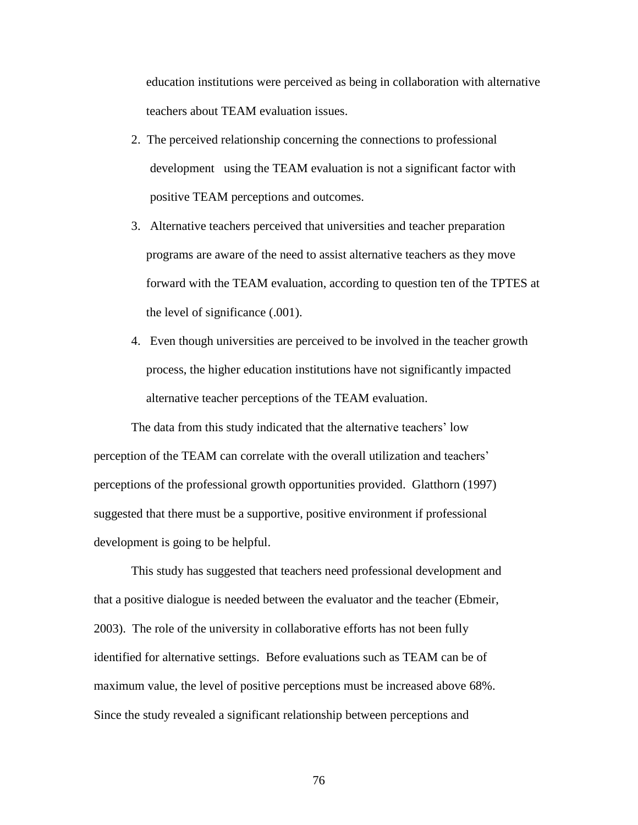education institutions were perceived as being in collaboration with alternative teachers about TEAM evaluation issues.

- 2. The perceived relationship concerning the connections to professional development using the TEAM evaluation is not a significant factor with positive TEAM perceptions and outcomes.
- 3. Alternative teachers perceived that universities and teacher preparation programs are aware of the need to assist alternative teachers as they move forward with the TEAM evaluation, according to question ten of the TPTES at the level of significance (.001).
- 4. Even though universities are perceived to be involved in the teacher growth process, the higher education institutions have not significantly impacted alternative teacher perceptions of the TEAM evaluation.

The data from this study indicated that the alternative teachers' low perception of the TEAM can correlate with the overall utilization and teachers" perceptions of the professional growth opportunities provided. Glatthorn (1997) suggested that there must be a supportive, positive environment if professional development is going to be helpful.

This study has suggested that teachers need professional development and that a positive dialogue is needed between the evaluator and the teacher (Ebmeir, 2003). The role of the university in collaborative efforts has not been fully identified for alternative settings. Before evaluations such as TEAM can be of maximum value, the level of positive perceptions must be increased above 68%. Since the study revealed a significant relationship between perceptions and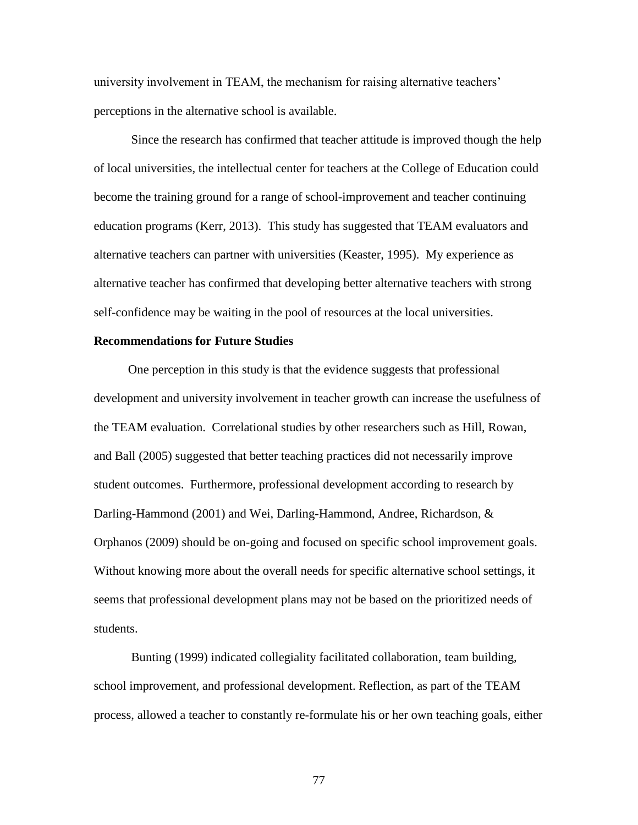university involvement in TEAM, the mechanism for raising alternative teachers" perceptions in the alternative school is available.

Since the research has confirmed that teacher attitude is improved though the help of local universities, the intellectual center for teachers at the College of Education could become the training ground for a range of school-improvement and teacher continuing education programs (Kerr, 2013). This study has suggested that TEAM evaluators and alternative teachers can partner with universities (Keaster, 1995). My experience as alternative teacher has confirmed that developing better alternative teachers with strong self-confidence may be waiting in the pool of resources at the local universities.

#### **Recommendations for Future Studies**

One perception in this study is that the evidence suggests that professional development and university involvement in teacher growth can increase the usefulness of the TEAM evaluation. Correlational studies by other researchers such as Hill, Rowan, and Ball (2005) suggested that better teaching practices did not necessarily improve student outcomes. Furthermore, professional development according to research by Darling-Hammond (2001) and Wei, Darling-Hammond, Andree, Richardson, & Orphanos (2009) should be on-going and focused on specific school improvement goals. Without knowing more about the overall needs for specific alternative school settings, it seems that professional development plans may not be based on the prioritized needs of students.

Bunting (1999) indicated collegiality facilitated collaboration, team building, school improvement, and professional development. Reflection, as part of the TEAM process, allowed a teacher to constantly re-formulate his or her own teaching goals, either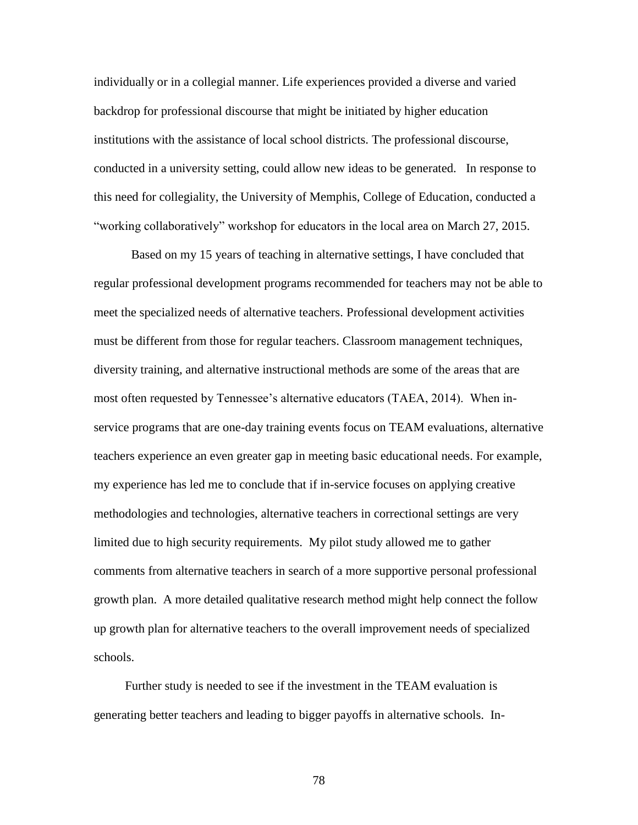individually or in a collegial manner. Life experiences provided a diverse and varied backdrop for professional discourse that might be initiated by higher education institutions with the assistance of local school districts. The professional discourse, conducted in a university setting, could allow new ideas to be generated. In response to this need for collegiality, the University of Memphis, College of Education, conducted a "working collaboratively" workshop for educators in the local area on March 27, 2015.

Based on my 15 years of teaching in alternative settings, I have concluded that regular professional development programs recommended for teachers may not be able to meet the specialized needs of alternative teachers. Professional development activities must be different from those for regular teachers. Classroom management techniques, diversity training, and alternative instructional methods are some of the areas that are most often requested by Tennessee's alternative educators (TAEA, 2014). When inservice programs that are one-day training events focus on TEAM evaluations, alternative teachers experience an even greater gap in meeting basic educational needs. For example, my experience has led me to conclude that if in-service focuses on applying creative methodologies and technologies, alternative teachers in correctional settings are very limited due to high security requirements. My pilot study allowed me to gather comments from alternative teachers in search of a more supportive personal professional growth plan. A more detailed qualitative research method might help connect the follow up growth plan for alternative teachers to the overall improvement needs of specialized schools.

 Further study is needed to see if the investment in the TEAM evaluation is generating better teachers and leading to bigger payoffs in alternative schools. In-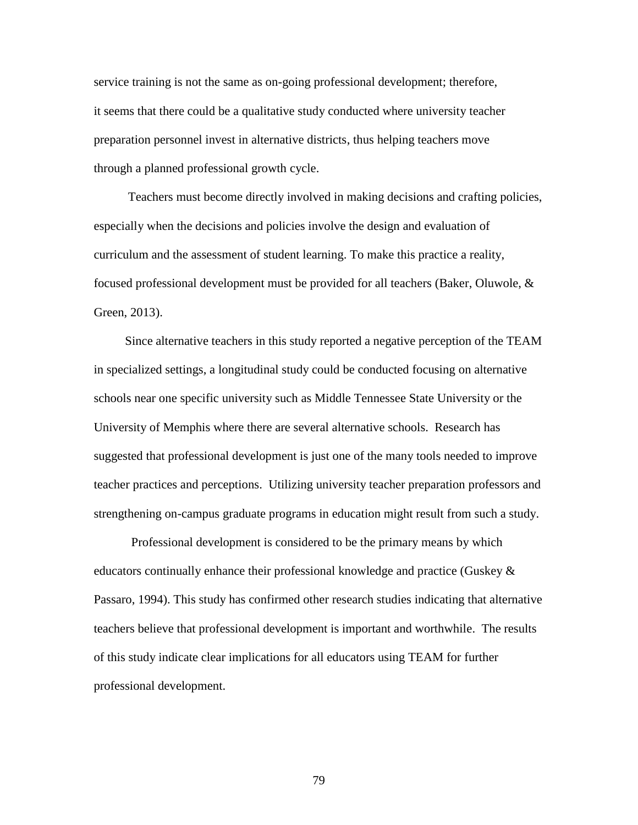service training is not the same as on-going professional development; therefore, it seems that there could be a qualitative study conducted where university teacher preparation personnel invest in alternative districts, thus helping teachers move through a planned professional growth cycle.

 Teachers must become directly involved in making decisions and crafting policies, especially when the decisions and policies involve the design and evaluation of curriculum and the assessment of student learning. To make this practice a reality, focused professional development must be provided for all teachers (Baker, Oluwole, & Green, 2013).

 Since alternative teachers in this study reported a negative perception of the TEAM in specialized settings, a longitudinal study could be conducted focusing on alternative schools near one specific university such as Middle Tennessee State University or the University of Memphis where there are several alternative schools. Research has suggested that professional development is just one of the many tools needed to improve teacher practices and perceptions. Utilizing university teacher preparation professors and strengthening on-campus graduate programs in education might result from such a study.

Professional development is considered to be the primary means by which educators continually enhance their professional knowledge and practice (Guskey  $\&$ Passaro, 1994). This study has confirmed other research studies indicating that alternative teachers believe that professional development is important and worthwhile. The results of this study indicate clear implications for all educators using TEAM for further professional development.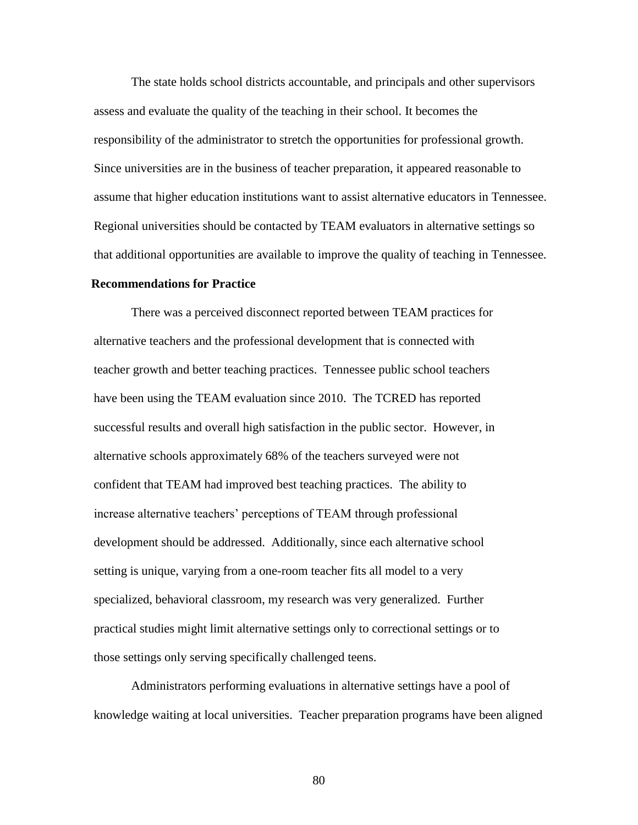The state holds school districts accountable, and principals and other supervisors assess and evaluate the quality of the teaching in their school. It becomes the responsibility of the administrator to stretch the opportunities for professional growth. Since universities are in the business of teacher preparation, it appeared reasonable to assume that higher education institutions want to assist alternative educators in Tennessee. Regional universities should be contacted by TEAM evaluators in alternative settings so that additional opportunities are available to improve the quality of teaching in Tennessee.

#### **Recommendations for Practice**

There was a perceived disconnect reported between TEAM practices for alternative teachers and the professional development that is connected with teacher growth and better teaching practices. Tennessee public school teachers have been using the TEAM evaluation since 2010. The TCRED has reported successful results and overall high satisfaction in the public sector. However, in alternative schools approximately 68% of the teachers surveyed were not confident that TEAM had improved best teaching practices. The ability to increase alternative teachers' perceptions of TEAM through professional development should be addressed. Additionally, since each alternative school setting is unique, varying from a one-room teacher fits all model to a very specialized, behavioral classroom, my research was very generalized. Further practical studies might limit alternative settings only to correctional settings or to those settings only serving specifically challenged teens.

Administrators performing evaluations in alternative settings have a pool of knowledge waiting at local universities. Teacher preparation programs have been aligned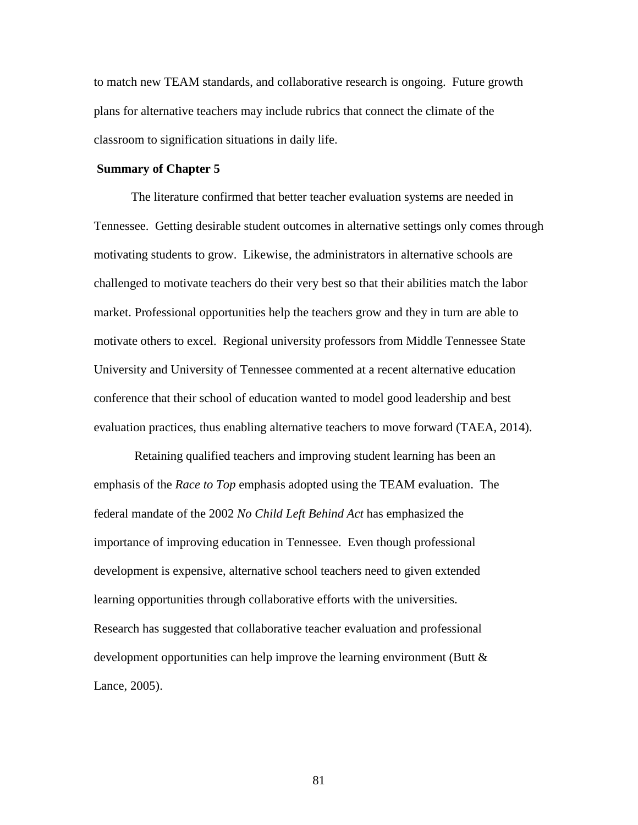to match new TEAM standards, and collaborative research is ongoing. Future growth plans for alternative teachers may include rubrics that connect the climate of the classroom to signification situations in daily life.

#### **Summary of Chapter 5**

The literature confirmed that better teacher evaluation systems are needed in Tennessee. Getting desirable student outcomes in alternative settings only comes through motivating students to grow. Likewise, the administrators in alternative schools are challenged to motivate teachers do their very best so that their abilities match the labor market. Professional opportunities help the teachers grow and they in turn are able to motivate others to excel. Regional university professors from Middle Tennessee State University and University of Tennessee commented at a recent alternative education conference that their school of education wanted to model good leadership and best evaluation practices, thus enabling alternative teachers to move forward (TAEA, 2014).

Retaining qualified teachers and improving student learning has been an emphasis of the *Race to Top* emphasis adopted using the TEAM evaluation. The federal mandate of the 2002 *No Child Left Behind Act* has emphasized the importance of improving education in Tennessee. Even though professional development is expensive, alternative school teachers need to given extended learning opportunities through collaborative efforts with the universities. Research has suggested that collaborative teacher evaluation and professional development opportunities can help improve the learning environment (Butt & Lance, 2005).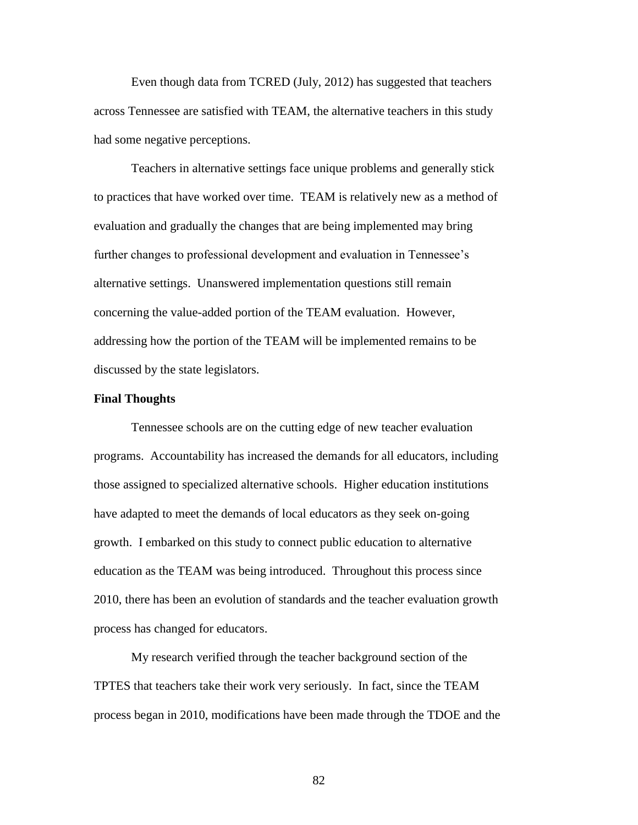Even though data from TCRED (July, 2012) has suggested that teachers across Tennessee are satisfied with TEAM, the alternative teachers in this study had some negative perceptions.

Teachers in alternative settings face unique problems and generally stick to practices that have worked over time. TEAM is relatively new as a method of evaluation and gradually the changes that are being implemented may bring further changes to professional development and evaluation in Tennessee's alternative settings. Unanswered implementation questions still remain concerning the value-added portion of the TEAM evaluation. However, addressing how the portion of the TEAM will be implemented remains to be discussed by the state legislators.

#### **Final Thoughts**

Tennessee schools are on the cutting edge of new teacher evaluation programs. Accountability has increased the demands for all educators, including those assigned to specialized alternative schools. Higher education institutions have adapted to meet the demands of local educators as they seek on-going growth. I embarked on this study to connect public education to alternative education as the TEAM was being introduced. Throughout this process since 2010, there has been an evolution of standards and the teacher evaluation growth process has changed for educators.

My research verified through the teacher background section of the TPTES that teachers take their work very seriously. In fact, since the TEAM process began in 2010, modifications have been made through the TDOE and the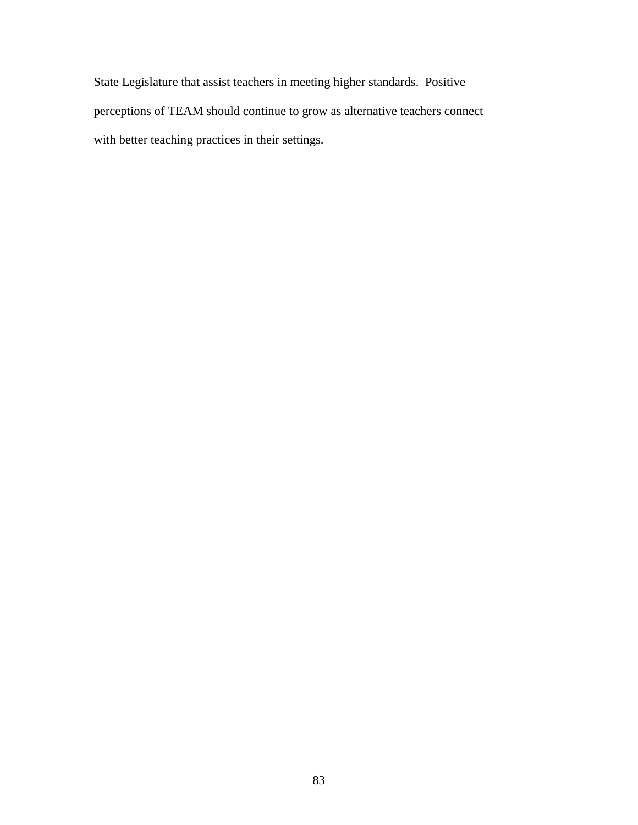State Legislature that assist teachers in meeting higher standards. Positive perceptions of TEAM should continue to grow as alternative teachers connect with better teaching practices in their settings.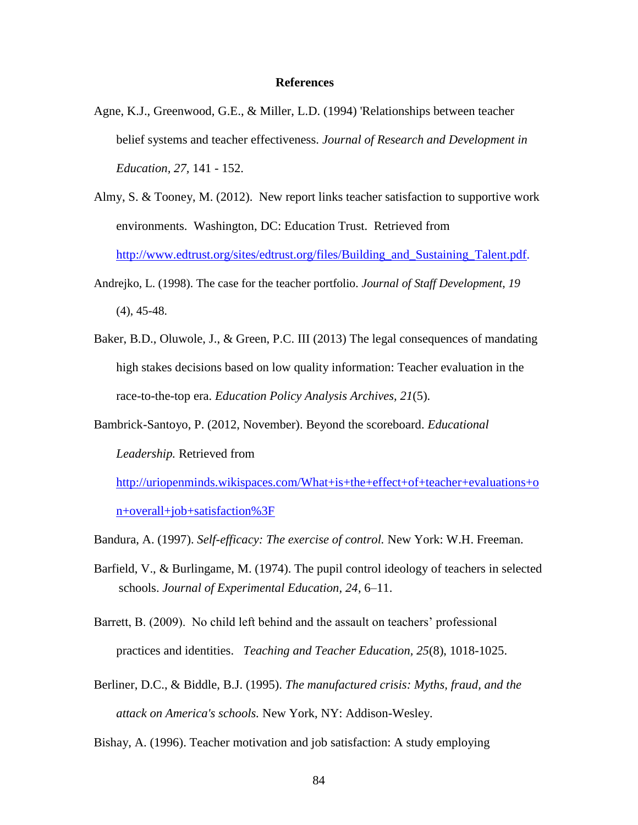#### **References**

- Agne, K.J., Greenwood, G.E., & Miller, L.D. (1994) 'Relationships between teacher belief systems and teacher effectiveness. *Journal of Research and Development in Education, 27,* 141 - 152.
- Almy, S. & Tooney, M. (2012). New report links teacher satisfaction to supportive work environments. Washington, DC: Education Trust. Retrieved from [http://www.edtrust.org/sites/edtrust.org/files/Building\\_and\\_Sustaining\\_Talent.pdf.](http://www.edtrust.org/sites/edtrust.org/files/Building_and_Sustaining_Talent.pdf)
- Andrejko, L. (1998). The case for the teacher portfolio. *Journal of Staff Development, 19*  (4), 45-48.
- Baker, B.D., Oluwole, J., & Green, P.C. III (2013) The legal consequences of mandating high stakes decisions based on low quality information: Teacher evaluation in the race-to-the-top era. *Education Policy Analysis Archives, 21*(5).
- Bambrick-Santoyo, P. (2012, November). Beyond the scoreboard. *Educational Leadership.* Retrieved from

[http://uriopenminds.wikispaces.com/What+is+the+effect+of+teacher+evaluations+o](http://uriopenminds.wikispaces.com/What+is+the+effect+of+teacher+evaluations+on+overall+job+satisfaction%3F) [n+overall+job+satisfaction%3F](http://uriopenminds.wikispaces.com/What+is+the+effect+of+teacher+evaluations+on+overall+job+satisfaction%3F)

- Bandura, A. (1997). *Self-efficacy: The exercise of control.* New York: W.H. Freeman.
- Barfield, V., & Burlingame, M. (1974). The pupil control ideology of teachers in selected schools. *Journal of Experimental Education, 24*, 6–11.
- Barrett, B. (2009). No child left behind and the assault on teachers' professional practices and identities. *Teaching and Teacher Education, 25*(8), 1018-1025.
- Berliner, D.C., & Biddle, B.J. (1995). *The manufactured crisis: Myths, fraud, and the attack on America's schools.* New York, NY: Addison-Wesley.

Bishay, A. (1996). Teacher motivation and job satisfaction: A study employing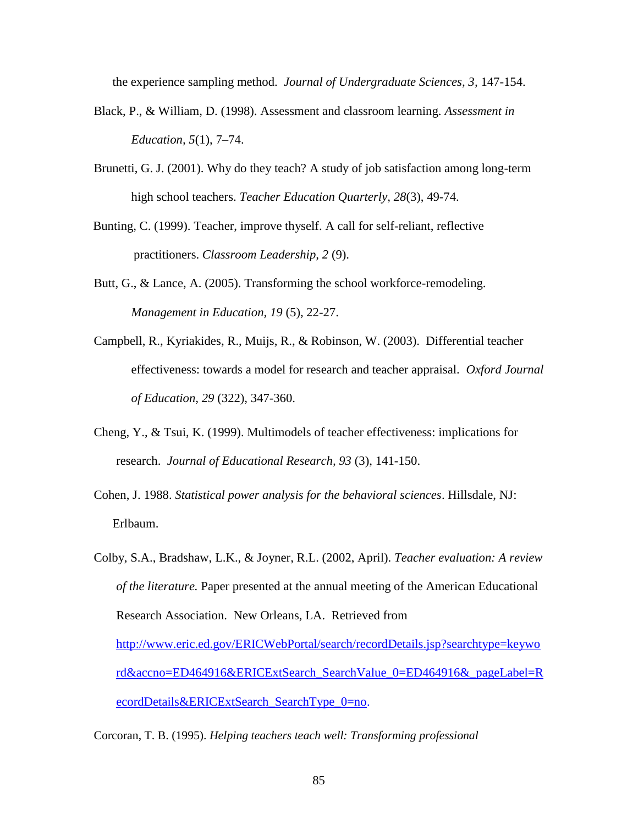the experience sampling method. *Journal of Undergraduate Sciences, 3,* 147-154.

- Black, P., & William, D. (1998). Assessment and classroom learning. *Assessment in Education, 5*(1), 7–74.
- Brunetti, G. J. (2001). Why do they teach? A study of job satisfaction among long-term high school teachers. *Teacher Education Quarterly, 28*(3), 49-74.
- Bunting, C. (1999). Teacher, improve thyself. A call for self-reliant, reflective practitioners. *Classroom Leadership, 2* (9).
- Butt, G., & Lance, A. (2005). Transforming the school workforce-remodeling. *Management in Education, 19* (5), 22-27.
- Campbell, R., Kyriakides, R., Muijs, R., & Robinson, W. (2003). Differential teacher effectiveness: towards a model for research and teacher appraisal. *Oxford Journal of Education, 29* (322), 347-360.
- Cheng, Y., & Tsui, K. (1999). Multimodels of teacher effectiveness: implications for research. *Journal of Educational Research, 93* (3), 141-150.
- Cohen, J. 1988. *Statistical power analysis for the behavioral sciences*. Hillsdale, NJ: Erlbaum.
- Colby, S.A., Bradshaw, L.K., & Joyner, R.L. (2002, April). *Teacher evaluation: A review of the literature.* Paper presented at the annual meeting of the American Educational Research Association. New Orleans, LA. Retrieved from [http://www.eric.ed.gov/ERICWebPortal/search/recordDetails.jsp?searchtype=keywo](http://www.eric.ed.gov/ERICWebPortal/search/recordDetails.jsp?searchtype=keyword&accno=ED464916&ERICExtSearch_SearchValue_0=ED464916&_pageLabel=RecordDetails&ERICExtSearch_SearchType_0=no) [rd&accno=ED464916&ERICExtSearch\\_SearchValue\\_0=ED464916&\\_pageLabel=R](http://www.eric.ed.gov/ERICWebPortal/search/recordDetails.jsp?searchtype=keyword&accno=ED464916&ERICExtSearch_SearchValue_0=ED464916&_pageLabel=RecordDetails&ERICExtSearch_SearchType_0=no) [ecordDetails&ERICExtSearch\\_SearchType\\_0=no.](http://www.eric.ed.gov/ERICWebPortal/search/recordDetails.jsp?searchtype=keyword&accno=ED464916&ERICExtSearch_SearchValue_0=ED464916&_pageLabel=RecordDetails&ERICExtSearch_SearchType_0=no)

Corcoran, T. B. (1995). *Helping teachers teach well: Transforming professional*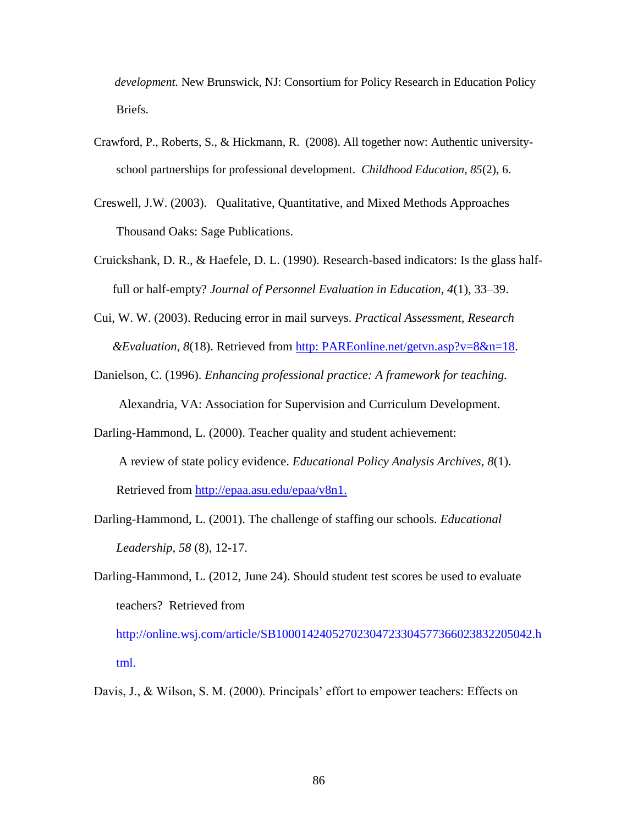*development.* New Brunswick, NJ: Consortium for Policy Research in Education Policy Briefs.

- Crawford, P., Roberts, S., & Hickmann, R. (2008). All together now: Authentic universityschool partnerships for professional development. *Childhood Education, 85*(2), 6.
- Creswell, J.W. (2003). Qualitative, Quantitative, and Mixed Methods Approaches Thousand Oaks: Sage Publications.
- Cruickshank, D. R., & Haefele, D. L. (1990). Research-based indicators: Is the glass halffull or half-empty? *Journal of Personnel Evaluation in Education, 4*(1), 33–39.
- Cui, W. W. (2003). Reducing error in mail surveys. *Practical Assessment, Research &Evaluation*, *8*(18). Retrieved from http: PAREonline.net/getvn.asp?v=8&n=18.
- Danielson, C. (1996). *Enhancing professional practice: A framework for teaching.* Alexandria, VA: Association for Supervision and Curriculum Development.
- Darling-Hammond, L. (2000). Teacher quality and student achievement: A review of state policy evidence. *Educational Policy Analysis Archives, 8*(1). Retrieved from [http://epaa.asu.edu/epaa/v8n1.](http://epaa.asu.edu/epaa/v8n1)
- Darling-Hammond, L. (2001). The challenge of staffing our schools. *Educational Leadership*, *58* (8), 12-17.
- Darling-Hammond, L. (2012, June 24). Should student test scores be used to evaluate teachers? Retrieved from

[http://online.wsj.com/article/SB10001424052702304723304577366023832205042.h](http://online.wsj.com/article/SB10001424052702304723304577366023832205042.html) [tml.](http://online.wsj.com/article/SB10001424052702304723304577366023832205042.html)

Davis, J., & Wilson, S. M. (2000). Principals' effort to empower teachers: Effects on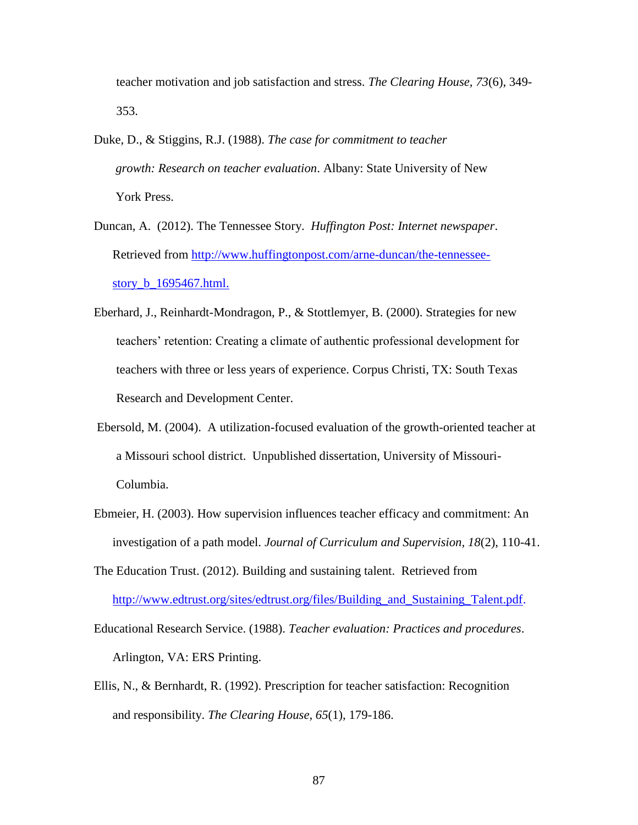teacher motivation and job satisfaction and stress. *The Clearing House, 73*(6), 349- 353.

- Duke, D., & Stiggins, R.J. (1988). *The case for commitment to teacher growth: Research on teacher evaluation*. Albany: State University of New York Press.
- Duncan, A. (2012). The Tennessee Story. *Huffington Post: Internet newspaper*. Retrieved from [http://www.huffingtonpost.com/arne-duncan/the-tennessee](http://www.huffingtonpost.com/arne-duncan/the-tennessee-story_b_1695467.html)[story\\_b\\_1695467.html.](http://www.huffingtonpost.com/arne-duncan/the-tennessee-story_b_1695467.html)
- Eberhard, J., Reinhardt-Mondragon, P., & Stottlemyer, B. (2000). Strategies for new teachers" retention: Creating a climate of authentic professional development for teachers with three or less years of experience. Corpus Christi, TX: South Texas Research and Development Center.
- Ebersold, M. (2004). A utilization-focused evaluation of the growth-oriented teacher at a Missouri school district. Unpublished dissertation, University of Missouri-Columbia.
- Ebmeier, H. (2003). How supervision influences teacher efficacy and commitment: An investigation of a path model. *Journal of Curriculum and Supervision, 18*(2), 110-41.
- The Education Trust. (2012). Building and sustaining talent. Retrieved from http://www.edtrust.org/sites/edtrust.org/files/Building\_and\_Sustaining\_Talent.pdf.
- Educational Research Service. (1988). *Teacher evaluation: Practices and procedures*. Arlington, VA: ERS Printing.
- Ellis, N., & Bernhardt, R. (1992). Prescription for teacher satisfaction: Recognition and responsibility. *The Clearing House, 65*(1), 179-186.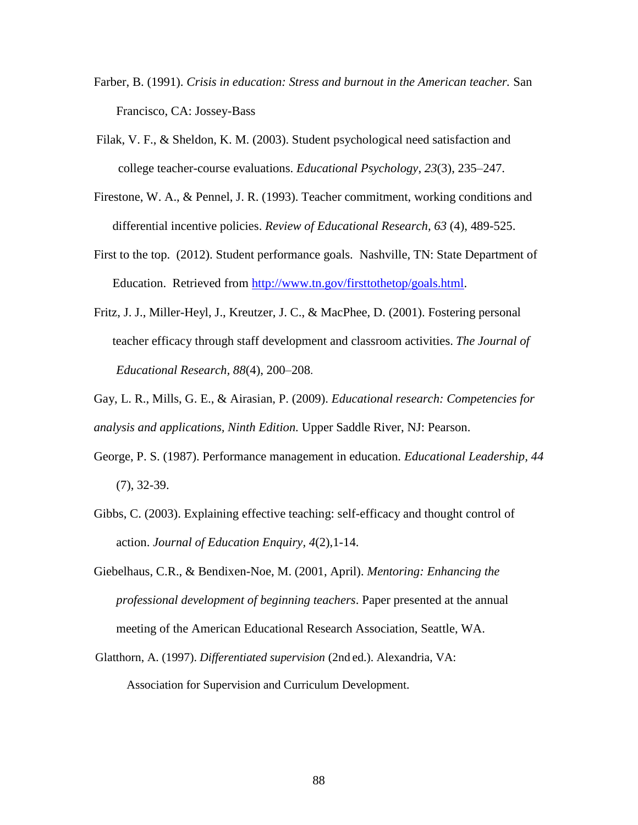- Farber, B. (1991). *Crisis in education: Stress and burnout in the American teacher.* San Francisco, CA: Jossey-Bass
- Filak, V. F., & Sheldon, K. M. (2003). Student psychological need satisfaction and college teacher-course evaluations. *Educational Psychology*, *23*(3), 235–247.
- Firestone, W. A., & Pennel, J. R. (1993). Teacher commitment, working conditions and differential incentive policies. *Review of Educational Research, 63* (4), 489-525.
- First to the top. (2012). Student performance goals. Nashville, TN: State Department of Education. Retrieved from [http://www.tn.gov/firsttothetop/goals.html.](http://www.tn.gov/firsttothetop/goals.html)
- Fritz, J. J., Miller-Heyl, J., Kreutzer, J. C., & MacPhee, D. (2001). Fostering personal teacher efficacy through staff development and classroom activities. *The Journal of Educational Research, 88*(4), 200–208.
- Gay, L. R., Mills, G. E., & Airasian, P. (2009). *Educational research: Competencies for analysis and applications, Ninth Edition.* Upper Saddle River, NJ: Pearson.
- George, P. S. (1987). Performance management in education. *Educational Leadership, 44*  (7), 32-39.
- Gibbs, C. (2003). Explaining effective teaching: self-efficacy and thought control of action. *Journal of Education Enquiry, 4*(2),1-14.
- Giebelhaus, C.R., & Bendixen-Noe, M. (2001, April). *Mentoring: Enhancing the professional development of beginning teachers*. Paper presented at the annual meeting of the American Educational Research Association, Seattle, WA.
- Glatthorn, A. (1997). *Differentiated supervision* (2nd ed.). Alexandria, VA: Association for Supervision and Curriculum Development.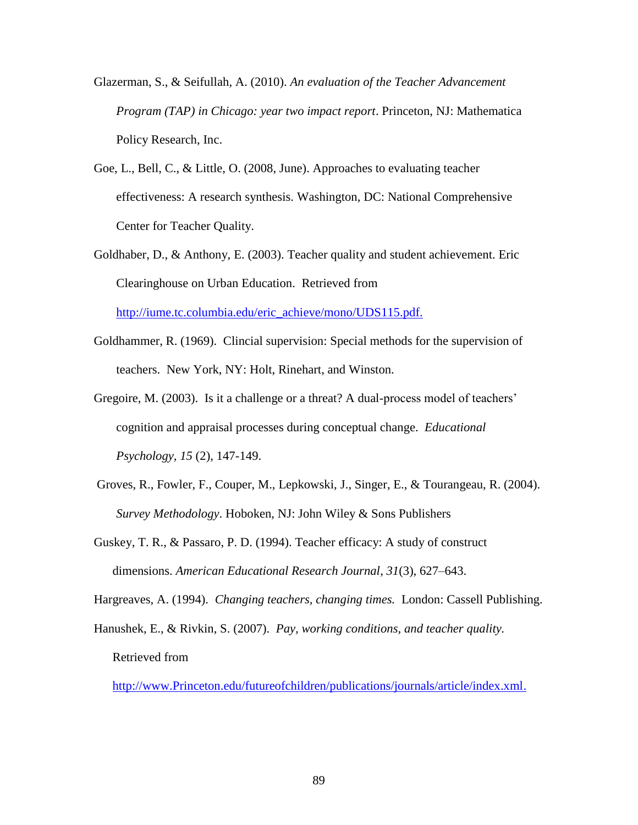- Glazerman, S., & Seifullah, A. (2010). *An evaluation of the Teacher Advancement Program (TAP) in Chicago: year two impact report*. Princeton, NJ: Mathematica Policy Research, Inc.
- Goe, L., Bell, C., & Little, O. (2008, June). Approaches to evaluating teacher effectiveness: A research synthesis. Washington, DC: National Comprehensive Center for Teacher Quality.
- Goldhaber, D., & Anthony, E. (2003). [Teacher quality and student achievement.](http://iume.tc.columbia.edu/eric_archive/digest/184.pdf) Eric Clearinghouse on Urban Education. Retrieved from

http://iume.tc.columbia.edu/eric\_achieve/mono/UDS115.pdf.

- Goldhammer, R. (1969). Clincial supervision: Special methods for the supervision of teachers. New York, NY: Holt, Rinehart, and Winston.
- Gregoire, M. (2003). Is it a challenge or a threat? A dual-process model of teachers' cognition and appraisal processes during conceptual change. *Educational Psychology, 15* (2), 147-149.
- Groves, R., Fowler, F., Couper, M., Lepkowski, J., Singer, E., & Tourangeau, R. (2004). *Survey Methodology*. Hoboken, NJ: John Wiley & Sons Publishers
- Guskey, T. R., & Passaro, P. D. (1994). Teacher efficacy: A study of construct dimensions. *American Educational Research Journal*, *31*(3), 627–643.

Hargreaves, A. (1994). *Changing teachers, changing times.* London: Cassell Publishing.

Hanushek, E., & Rivkin, S. (2007). *Pay, working conditions, and teacher quality.* Retrieved from

[http://www.Princeton.edu/futureofchildren/publications/journals/article/index.xml.](http://www.princeton.edu/futureofchildren/publications/journals/article/index.xml)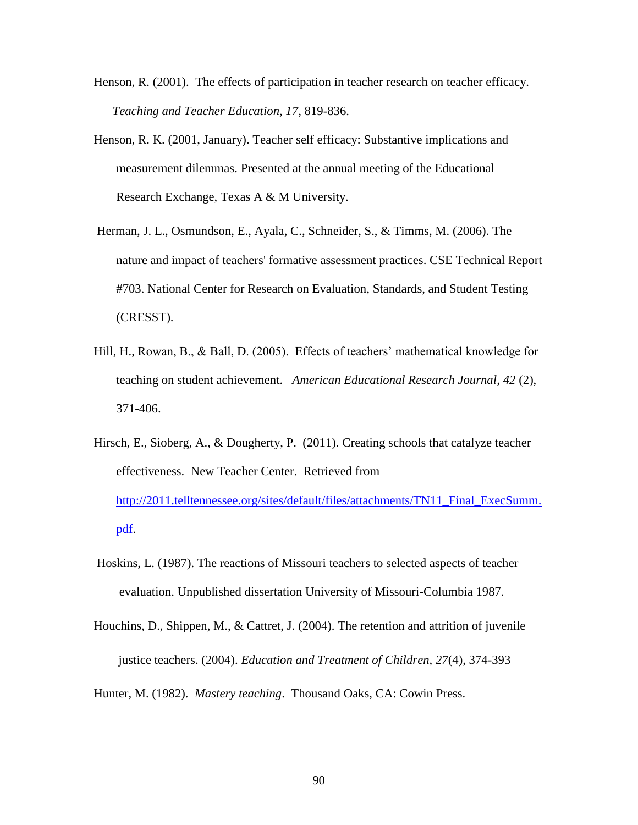- Henson, R. (2001). The effects of participation in teacher research on teacher efficacy. *Teaching and Teacher Education, 17*, 819-836.
- Henson, R. K. (2001, January). Teacher self efficacy: Substantive implications and measurement dilemmas. Presented at the annual meeting of the Educational Research Exchange, Texas A & M University.
- Herman, J. L., Osmundson, E., Ayala, C., Schneider, S., & Timms, M. (2006). The nature and impact of teachers' formative assessment practices. CSE Technical Report #703. National Center for Research on Evaluation, Standards, and Student Testing (CRESST).
- Hill, H., Rowan, B., & Ball, D. (2005). Effects of teachers' mathematical knowledge for teaching on student achievement. *American Educational Research Journal, 42* (2), 371-406.
- Hirsch, E., Sioberg, A., & Dougherty, P. (2011). Creating schools that catalyze teacher effectiveness. New Teacher Center. Retrieved from [http://2011.telltennessee.org/sites/default/files/attachments/TN11\\_Final\\_ExecSumm.](http://2011.telltennessee.org/sites/default/files/attachments/TN11_Final_ExecSumm.pdf) [pdf.](http://2011.telltennessee.org/sites/default/files/attachments/TN11_Final_ExecSumm.pdf)
- Hoskins, L. (1987). The reactions of Missouri teachers to selected aspects of teacher evaluation. Unpublished dissertation University of Missouri-Columbia 1987.
- Houchins, D., Shippen, M., & Cattret, J. (2004). The retention and attrition of juvenile justice teachers. (2004). *Education and Treatment of Children, 27*(4), 374-393

Hunter, M. (1982). *Mastery teaching*. Thousand Oaks, CA: Cowin Press.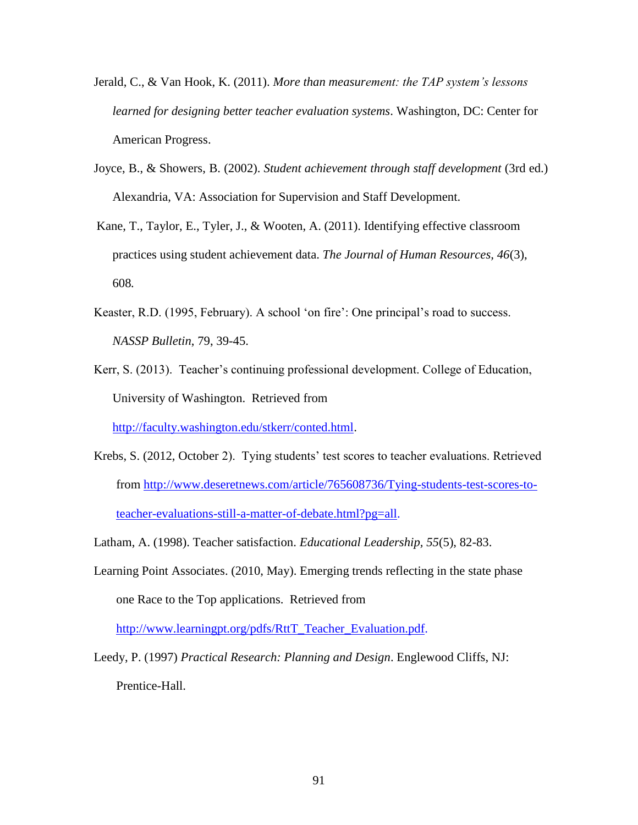- Jerald, C., & Van Hook, K. (2011). *More than measurement: the TAP system's lessons learned for designing better teacher evaluation systems*. Washington, DC: Center for American Progress.
- Joyce, B., & Showers, B. (2002). *Student achievement through staff development* (3rd ed.) Alexandria, VA: Association for Supervision and Staff Development.
- Kane, T., Taylor, E., Tyler, J., & Wooten, A. (2011). Identifying effective classroom practices using student achievement data. *The Journal of Human Resources, 46*(3), 608*.*
- Keaster, R.D. (1995, February). A school 'on fire': One principal's road to success. *NASSP Bulletin*, 79, 39-45.
- Kerr, S. (2013). Teacher"s continuing professional development. College of Education, University of Washington. Retrieved from

[http://faculty.washington.edu/stkerr/conted.html.](http://faculty.washington.edu/stkerr/conted.html)

- Krebs, S. (2012, October 2). Tying students' test scores to teacher evaluations. Retrieved from [http://www.deseretnews.com/article/765608736/Tying-students-test-scores-to](http://www.deseretnews.com/article/765608736/Tying-students-test-scores-to-teacher-evaluations-still-a-matter-of-debate.html?pg=all)[teacher-evaluations-still-a-matter-of-debate.html?pg=all.](http://www.deseretnews.com/article/765608736/Tying-students-test-scores-to-teacher-evaluations-still-a-matter-of-debate.html?pg=all)
- Latham, A. (1998). Teacher satisfaction. *Educational Leadership, 55*(5), 82-83.
- Learning Point Associates. (2010, May). Emerging trends reflecting in the state phase one Race to the Top applications. Retrieved from

[http://www.learningpt.org/pdfs/RttT\\_Teacher\\_Evaluation.pdf.](http://www.learningpt.org/pdfs/RttT_Teacher_Evaluation.pdf)

Leedy, P. (1997) *Practical Research: Planning and Design*. Englewood Cliffs, NJ: Prentice-Hall.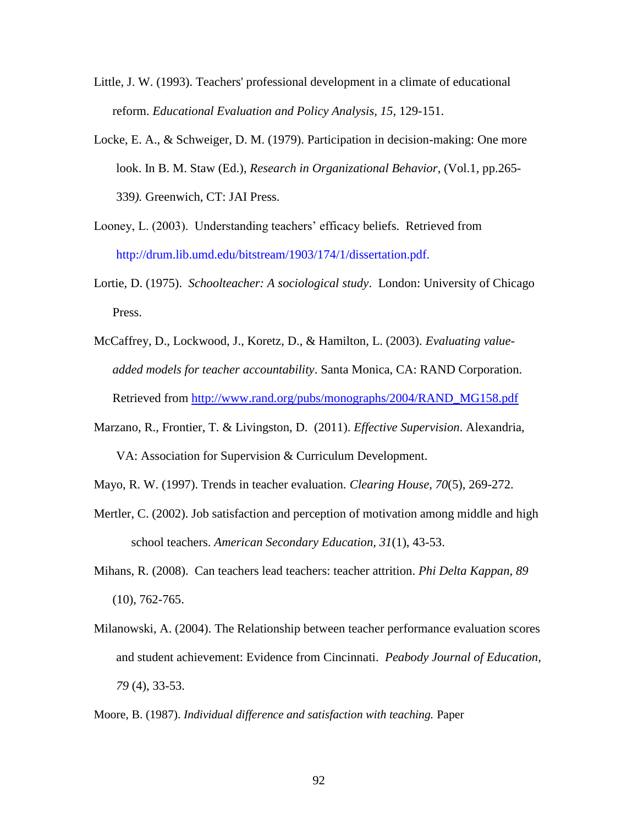- Little, J. W. (1993). Teachers' professional development in a climate of educational reform. *Educational Evaluation and Policy Analysis, 15*, 129-151.
- Locke, E. A., & Schweiger, D. M. (1979). Participation in decision-making: One more look. In B. M. Staw (Ed.), *Research in Organizational Behavior,* (Vol.1*,* pp.265- 339*).* Greenwich, CT: JAI Press.
- Looney, L. (2003). Understanding teachers' efficacy beliefs. Retrieved from http://drum.lib.umd.edu/bitstream/1903/174/1/dissertation.pdf.
- Lortie, D. (1975). *Schoolteacher: A sociological study*. London: University of Chicago Press.
- McCaffrey, D., Lockwood, J., Koretz, D., & Hamilton, L. (2003). *Evaluating valueadded models for teacher accountability*. Santa Monica, CA: RAND Corporation. Retrieved from [http://www.rand.org/pubs/monographs/2004/RAND\\_MG158.pdf](http://www.rand.org/pubs/monographs/2004/RAND_MG158.pdf)
- Marzano, R., Frontier, T. & Livingston, D. (2011). *Effective Supervision*. Alexandria, VA: Association for Supervision & Curriculum Development.
- Mayo, R. W. (1997). Trends in teacher evaluation. *Clearing House, 70*(5), 269-272.
- Mertler, C. (2002). Job satisfaction and perception of motivation among middle and high school teachers. *American Secondary Education, 31*(1), 43-53.
- Mihans, R. (2008). Can teachers lead teachers: teacher attrition. *Phi Delta Kappan, 89* (10), 762-765.
- Milanowski, A. (2004). The Relationship between teacher performance evaluation scores and student achievement: Evidence from Cincinnati. *Peabody Journal of Education, 79* (4), 33-53.
- Moore, B. (1987). *Individual difference and satisfaction with teaching.* Paper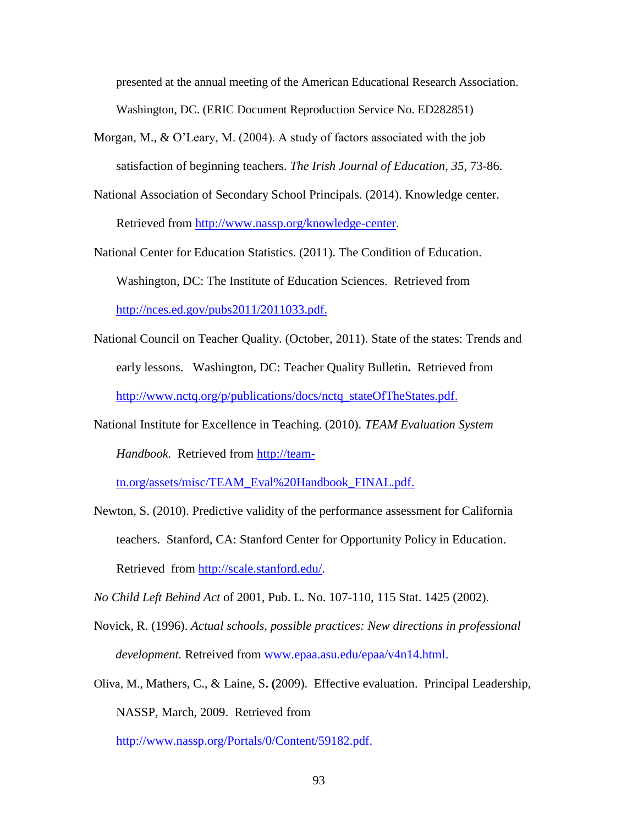presented at the annual meeting of the American Educational Research Association. Washington, DC. (ERIC Document Reproduction Service No. ED282851)

- Morgan, M., & O"Leary, M. (2004). A study of factors associated with the job satisfaction of beginning teachers. *The Irish Journal of Education, 35*, 73-86.
- National Association of Secondary School Principals. (2014). Knowledge center. Retrieved from http://www.nassp.org/knowledge-center.

National Center for Education Statistics. (2011). The Condition of Education. Washington, DC: The Institute of Education Sciences. Retrieved from [http://nces.ed.gov/pubs2011/2011033.pdf.](http://nces.ed.gov/pubs2011/2011033.pdf)

- National Council on Teacher Quality. (October, 2011). State of the states: Trends and early lessons. Washington, DC: Teacher Quality Bulletin**.** Retrieved from [http://www.nctq.org/p/publications/docs/nctq\\_stateOfTheStates.pdf.](http://www.nctq.org/p/publications/docs/nctq_stateOfTheStates.pdf)
- National Institute for Excellence in Teaching. (2010). *TEAM Evaluation System Handbook.* Retrieved from [http://team-](http://team-tn.org/assets/misc/TEAM_Eval%20Handbook_FINAL.pdf)

[tn.org/assets/misc/TEAM\\_Eval%20Handbook\\_FINAL.pdf.](http://team-tn.org/assets/misc/TEAM_Eval%20Handbook_FINAL.pdf)

Newton, S. (2010). Predictive validity of the performance assessment for California teachers. Stanford, CA: Stanford Center for Opportunity Policy in Education. Retrieved from [http://scale.stanford.edu/.](http://scale.stanford.edu/)

*No Child Left Behind Act* of 2001, Pub. L. No. 107-110, 115 Stat. 1425 (2002).

- Novick, R. (1996). *Actual schools, possible practices: New directions in professional development.* Retreived from www.epaa.asu.edu/epaa/v4n14.html.
- Oliva, M., Mathers, C., & Laine, S**. (**2009). Effective evaluation. Principal Leadership, NASSP, March, 2009. Retrieved from

http://www.nassp.org/Portals/0/Content/59182.pdf.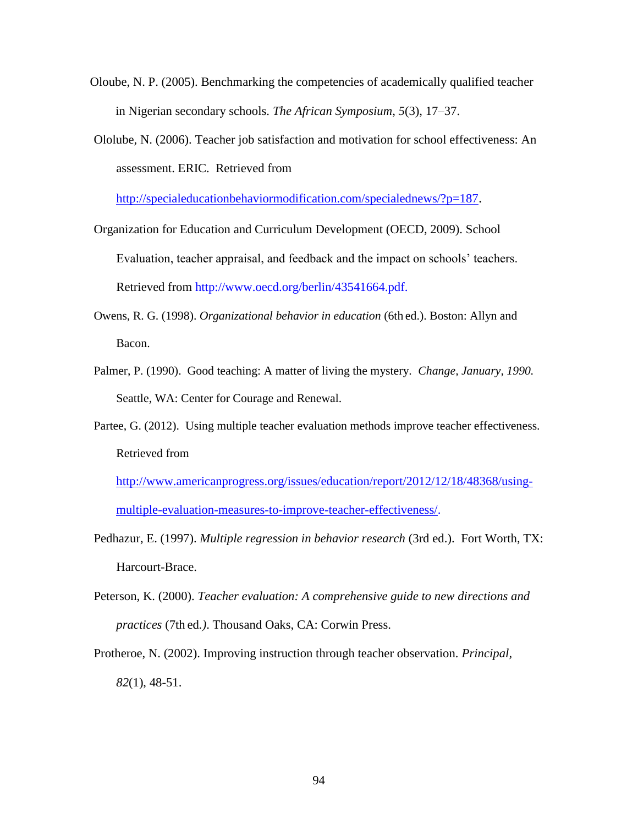- Oloube, N. P. (2005). Benchmarking the competencies of academically qualified teacher in Nigerian secondary schools. *The African Symposium*, *5*(3), 17–37.
- Ololube*,* N. (2006). Teacher job satisfaction and motivation for school effectiveness: An assessment. ERIC. Retrieved from

<http://specialeducationbehaviormodification.com/specialednews/?p=187>.

- Organization for Education and Curriculum Development (OECD, 2009). School Evaluation, teacher appraisal, and feedback and the impact on schools" teachers. Retrieved from http://www.oecd.org/berlin/43541664.pdf.
- Owens, R. G. (1998). *Organizational behavior in education* (6th ed.). Boston: Allyn and Bacon.
- Palmer, P. (1990). Good teaching: A matter of living the mystery. *Change, January, 1990.*  Seattle, WA: Center for Courage and Renewal.
- Partee, G. (2012). Using multiple teacher evaluation methods improve teacher effectiveness. Retrieved from

[http://www.americanprogress.org/issues/education/report/2012/12/18/48368/using](http://www.americanprogress.org/issues/education/report/2012/12/18/48368/using-multiple-evaluation-measures-to-improve-teacher-effectiveness/)[multiple-evaluation-measures-to-improve-teacher-effectiveness/.](http://www.americanprogress.org/issues/education/report/2012/12/18/48368/using-multiple-evaluation-measures-to-improve-teacher-effectiveness/)

- Pedhazur, E. (1997). *Multiple regression in behavior research* (3rd ed.). Fort Worth, TX: Harcourt-Brace.
- Peterson, K. (2000). *Teacher evaluation: A comprehensive guide to new directions and practices* (7th ed*.)*. Thousand Oaks, CA: Corwin Press.
- Protheroe, N. (2002). Improving instruction through teacher observation. *Principal, 82*(1), 48-51.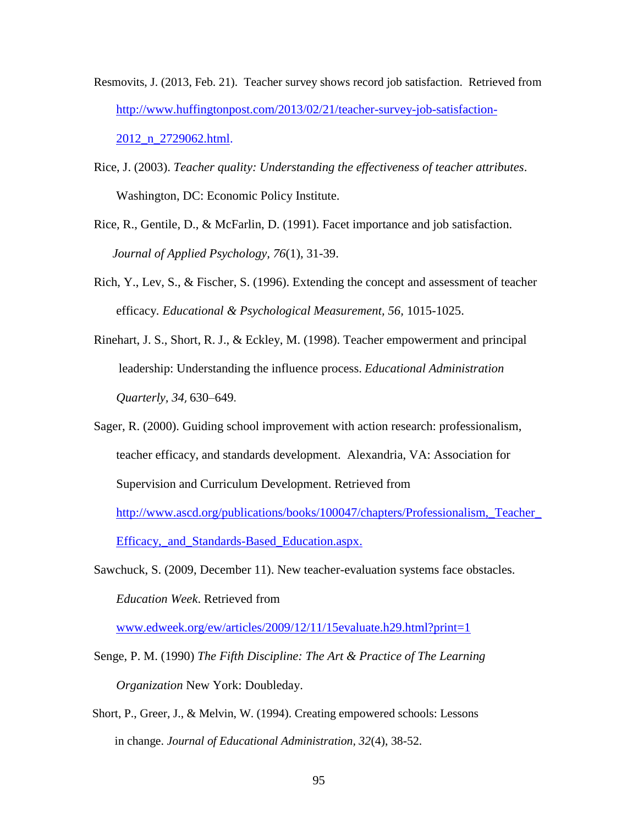- Resmovits, J. (2013, Feb. 21). Teacher survey shows record job satisfaction. Retrieved from [http://www.huffingtonpost.com/2013/02/21/teacher-survey-job-satisfaction-](http://www.huffingtonpost.com/2013/02/21/teacher-survey-job-satisfaction-2012_n_2729062.html)2012<sub>n</sub> 2729062.html.
- Rice, J. (2003). *Teacher quality: Understanding the effectiveness of teacher attributes*. Washington, DC: Economic Policy Institute.
- Rice, R., Gentile, D., & McFarlin, D. (1991). Facet importance and job satisfaction. *Journal of Applied Psychology, 76*(1), 31-39.
- Rich, Y., Lev, S., & Fischer, S. (1996). Extending the concept and assessment of teacher efficacy*. Educational & Psychological Measurement, 56,* 1015-1025.
- Rinehart, J. S., Short, R. J., & Eckley, M. (1998). Teacher empowerment and principal leadership: Understanding the influence process. *Educational Administration Quarterly, 34*, 630–649.
- Sager, R. (2000). Guiding school improvement with action research: professionalism, teacher efficacy, and standards development. Alexandria, VA: Association for Supervision and Curriculum Development. Retrieved from [http://www.ascd.org/publications/books/100047/chapters/Professionalism,\\_Teacher\\_](http://www.ascd.org/publications/books/100047/chapters/Professionalism,_Teacher_Efficacy,_and_Standards-Based_Education.aspx) [Efficacy,\\_and\\_Standards-Based\\_Education.aspx.](http://www.ascd.org/publications/books/100047/chapters/Professionalism,_Teacher_Efficacy,_and_Standards-Based_Education.aspx)
- Sawchuck, S. (2009, December 11). New teacher-evaluation systems face obstacles. *Education Week*. Retrieved from

[www.edweek.org/ew/articles/2009/12/11/15evaluate.h29.html?print=1](http://www.edweek.org/ew/articles/2009/12/11/15evaluate.h29.html?print=1)

- Senge, P. M. (1990) *The Fifth Discipline: The Art & Practice of The Learning Organization* New York: Doubleday.
- Short, P., Greer, J., & Melvin, W. (1994). Creating empowered schools: Lessons in change. *Journal of Educational Administration, 32*(4), 38-52.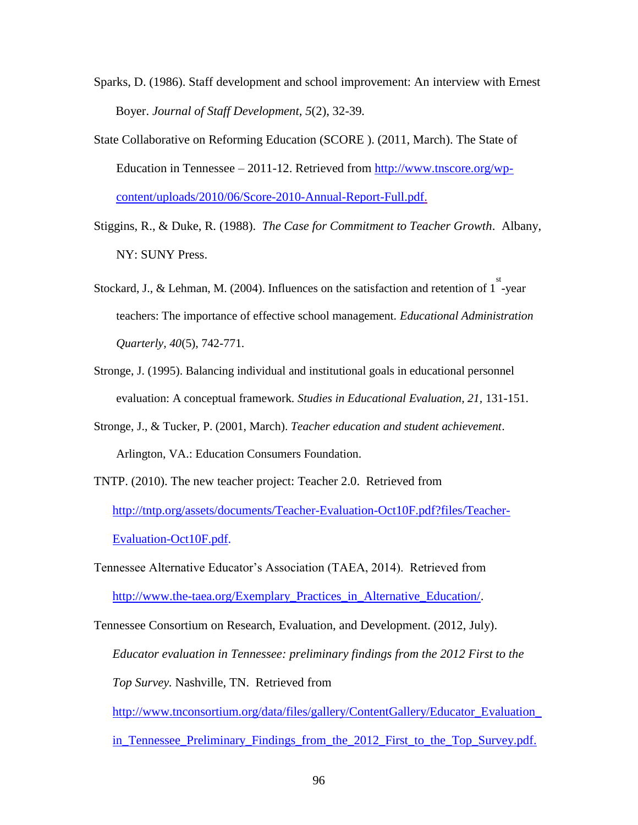- Sparks, D. (1986). Staff development and school improvement: An interview with Ernest Boyer. *Journal of Staff Development, 5*(2), 32-39*.*
- State Collaborative on Reforming Education (SCORE ). (2011, March). The State of Education in Tennessee – 2011-12. Retrieved from [http://www.tnscore.org/wp](http://www.tnscore.org/wp-content/uploads/2010/06/Score-2010-Annual-Report-Full.pdf)[content/uploads/2010/06/Score-2010-Annual-Report-Full.pdf.](http://www.tnscore.org/wp-content/uploads/2010/06/Score-2010-Annual-Report-Full.pdf)
- Stiggins, R., & Duke, R. (1988). *The Case for Commitment to Teacher Growth*. Albany, NY: SUNY Press.
- Stockard, J., & Lehman, M. (2004). Influences on the satisfaction and retention of  $1^{st}$ -year teachers: The importance of effective school management. *Educational Administration Quarterly, 40*(5), 742-771.
- Stronge, J. (1995). Balancing individual and institutional goals in educational personnel evaluation: A conceptual framework. *Studies in Educational Evaluation, 21,* 131-151.
- Stronge, J., & Tucker, P. (2001, March). *Teacher education and student achievement*. Arlington, VA.: Education Consumers Foundation.
- TNTP. (2010). The new teacher project: Teacher 2.0. Retrieved from [http://tntp.org/assets/documents/Teacher-Evaluation-Oct10F.pdf?files/Teacher-](http://tntp.org/assets/documents/Teacher-Evaluation-Oct10F.pdf?files/Teacher-Evaluation-Oct10F.pdf)[Evaluation-Oct10F.pdf.](http://tntp.org/assets/documents/Teacher-Evaluation-Oct10F.pdf?files/Teacher-Evaluation-Oct10F.pdf)
- Tennessee Alternative Educator"s Association (TAEA, 2014). Retrieved from [http://www.the-taea.org/Exemplary\\_Practices\\_in\\_Alternative\\_Education/.](http://www.the-taea.org/Exemplary_Practices_in_Alternative_Education/)
- Tennessee Consortium on Research, Evaluation, and Development. (2012, July). *Educator evaluation in Tennessee: preliminary findings from the 2012 First to the Top Survey.* Nashville, TN. Retrieved from
	- [http://www.tnconsortium.org/data/files/gallery/ContentGallery/Educator\\_Evaluation\\_](http://www.tnconsortium.org/data/files/gallery/ContentGallery/Educator_Evaluation_in_Tennessee_Preliminary_Findings_from_the_2012_First_to_the_Top_Survey.pdf)
	- [in\\_Tennessee\\_Preliminary\\_Findings\\_from\\_the\\_2012\\_First\\_to\\_the\\_Top\\_Survey.pdf.](http://www.tnconsortium.org/data/files/gallery/ContentGallery/Educator_Evaluation_in_Tennessee_Preliminary_Findings_from_the_2012_First_to_the_Top_Survey.pdf)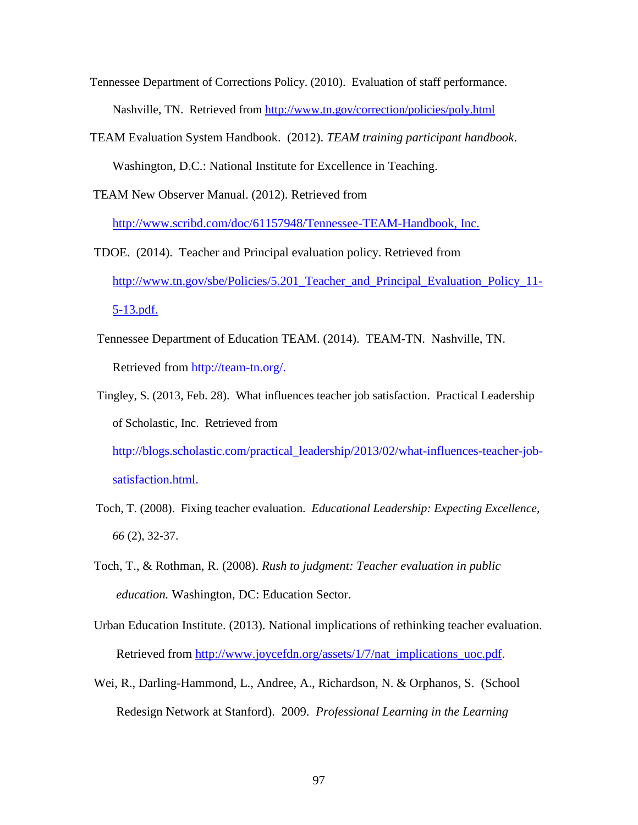Tennessee Department of Corrections Policy. (2010). Evaluation of staff performance. Nashville, TN. Retrieved from<http://www.tn.gov/correction/policies/poly.html>

- TEAM Evaluation System Handbook. (2012). *TEAM training participant handbook*. Washington, D.C.: National Institute for Excellence in Teaching.
- TEAM New Observer Manual. (2012). Retrieved from

http://www.scribd.com/doc/61157948/Tennessee-TEAM-Handbook, Inc.

- TDOE. (2014). Teacher and Principal evaluation policy. Retrieved from http://www.tn.gov/sbe/Policies/5.201 Teacher and Principal Evaluation Policy 11-5-13.pdf.
- Tennessee Department of Education TEAM. (2014). TEAM-TN. Nashville, TN. Retrieved from http://team-tn.org/.
- Tingley, S. (2013, Feb. 28). What influences teacher job satisfaction. Practical Leadership of Scholastic, Inc. Retrieved from

http://blogs.scholastic.com/practical\_leadership/2013/02/what-influences-teacher-jobsatisfaction.html.

- Toch, T. (2008). Fixing teacher evaluation. *Educational Leadership: Expecting Excellence, 66* (2), 32-37.
- Toch, T., & Rothman, R. (2008). *Rush to judgment: Teacher evaluation in public education.* Washington, DC: Education Sector.
- Urban Education Institute. (2013). National implications of rethinking teacher evaluation. Retrieved from [http://www.joycefdn.org/assets/1/7/nat\\_implications\\_uoc.pdf.](http://www.joycefdn.org/assets/1/7/nat_implications_uoc.pdf)
- Wei, R., Darling-Hammond, L., Andree, A., Richardson, N. & Orphanos, S. (School Redesign Network at Stanford). 2009. *Professional Learning in the Learning*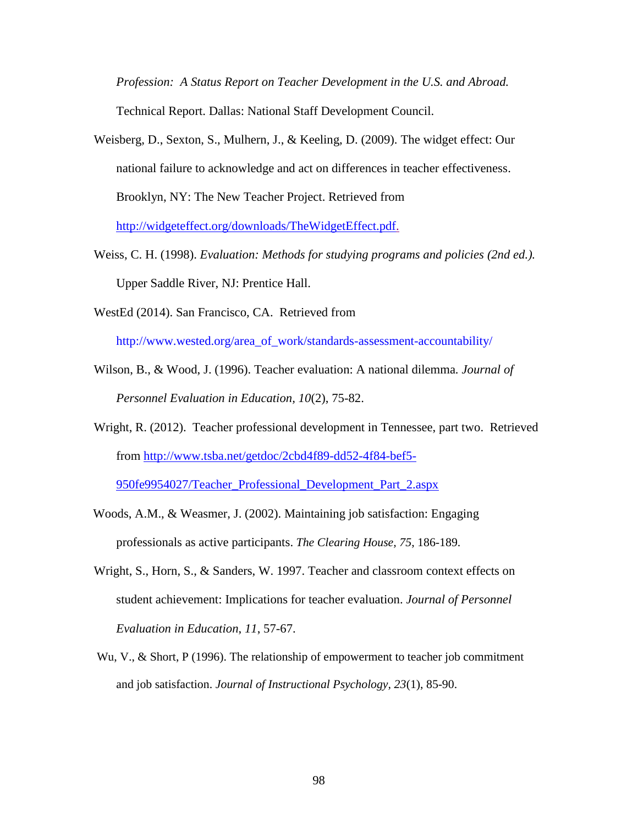*Profession: A Status Report on Teacher Development in the U.S. and Abroad.*  Technical Report. Dallas: National Staff Development Council.

- Weisberg, D., Sexton, S., Mulhern, J., & Keeling, D. (2009). The widget effect: Our national failure to acknowledge and act on differences in teacher effectiveness. Brooklyn, NY: The New Teacher Project. Retrieved from [http://widgeteffect.org/downloads/TheWidgetEffect.pdf.](http://widgeteffect.org/down%1floads/TheWidgetEffect.pdf)
- Weiss, C. H. (1998). *Evaluation: Methods for studying programs and policies (2nd ed.).* Upper Saddle River, NJ: Prentice Hall.
- WestEd (2014). San Francisco, CA. Retrieved from

http://www.wested.org/area\_of\_work/standards-assessment-accountability/

- Wilson, B., & Wood, J. (1996). Teacher evaluation: A national dilemma*. Journal of Personnel Evaluation in Education, 10*(2), 75-82.
- Wright, R. (2012). Teacher professional development in Tennessee, part two. Retrieved from [http://www.tsba.net/getdoc/2cbd4f89-dd52-4f84-bef5-](http://www.tsba.net/getdoc/2cbd4f89-dd52-4f84-bef5-950fe9954027/Teacher_Professional_Development_Part_2.aspx)

[950fe9954027/Teacher\\_Professional\\_Development\\_Part\\_2.aspx](http://www.tsba.net/getdoc/2cbd4f89-dd52-4f84-bef5-950fe9954027/Teacher_Professional_Development_Part_2.aspx)

- Woods, A.M., & Weasmer, J. (2002). Maintaining job satisfaction: Engaging professionals as active participants. *The Clearing House, 75*, 186-189.
- Wright, S., Horn, S., & Sanders, W. 1997. Teacher and classroom context effects on student achievement: Implications for teacher evaluation. *Journal of Personnel Evaluation in Education*, *11*, 57-67.
- Wu, V., & Short, P (1996). The relationship of empowerment to teacher job commitment and job satisfaction. *Journal of Instructional Psychology, 23*(1), 85-90.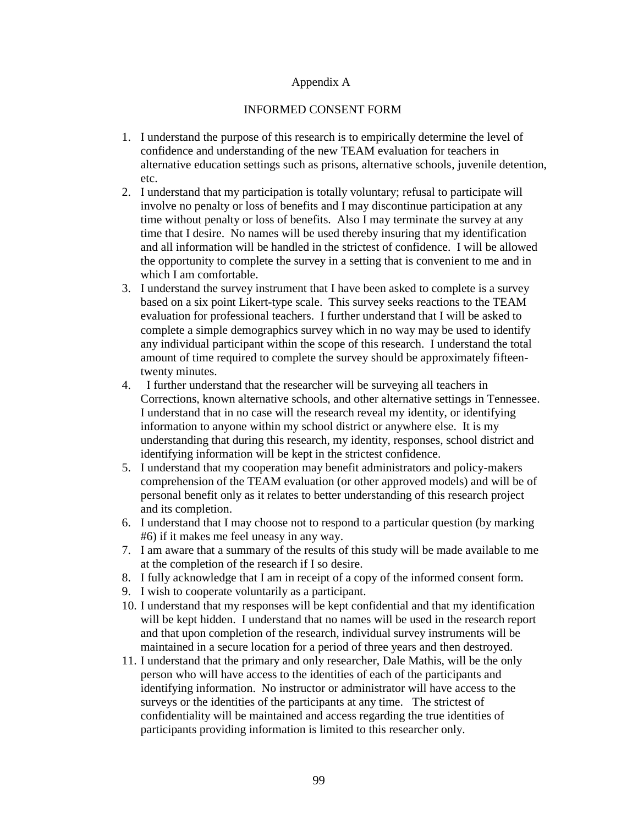### Appendix A

### INFORMED CONSENT FORM

- 1. I understand the purpose of this research is to empirically determine the level of confidence and understanding of the new TEAM evaluation for teachers in alternative education settings such as prisons, alternative schools, juvenile detention, etc.
- 2. I understand that my participation is totally voluntary; refusal to participate will involve no penalty or loss of benefits and I may discontinue participation at any time without penalty or loss of benefits. Also I may terminate the survey at any time that I desire. No names will be used thereby insuring that my identification and all information will be handled in the strictest of confidence. I will be allowed the opportunity to complete the survey in a setting that is convenient to me and in which I am comfortable.
- 3. I understand the survey instrument that I have been asked to complete is a survey based on a six point Likert-type scale. This survey seeks reactions to the TEAM evaluation for professional teachers. I further understand that I will be asked to complete a simple demographics survey which in no way may be used to identify any individual participant within the scope of this research. I understand the total amount of time required to complete the survey should be approximately fifteentwenty minutes.
- 4. I further understand that the researcher will be surveying all teachers in Corrections, known alternative schools, and other alternative settings in Tennessee. I understand that in no case will the research reveal my identity, or identifying information to anyone within my school district or anywhere else. It is my understanding that during this research, my identity, responses, school district and identifying information will be kept in the strictest confidence.
- 5. I understand that my cooperation may benefit administrators and policy-makers comprehension of the TEAM evaluation (or other approved models) and will be of personal benefit only as it relates to better understanding of this research project and its completion.
- 6. I understand that I may choose not to respond to a particular question (by marking #6) if it makes me feel uneasy in any way.
- 7. I am aware that a summary of the results of this study will be made available to me at the completion of the research if I so desire.
- 8. I fully acknowledge that I am in receipt of a copy of the informed consent form.
- 9. I wish to cooperate voluntarily as a participant.
- 10. I understand that my responses will be kept confidential and that my identification will be kept hidden. I understand that no names will be used in the research report and that upon completion of the research, individual survey instruments will be maintained in a secure location for a period of three years and then destroyed.
- 11. I understand that the primary and only researcher, Dale Mathis, will be the only person who will have access to the identities of each of the participants and identifying information. No instructor or administrator will have access to the surveys or the identities of the participants at any time. The strictest of confidentiality will be maintained and access regarding the true identities of participants providing information is limited to this researcher only.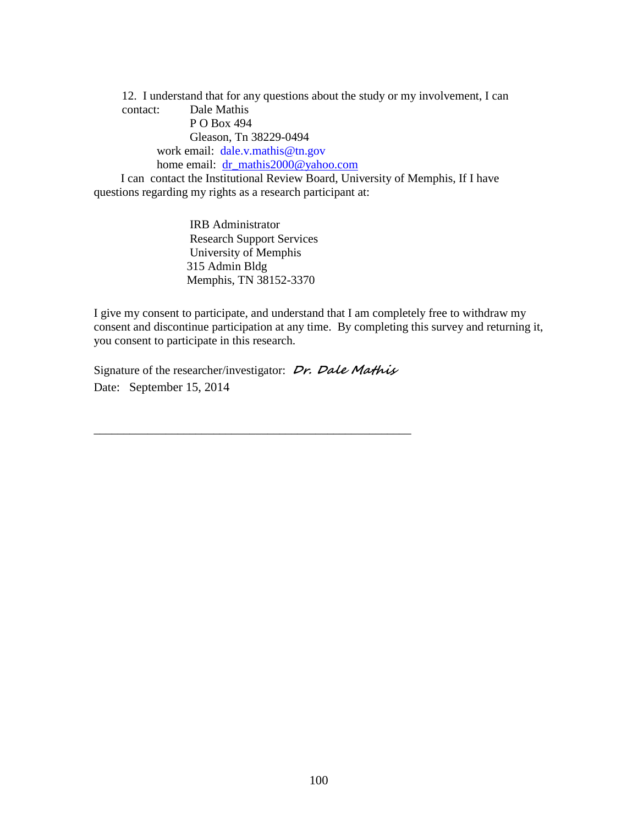12. I understand that for any questions about the study or my involvement, I can contact: Dale Mathis P O Box 494 Gleason, Tn 38229-0494 work email: dale.v.mathis@tn.gov home email: [dr\\_mathis2000@yahoo.com](mailto:dr_mathis2000@yahoo.com) I can contact the Institutional Review Board, University of Memphis, If I have questions regarding my rights as a research participant at:

> IRB Administrator Research Support Services University of Memphis 315 Admin Bldg Memphis, TN 38152-3370

I give my consent to participate, and understand that I am completely free to withdraw my consent and discontinue participation at any time. By completing this survey and returning it, you consent to participate in this research.

Signature of the researcher/investigator: **Dr. Dale Mathis** Date: September 15, 2014

\_\_\_\_\_\_\_\_\_\_\_\_\_\_\_\_\_\_\_\_\_\_\_\_\_\_\_\_\_\_\_\_\_\_\_\_\_\_\_\_\_\_\_\_\_\_\_\_\_\_\_\_\_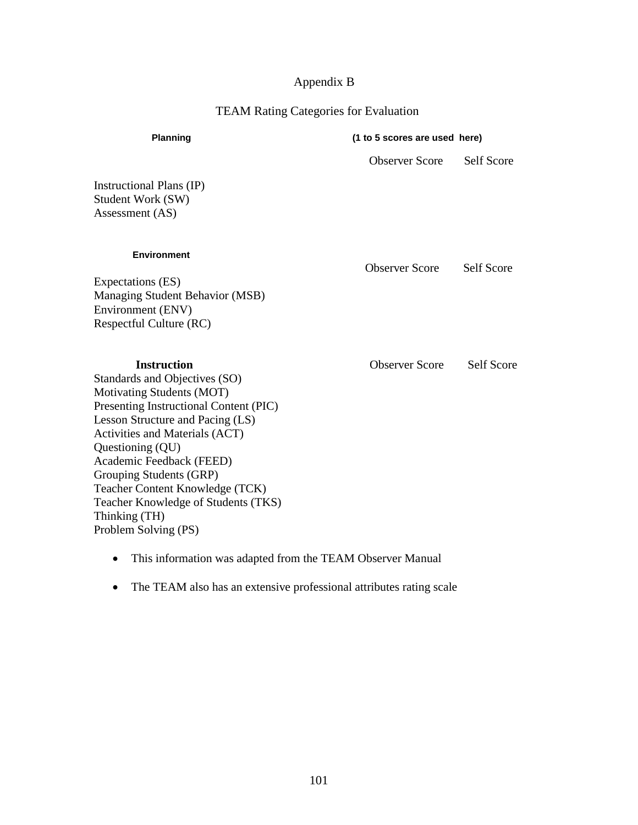## Appendix B

## TEAM Rating Categories for Evaluation

| Planning                                                                                                                                                                                                                                                                                                                                                                                                     |                       | (1 to 5 scores are used here) |  |  |  |  |
|--------------------------------------------------------------------------------------------------------------------------------------------------------------------------------------------------------------------------------------------------------------------------------------------------------------------------------------------------------------------------------------------------------------|-----------------------|-------------------------------|--|--|--|--|
|                                                                                                                                                                                                                                                                                                                                                                                                              | <b>Observer Score</b> | <b>Self Score</b>             |  |  |  |  |
| <b>Instructional Plans (IP)</b><br>Student Work (SW)<br>Assessment (AS)                                                                                                                                                                                                                                                                                                                                      |                       |                               |  |  |  |  |
| <b>Environment</b><br><b>Expectations (ES)</b><br><b>Managing Student Behavior (MSB)</b><br><b>Environment (ENV)</b><br>Respectful Culture (RC)                                                                                                                                                                                                                                                              | <b>Observer Score</b> | Self Score                    |  |  |  |  |
| <b>Instruction</b><br>Standards and Objectives (SO)<br><b>Motivating Students (MOT)</b><br>Presenting Instructional Content (PIC)<br>Lesson Structure and Pacing (LS)<br><b>Activities and Materials (ACT)</b><br>Questioning (QU)<br>Academic Feedback (FEED)<br>Grouping Students (GRP)<br>Teacher Content Knowledge (TCK)<br>Teacher Knowledge of Students (TKS)<br>Thinking (TH)<br>Problem Solving (PS) | <b>Observer Score</b> | <b>Self Score</b>             |  |  |  |  |

- This information was adapted from the TEAM Observer Manual
- The TEAM also has an extensive professional attributes rating scale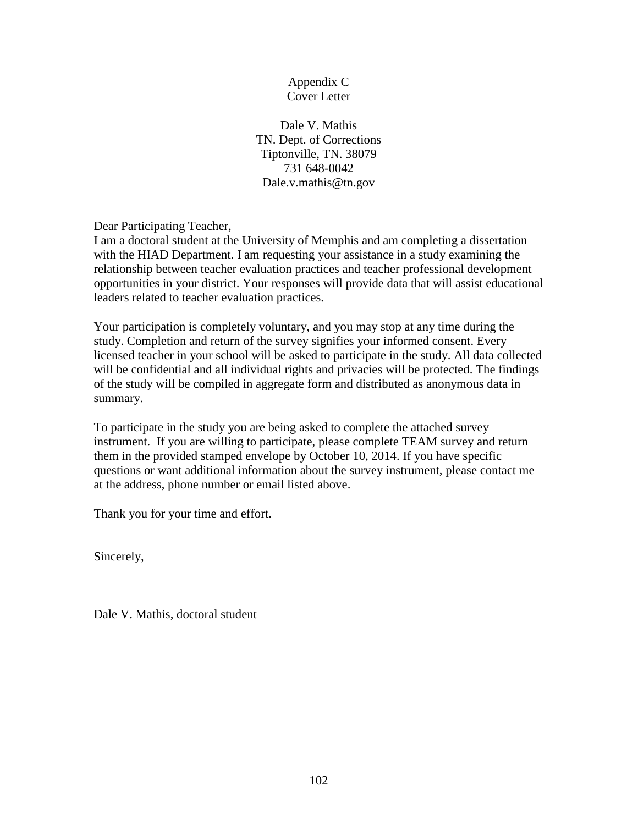## Appendix C Cover Letter

Dale V. Mathis TN. Dept. of Corrections Tiptonville, TN. 38079 731 648-0042 Dale.v.mathis@tn.gov

Dear Participating Teacher,

I am a doctoral student at the University of Memphis and am completing a dissertation with the HIAD Department. I am requesting your assistance in a study examining the relationship between teacher evaluation practices and teacher professional development opportunities in your district. Your responses will provide data that will assist educational leaders related to teacher evaluation practices.

Your participation is completely voluntary, and you may stop at any time during the study. Completion and return of the survey signifies your informed consent. Every licensed teacher in your school will be asked to participate in the study. All data collected will be confidential and all individual rights and privacies will be protected. The findings of the study will be compiled in aggregate form and distributed as anonymous data in summary.

To participate in the study you are being asked to complete the attached survey instrument. If you are willing to participate, please complete TEAM survey and return them in the provided stamped envelope by October 10, 2014. If you have specific questions or want additional information about the survey instrument, please contact me at the address, phone number or email listed above.

Thank you for your time and effort.

Sincerely,

Dale V. Mathis, doctoral student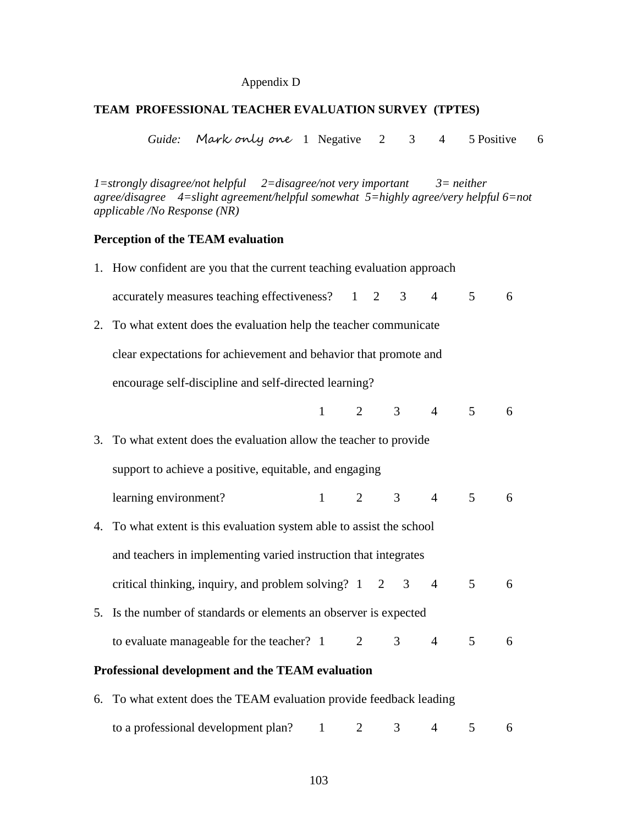## Appendix D

## **TEAM PROFESSIONAL TEACHER EVALUATION SURVEY (TPTES)**

*Guide:* Mark only one 1 Negative 2 3 4 5 Positive 6

*1=strongly disagree/not helpful 2=disagree/not very important 3= neither agree/disagree 4=slight agreement/helpful somewhat 5=highly agree/very helpful 6=not applicable /No Response (NR)*

## **Perception of the TEAM evaluation**

| 1. How confident are you that the current teaching evaluation approach       |                             |                |                |                             |                |   |
|------------------------------------------------------------------------------|-----------------------------|----------------|----------------|-----------------------------|----------------|---|
| accurately measures teaching effectiveness? 1 2 3                            |                             |                |                | $\overline{4}$              | 5 <sup>7</sup> | 6 |
| 2. To what extent does the evaluation help the teacher communicate           |                             |                |                |                             |                |   |
| clear expectations for achievement and behavior that promote and             |                             |                |                |                             |                |   |
| encourage self-discipline and self-directed learning?                        |                             |                |                |                             |                |   |
|                                                                              |                             |                |                | $1 \quad 2 \quad 3 \quad 4$ | 5 <sup>5</sup> | 6 |
| 3. To what extent does the evaluation allow the teacher to provide           |                             |                |                |                             |                |   |
| support to achieve a positive, equitable, and engaging                       |                             |                |                |                             |                |   |
| learning environment?                                                        | $1 \quad 2 \quad 3 \quad 4$ |                |                |                             | 5 <sup>5</sup> | 6 |
| 4. To what extent is this evaluation system able to assist the school        |                             |                |                |                             |                |   |
| and teachers in implementing varied instruction that integrates              |                             |                |                |                             |                |   |
| critical thinking, inquiry, and problem solving? $1 \quad 2 \quad 3 \quad 4$ |                             |                |                |                             | $\mathfrak{S}$ | 6 |
| 5. Is the number of standards or elements an observer is expected            |                             |                |                |                             |                |   |
| to evaluate manageable for the teacher? $1 \t 2$                             |                             |                | 3 <sup>7</sup> | $\overline{4}$              | 5              | 6 |
| Professional development and the TEAM evaluation                             |                             |                |                |                             |                |   |
| 6. To what extent does the TEAM evaluation provide feedback leading          |                             |                |                |                             |                |   |
| to a professional development plan?                                          | $1 \quad \blacksquare$      | $\overline{2}$ | 3 <sup>7</sup> | $\overline{4}$              | 5              | 6 |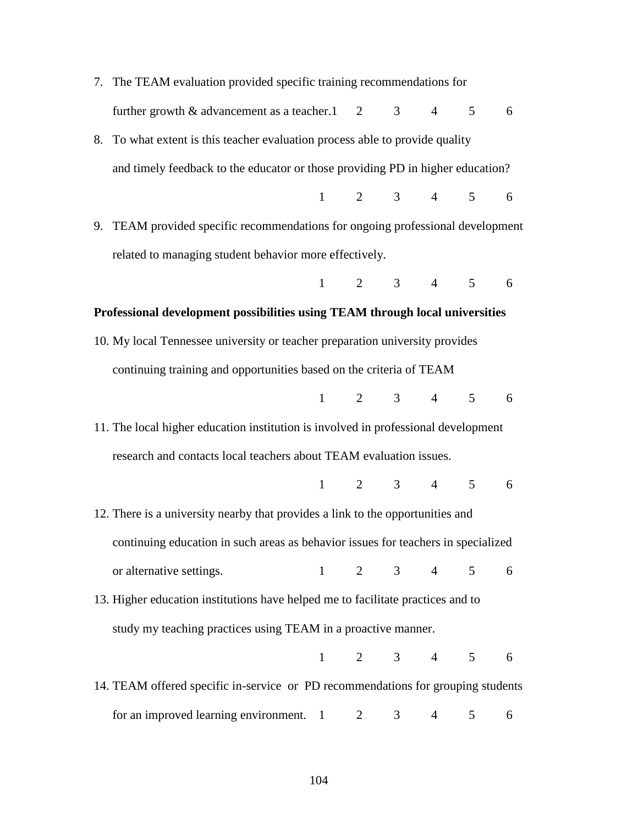7. The TEAM evaluation provided specific training recommendations for further growth  $\&$  advancement as a teacher.  $1 \quad 2 \quad 3 \quad 4 \quad 5 \quad 6$ 8. To what extent is this teacher evaluation process able to provide quality and timely feedback to the educator or those providing PD in higher education? 1 2 3 4 5 6 9. TEAM provided specific recommendations for ongoing professional development related to managing student behavior more effectively. 1 2 3 4 5 6 **Professional development possibilities using TEAM through local universities** 10. My local Tennessee university or teacher preparation university provides continuing training and opportunities based on the criteria of TEAM 1 2 3 4 5 6 11. The local higher education institution is involved in professional development research and contacts local teachers about TEAM evaluation issues. 1 2 3 4 5 6 12. There is a university nearby that provides a link to the opportunities and continuing education in such areas as behavior issues for teachers in specialized or alternative settings. 1 2 3 4 5 6 13. Higher education institutions have helped me to facilitate practices and to study my teaching practices using TEAM in a proactive manner. 1 2 3 4 5 6 14. TEAM offered specific in-service or PD recommendations for grouping students for an improved learning environment.  $1 \t 2 \t 3 \t 4 \t 5 \t 6$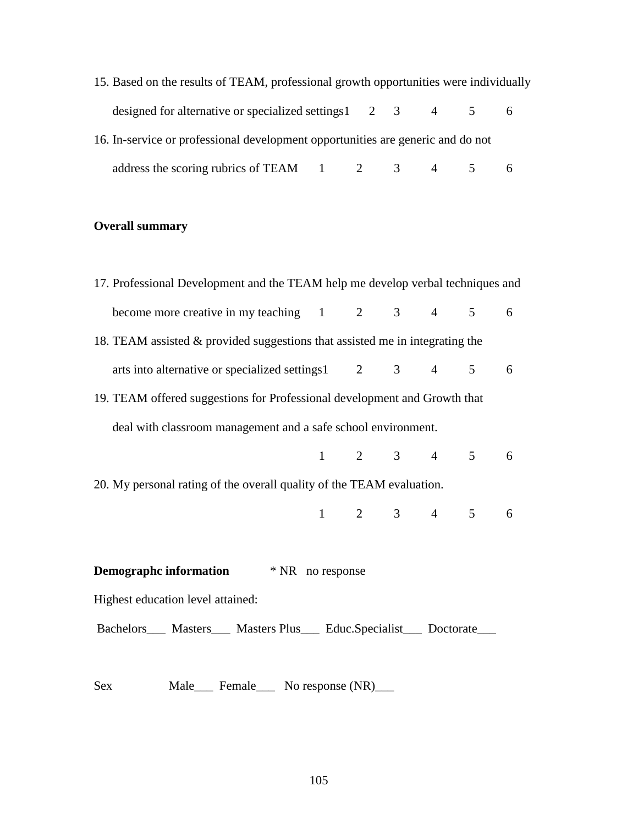| 15. Based on the results of TEAM, professional growth opportunities were individually        |  |  |  |
|----------------------------------------------------------------------------------------------|--|--|--|
| designed for alternative or specialized settings $1 \quad 2 \quad 3 \quad 4 \quad 5 \quad 6$ |  |  |  |
| 16. In-service or professional development opportunities are generic and do not              |  |  |  |
| address the scoring rubrics of TEAM $1 \t 2 \t 3 \t 4 \t 5 \t 6$                             |  |  |  |

# **Overall summary**

| 17. Professional Development and the TEAM help me develop verbal techniques and |  |                         |  |  |  |   |
|---------------------------------------------------------------------------------|--|-------------------------|--|--|--|---|
| become more creative in my teaching 1 2 3 4 5 6                                 |  |                         |  |  |  |   |
| 18. TEAM assisted & provided suggestions that assisted me in integrating the    |  |                         |  |  |  |   |
| arts into alternative or specialized settings1 2 3 4 5                          |  |                         |  |  |  | 6 |
| 19. TEAM offered suggestions for Professional development and Growth that       |  |                         |  |  |  |   |
| deal with classroom management and a safe school environment.                   |  |                         |  |  |  |   |
|                                                                                 |  | $1 \t 2 \t 3 \t 4 \t 5$ |  |  |  | 6 |
| 20. My personal rating of the overall quality of the TEAM evaluation.           |  |                         |  |  |  |   |
|                                                                                 |  | $1 \t 2 \t 3 \t 4 \t 5$ |  |  |  | 6 |
|                                                                                 |  |                         |  |  |  |   |
| <b>Demographc information</b> * NR no response                                  |  |                         |  |  |  |   |
| Highest education level attained:                                               |  |                         |  |  |  |   |
| Bachelors____ Masters____ Masters Plus____ Educ.Specialist____ Doctorate____    |  |                         |  |  |  |   |
|                                                                                 |  |                         |  |  |  |   |

Sex Male\_\_\_ Female\_\_\_ No response (NR)\_\_\_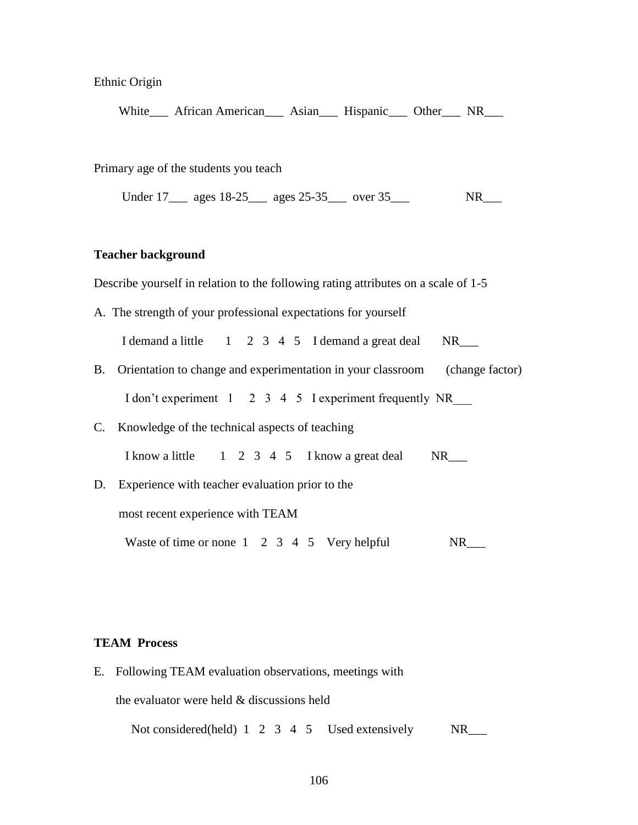Ethnic Origin

White\_\_\_ African American\_\_\_ Asian\_\_\_ Hispanic\_\_\_ Other\_\_\_ NR\_\_\_

Primary age of the students you teach

Under 17\_\_\_ ages 18-25\_\_\_ ages 25-35\_\_\_ over 35\_\_\_ NR\_\_\_

### **Teacher background**

Describe yourself in relation to the following rating attributes on a scale of 1-5

A. The strength of your professional expectations for yourself

I demand a little  $1 \t2 \t3 \t4 \t5$  I demand a great deal NR\_\_\_\_

- B. Orientation to change and experimentation in your classroom (change factor) I don't experiment 1 2 3 4 5 I experiment frequently NR
- C. Knowledge of the technical aspects of teaching
	- I know a little  $1 \t2 \t3 \t4 \t5$  I know a great deal NR\_\_\_
- D. Experience with teacher evaluation prior to the

most recent experience with TEAM

Waste of time or none  $1 \quad 2 \quad 3 \quad 4 \quad 5$  Very helpful NR

### **TEAM Process**

E. Following TEAM evaluation observations, meetings with the evaluator were held & discussions held Not considered(held) 1 2 3 4 5 Used extensively NR\_\_\_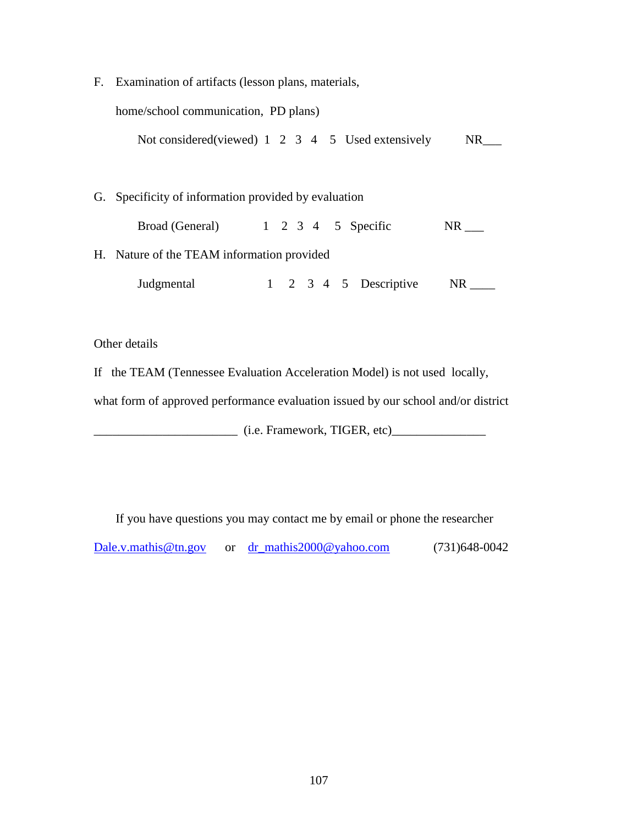F. Examination of artifacts (lesson plans, materials,

home/school communication, PD plans)

Not considered(viewed) 1 2 3 4 5 Used extensively NR\_\_\_

G. Specificity of information provided by evaluation

| Broad (General) |  |  | 1 2 3 4 5 Specific | <b>NR</b> |
|-----------------|--|--|--------------------|-----------|
|                 |  |  |                    |           |

H. Nature of the TEAM information provided

Judgmental 1 2 3 4 5 Descriptive NR \_\_\_\_

Other details

If the TEAM (Tennessee Evaluation Acceleration Model) is not used locally,

what form of approved performance evaluation issued by our school and/or district

\_\_\_\_\_\_\_\_\_\_\_\_\_\_\_\_\_\_\_\_\_\_\_ (i.e. Framework, TIGER, etc)\_\_\_\_\_\_\_\_\_\_\_\_\_\_\_

If you have questions you may contact me by email or phone the researcher

[Dale.v.mathis@tn.gov](mailto:Dale.v.mathis@tn.gov) or [dr\\_mathis2000@yahoo.com](mailto:dr_mathis2000@yahoo.com) (731)648-0042